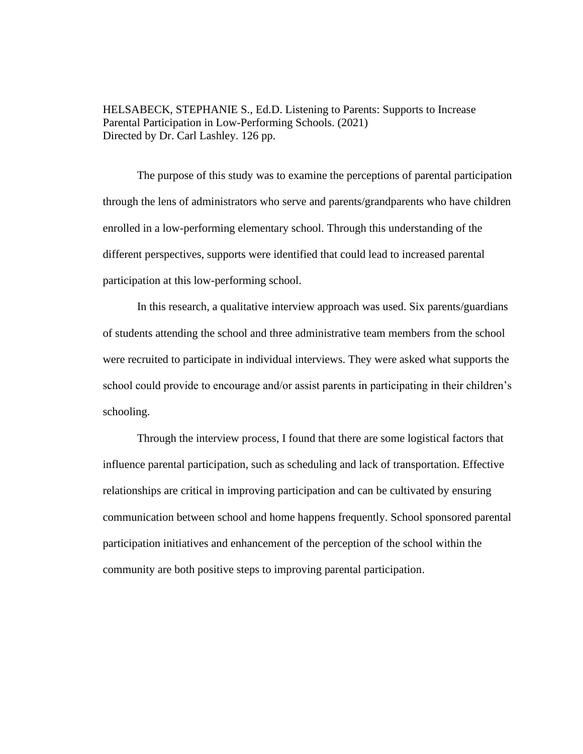HELSABECK, STEPHANIE S., Ed.D. Listening to Parents: Supports to Increase Parental Participation in Low-Performing Schools. (2021) Directed by Dr. Carl Lashley. 126 pp.

The purpose of this study was to examine the perceptions of parental participation through the lens of administrators who serve and parents/grandparents who have children enrolled in a low-performing elementary school. Through this understanding of the different perspectives, supports were identified that could lead to increased parental participation at this low-performing school.

In this research, a qualitative interview approach was used. Six parents/guardians of students attending the school and three administrative team members from the school were recruited to participate in individual interviews. They were asked what supports the school could provide to encourage and/or assist parents in participating in their children's schooling.

Through the interview process, I found that there are some logistical factors that influence parental participation, such as scheduling and lack of transportation. Effective relationships are critical in improving participation and can be cultivated by ensuring communication between school and home happens frequently. School sponsored parental participation initiatives and enhancement of the perception of the school within the community are both positive steps to improving parental participation.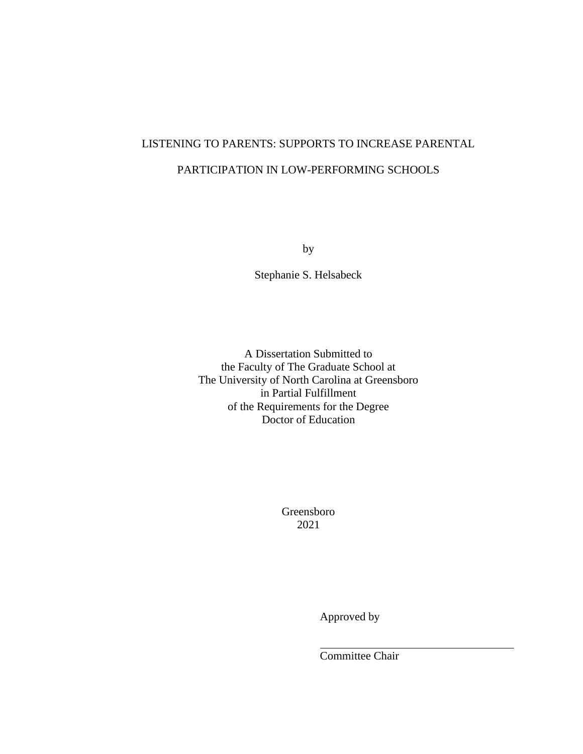# LISTENING TO PARENTS: SUPPORTS TO INCREASE PARENTAL PARTICIPATION IN LOW-PERFORMING SCHOOLS

by

Stephanie S. Helsabeck

A Dissertation Submitted to the Faculty of The Graduate School at The University of North Carolina at Greensboro in Partial Fulfillment of the Requirements for the Degree Doctor of Education

> Greensboro 2021

> > Approved by

Committee Chair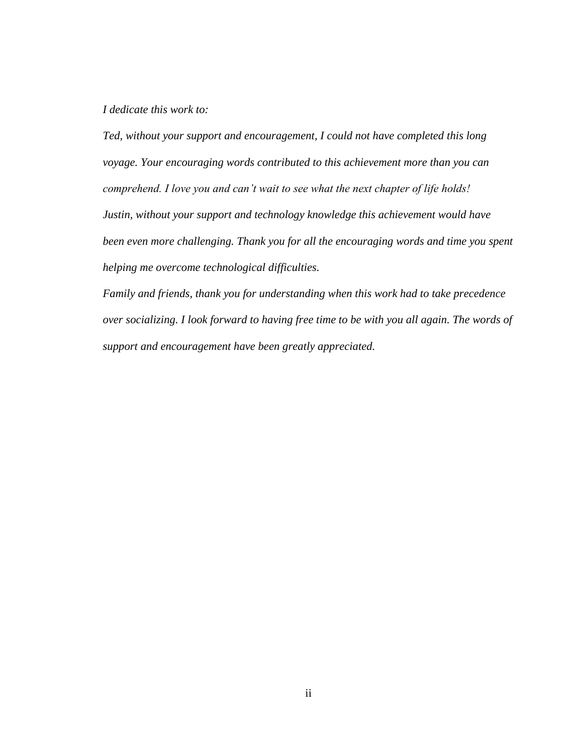# *I dedicate this work to:*

*Ted, without your support and encouragement, I could not have completed this long voyage. Your encouraging words contributed to this achievement more than you can comprehend. I love you and can't wait to see what the next chapter of life holds! Justin, without your support and technology knowledge this achievement would have been even more challenging. Thank you for all the encouraging words and time you spent helping me overcome technological difficulties.*

*Family and friends, thank you for understanding when this work had to take precedence over socializing. I look forward to having free time to be with you all again. The words of support and encouragement have been greatly appreciated.*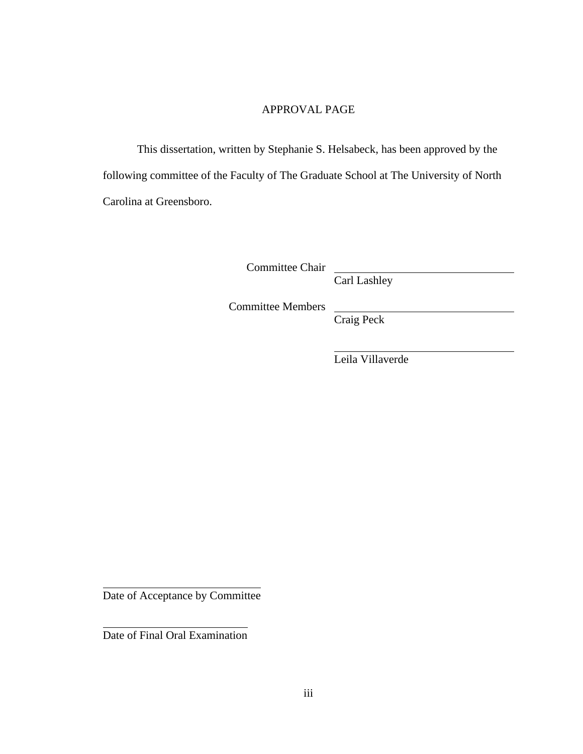# APPROVAL PAGE

This dissertation, written by Stephanie S. Helsabeck, has been approved by the following committee of the Faculty of The Graduate School at The University of North Carolina at Greensboro.

Committee Chair

Carl Lashley

Committee Members

Craig Peck

Leila Villaverde

Date of Acceptance by Committee

Date of Final Oral Examination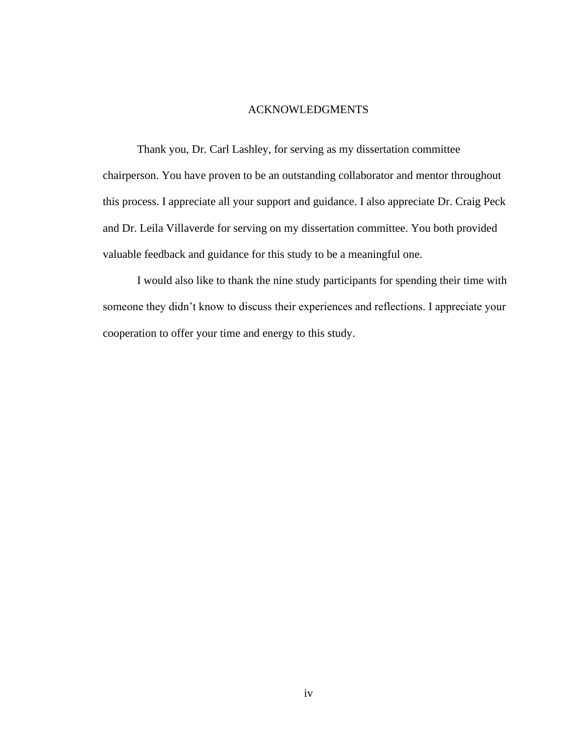# ACKNOWLEDGMENTS

Thank you, Dr. Carl Lashley, for serving as my dissertation committee chairperson. You have proven to be an outstanding collaborator and mentor throughout this process. I appreciate all your support and guidance. I also appreciate Dr. Craig Peck and Dr. Leila Villaverde for serving on my dissertation committee. You both provided valuable feedback and guidance for this study to be a meaningful one.

I would also like to thank the nine study participants for spending their time with someone they didn't know to discuss their experiences and reflections. I appreciate your cooperation to offer your time and energy to this study.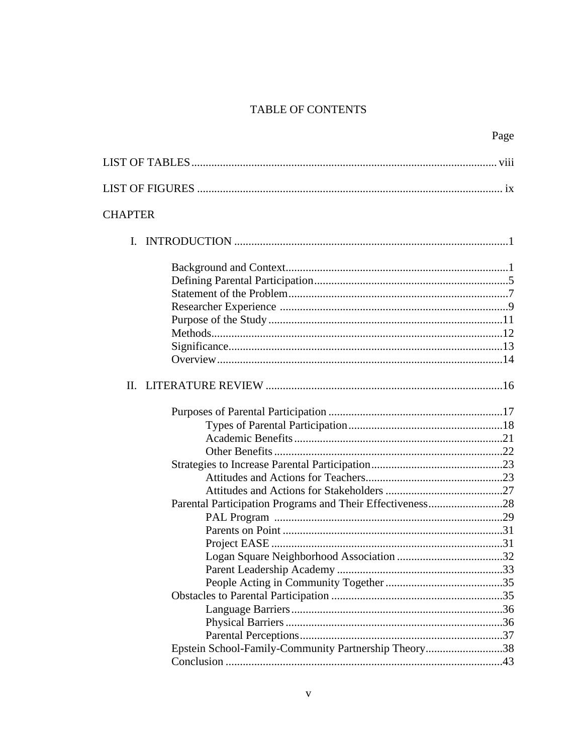# TABLE OF CONTENTS

|                                                           | Page |
|-----------------------------------------------------------|------|
|                                                           |      |
|                                                           |      |
| <b>CHAPTER</b>                                            |      |
|                                                           |      |
|                                                           |      |
|                                                           |      |
| Parental Participation Programs and Their Effectiveness28 |      |
| Epstein School-Family-Community Partnership Theory38      |      |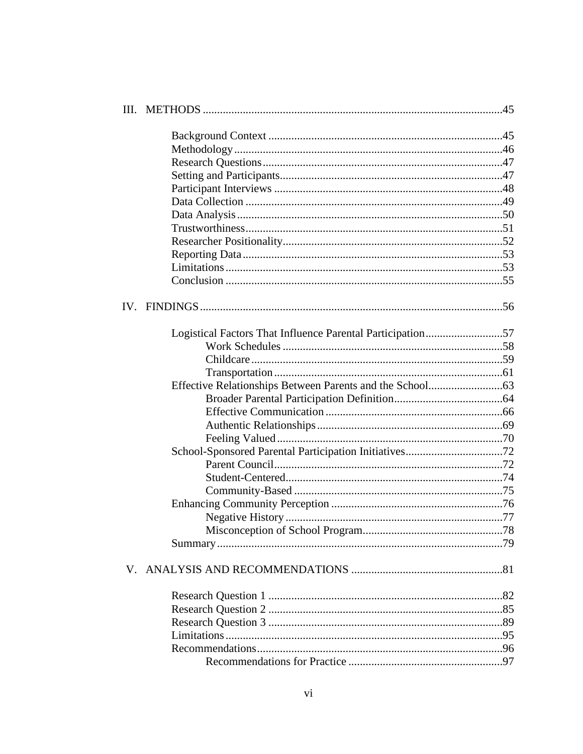| Logistical Factors That Influence Parental Participation57 |  |
|------------------------------------------------------------|--|
|                                                            |  |
|                                                            |  |
|                                                            |  |
|                                                            |  |
|                                                            |  |
|                                                            |  |
|                                                            |  |
|                                                            |  |
|                                                            |  |
|                                                            |  |
|                                                            |  |
|                                                            |  |
|                                                            |  |
|                                                            |  |
|                                                            |  |
|                                                            |  |
|                                                            |  |
|                                                            |  |
|                                                            |  |
|                                                            |  |
|                                                            |  |
|                                                            |  |
|                                                            |  |
|                                                            |  |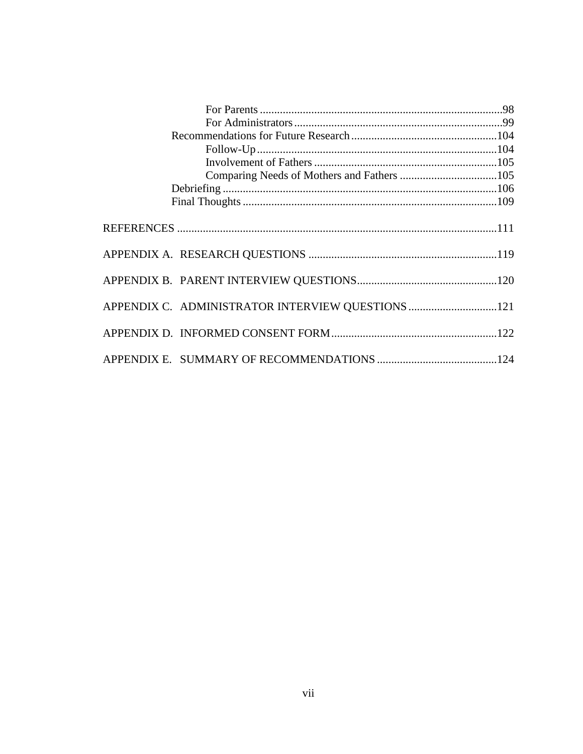| APPENDIX C. ADMINISTRATOR INTERVIEW QUESTIONS 121 |  |
|---------------------------------------------------|--|
|                                                   |  |
|                                                   |  |
|                                                   |  |
|                                                   |  |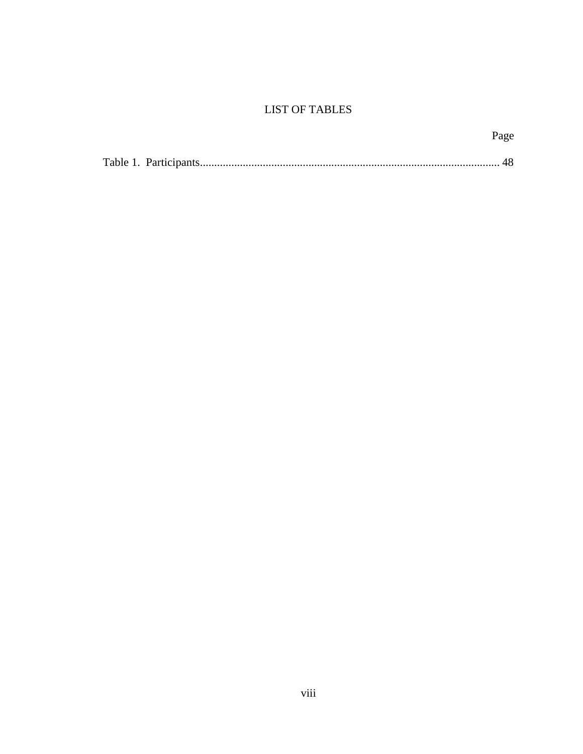# **LIST OF TABLES**

|  | Page |
|--|------|
|  |      |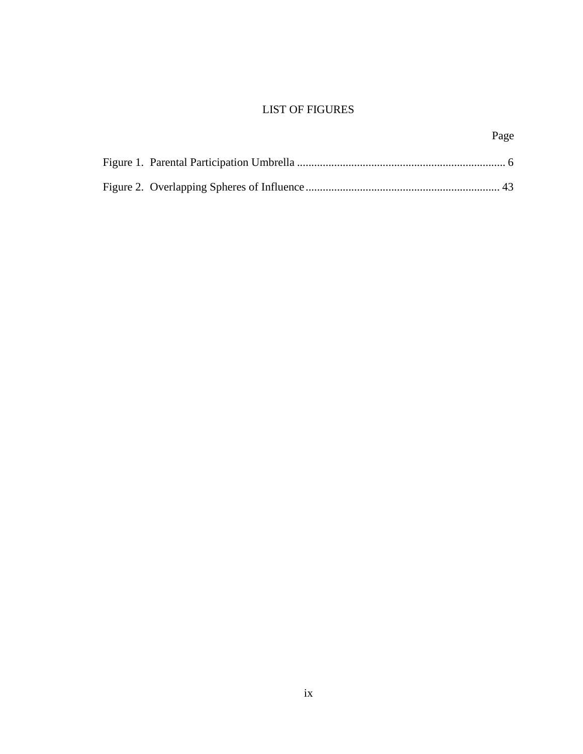# LIST OF FIGURES

|  | Page |
|--|------|
|  |      |
|  |      |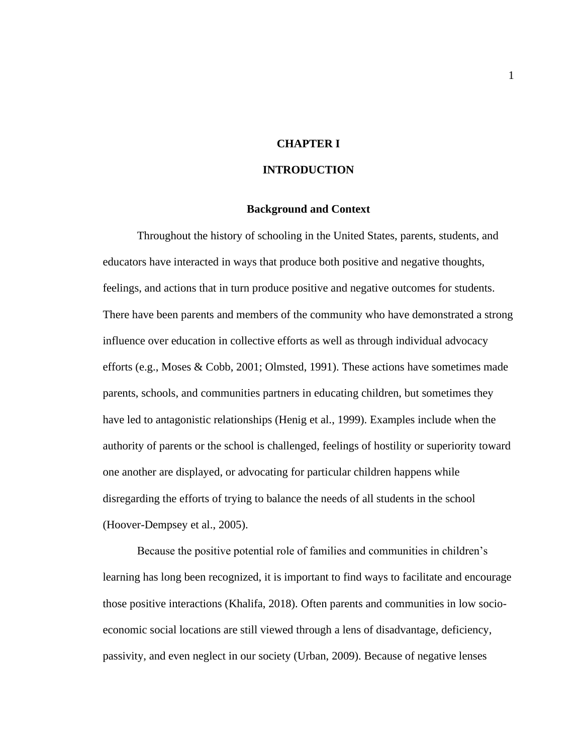# **CHAPTER I**

# **INTRODUCTION**

#### **Background and Context**

Throughout the history of schooling in the United States, parents, students, and educators have interacted in ways that produce both positive and negative thoughts, feelings, and actions that in turn produce positive and negative outcomes for students. There have been parents and members of the community who have demonstrated a strong influence over education in collective efforts as well as through individual advocacy efforts (e.g., Moses & Cobb, 2001; Olmsted, 1991). These actions have sometimes made parents, schools, and communities partners in educating children, but sometimes they have led to antagonistic relationships (Henig et al., 1999). Examples include when the authority of parents or the school is challenged, feelings of hostility or superiority toward one another are displayed, or advocating for particular children happens while disregarding the efforts of trying to balance the needs of all students in the school (Hoover-Dempsey et al., 2005).

Because the positive potential role of families and communities in children's learning has long been recognized, it is important to find ways to facilitate and encourage those positive interactions (Khalifa, 2018). Often parents and communities in low socioeconomic social locations are still viewed through a lens of disadvantage, deficiency, passivity, and even neglect in our society (Urban, 2009). Because of negative lenses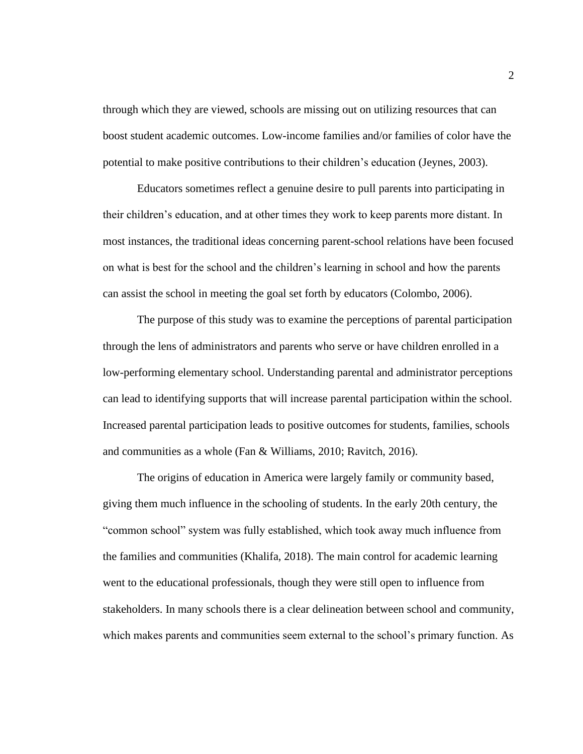through which they are viewed, schools are missing out on utilizing resources that can boost student academic outcomes. Low-income families and/or families of color have the potential to make positive contributions to their children's education (Jeynes, 2003).

Educators sometimes reflect a genuine desire to pull parents into participating in their children's education, and at other times they work to keep parents more distant. In most instances, the traditional ideas concerning parent-school relations have been focused on what is best for the school and the children's learning in school and how the parents can assist the school in meeting the goal set forth by educators (Colombo, 2006).

The purpose of this study was to examine the perceptions of parental participation through the lens of administrators and parents who serve or have children enrolled in a low-performing elementary school. Understanding parental and administrator perceptions can lead to identifying supports that will increase parental participation within the school. Increased parental participation leads to positive outcomes for students, families, schools and communities as a whole (Fan & Williams, 2010; Ravitch, 2016).

The origins of education in America were largely family or community based, giving them much influence in the schooling of students. In the early 20th century, the "common school" system was fully established, which took away much influence from the families and communities (Khalifa, 2018). The main control for academic learning went to the educational professionals, though they were still open to influence from stakeholders. In many schools there is a clear delineation between school and community, which makes parents and communities seem external to the school's primary function. As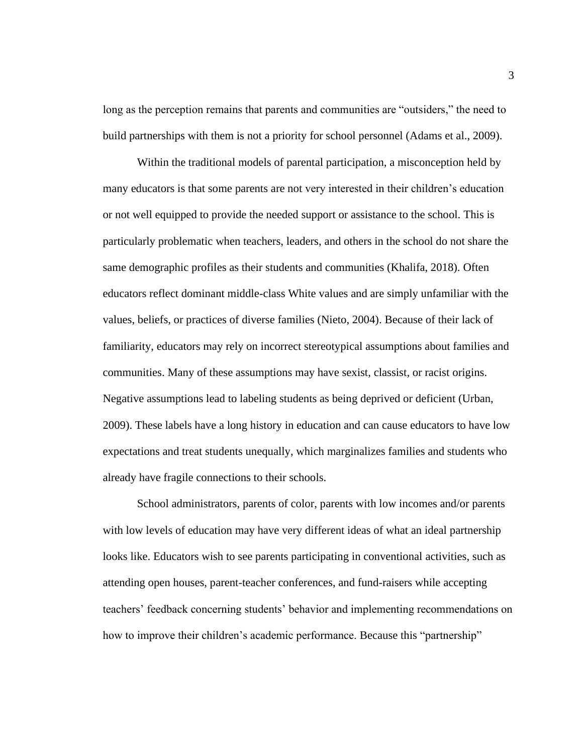long as the perception remains that parents and communities are "outsiders," the need to build partnerships with them is not a priority for school personnel (Adams et al., 2009).

Within the traditional models of parental participation, a misconception held by many educators is that some parents are not very interested in their children's education or not well equipped to provide the needed support or assistance to the school. This is particularly problematic when teachers, leaders, and others in the school do not share the same demographic profiles as their students and communities (Khalifa, 2018). Often educators reflect dominant middle-class White values and are simply unfamiliar with the values, beliefs, or practices of diverse families (Nieto, 2004). Because of their lack of familiarity, educators may rely on incorrect stereotypical assumptions about families and communities. Many of these assumptions may have sexist, classist, or racist origins. Negative assumptions lead to labeling students as being deprived or deficient (Urban, 2009). These labels have a long history in education and can cause educators to have low expectations and treat students unequally, which marginalizes families and students who already have fragile connections to their schools.

School administrators, parents of color, parents with low incomes and/or parents with low levels of education may have very different ideas of what an ideal partnership looks like. Educators wish to see parents participating in conventional activities, such as attending open houses, parent-teacher conferences, and fund-raisers while accepting teachers' feedback concerning students' behavior and implementing recommendations on how to improve their children's academic performance. Because this "partnership"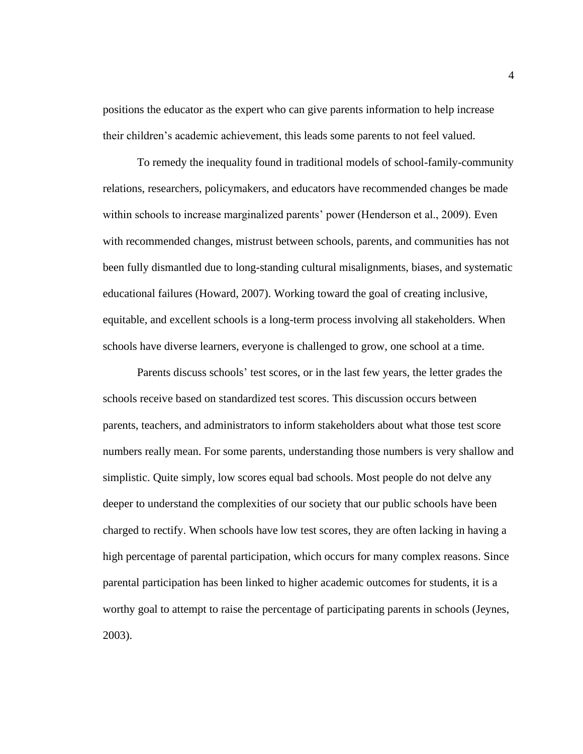positions the educator as the expert who can give parents information to help increase their children's academic achievement, this leads some parents to not feel valued.

To remedy the inequality found in traditional models of school-family-community relations, researchers, policymakers, and educators have recommended changes be made within schools to increase marginalized parents' power (Henderson et al., 2009). Even with recommended changes, mistrust between schools, parents, and communities has not been fully dismantled due to long-standing cultural misalignments, biases, and systematic educational failures (Howard, 2007). Working toward the goal of creating inclusive, equitable, and excellent schools is a long-term process involving all stakeholders. When schools have diverse learners, everyone is challenged to grow, one school at a time.

Parents discuss schools' test scores, or in the last few years, the letter grades the schools receive based on standardized test scores. This discussion occurs between parents, teachers, and administrators to inform stakeholders about what those test score numbers really mean. For some parents, understanding those numbers is very shallow and simplistic. Quite simply, low scores equal bad schools. Most people do not delve any deeper to understand the complexities of our society that our public schools have been charged to rectify. When schools have low test scores, they are often lacking in having a high percentage of parental participation, which occurs for many complex reasons. Since parental participation has been linked to higher academic outcomes for students, it is a worthy goal to attempt to raise the percentage of participating parents in schools (Jeynes, 2003).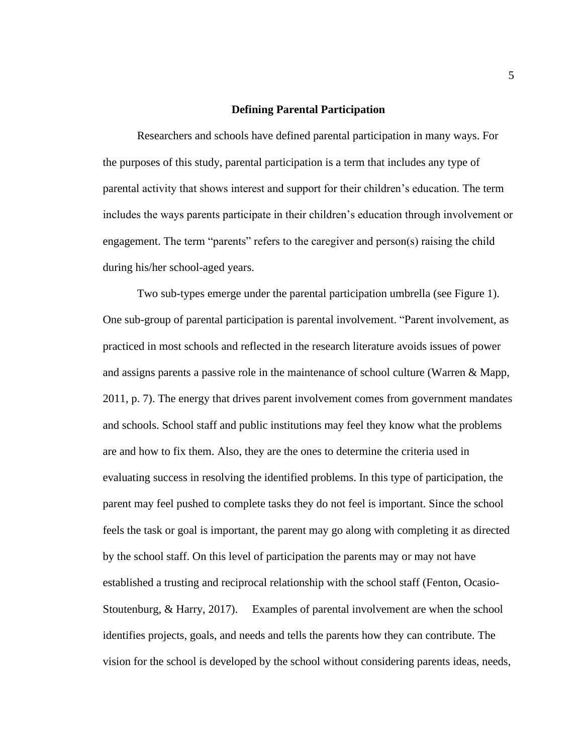#### **Defining Parental Participation**

Researchers and schools have defined parental participation in many ways. For the purposes of this study, parental participation is a term that includes any type of parental activity that shows interest and support for their children's education. The term includes the ways parents participate in their children's education through involvement or engagement. The term "parents" refers to the caregiver and person(s) raising the child during his/her school-aged years.

Two sub-types emerge under the parental participation umbrella (see Figure 1). One sub-group of parental participation is parental involvement. "Parent involvement, as practiced in most schools and reflected in the research literature avoids issues of power and assigns parents a passive role in the maintenance of school culture (Warren & Mapp, 2011, p. 7). The energy that drives parent involvement comes from government mandates and schools. School staff and public institutions may feel they know what the problems are and how to fix them. Also, they are the ones to determine the criteria used in evaluating success in resolving the identified problems. In this type of participation, the parent may feel pushed to complete tasks they do not feel is important. Since the school feels the task or goal is important, the parent may go along with completing it as directed by the school staff. On this level of participation the parents may or may not have established a trusting and reciprocal relationship with the school staff (Fenton, Ocasio-Stoutenburg, & Harry, 2017). Examples of parental involvement are when the school identifies projects, goals, and needs and tells the parents how they can contribute. The vision for the school is developed by the school without considering parents ideas, needs,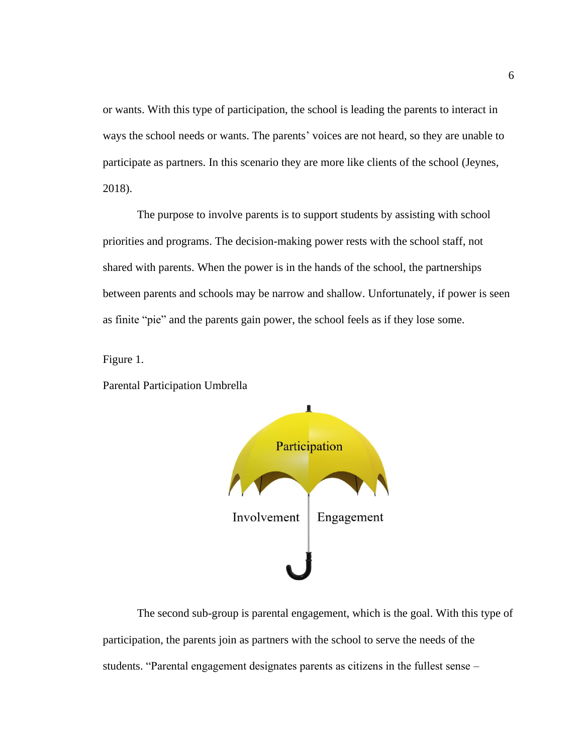or wants. With this type of participation, the school is leading the parents to interact in ways the school needs or wants. The parents' voices are not heard, so they are unable to participate as partners. In this scenario they are more like clients of the school (Jeynes, 2018).

The purpose to involve parents is to support students by assisting with school priorities and programs. The decision-making power rests with the school staff, not shared with parents. When the power is in the hands of the school, the partnerships between parents and schools may be narrow and shallow. Unfortunately, if power is seen as finite "pie" and the parents gain power, the school feels as if they lose some.

Figure 1.

Parental Participation Umbrella



The second sub-group is parental engagement, which is the goal. With this type of participation, the parents join as partners with the school to serve the needs of the students. "Parental engagement designates parents as citizens in the fullest sense –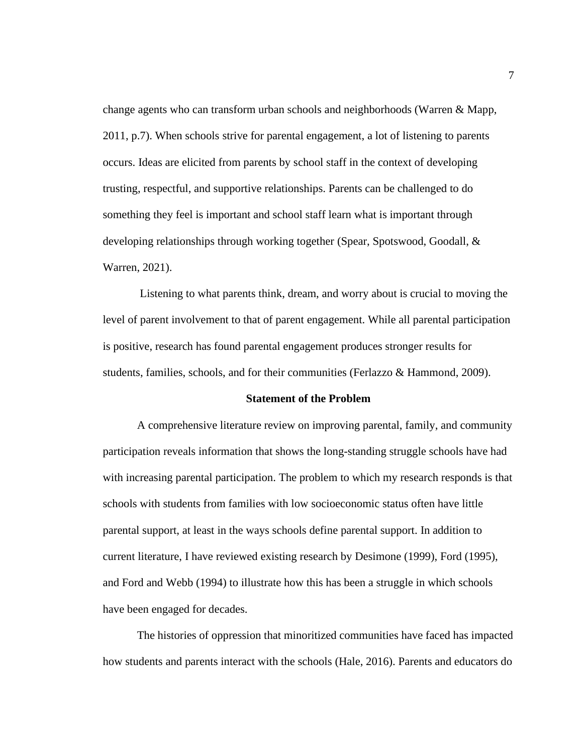change agents who can transform urban schools and neighborhoods (Warren & Mapp, 2011, p.7). When schools strive for parental engagement, a lot of listening to parents occurs. Ideas are elicited from parents by school staff in the context of developing trusting, respectful, and supportive relationships. Parents can be challenged to do something they feel is important and school staff learn what is important through developing relationships through working together (Spear, Spotswood, Goodall, & Warren, 2021).

Listening to what parents think, dream, and worry about is crucial to moving the level of parent involvement to that of parent engagement. While all parental participation is positive, research has found parental engagement produces stronger results for students, families, schools, and for their communities (Ferlazzo & Hammond, 2009).

## **Statement of the Problem**

A comprehensive literature review on improving parental, family, and community participation reveals information that shows the long-standing struggle schools have had with increasing parental participation. The problem to which my research responds is that schools with students from families with low socioeconomic status often have little parental support, at least in the ways schools define parental support. In addition to current literature, I have reviewed existing research by Desimone (1999), Ford (1995), and Ford and Webb (1994) to illustrate how this has been a struggle in which schools have been engaged for decades.

The histories of oppression that minoritized communities have faced has impacted how students and parents interact with the schools (Hale, 2016). Parents and educators do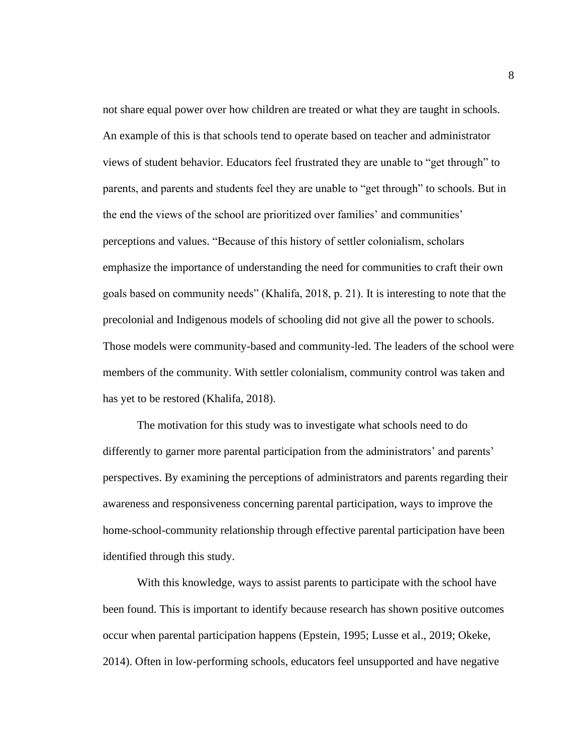not share equal power over how children are treated or what they are taught in schools. An example of this is that schools tend to operate based on teacher and administrator views of student behavior. Educators feel frustrated they are unable to "get through" to parents, and parents and students feel they are unable to "get through" to schools. But in the end the views of the school are prioritized over families' and communities' perceptions and values. "Because of this history of settler colonialism, scholars emphasize the importance of understanding the need for communities to craft their own goals based on community needs" (Khalifa, 2018, p. 21). It is interesting to note that the precolonial and Indigenous models of schooling did not give all the power to schools. Those models were community-based and community-led. The leaders of the school were members of the community. With settler colonialism, community control was taken and has yet to be restored (Khalifa, 2018).

The motivation for this study was to investigate what schools need to do differently to garner more parental participation from the administrators' and parents' perspectives. By examining the perceptions of administrators and parents regarding their awareness and responsiveness concerning parental participation, ways to improve the home-school-community relationship through effective parental participation have been identified through this study.

With this knowledge, ways to assist parents to participate with the school have been found. This is important to identify because research has shown positive outcomes occur when parental participation happens (Epstein, 1995; Lusse et al., 2019; Okeke, 2014). Often in low-performing schools, educators feel unsupported and have negative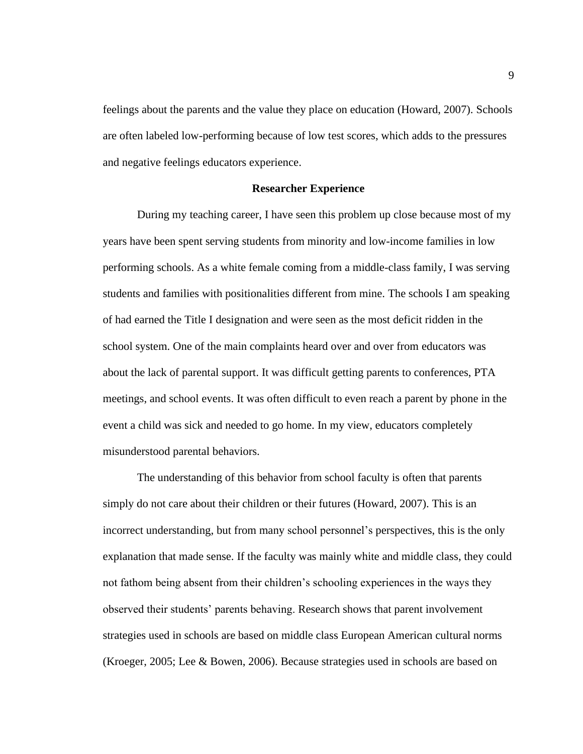feelings about the parents and the value they place on education (Howard, 2007). Schools are often labeled low-performing because of low test scores, which adds to the pressures and negative feelings educators experience.

#### **Researcher Experience**

During my teaching career, I have seen this problem up close because most of my years have been spent serving students from minority and low-income families in low performing schools. As a white female coming from a middle-class family, I was serving students and families with positionalities different from mine. The schools I am speaking of had earned the Title I designation and were seen as the most deficit ridden in the school system. One of the main complaints heard over and over from educators was about the lack of parental support. It was difficult getting parents to conferences, PTA meetings, and school events. It was often difficult to even reach a parent by phone in the event a child was sick and needed to go home. In my view, educators completely misunderstood parental behaviors.

The understanding of this behavior from school faculty is often that parents simply do not care about their children or their futures (Howard, 2007). This is an incorrect understanding, but from many school personnel's perspectives, this is the only explanation that made sense. If the faculty was mainly white and middle class, they could not fathom being absent from their children's schooling experiences in the ways they observed their students' parents behaving. Research shows that parent involvement strategies used in schools are based on middle class European American cultural norms (Kroeger, 2005; Lee & Bowen, 2006). Because strategies used in schools are based on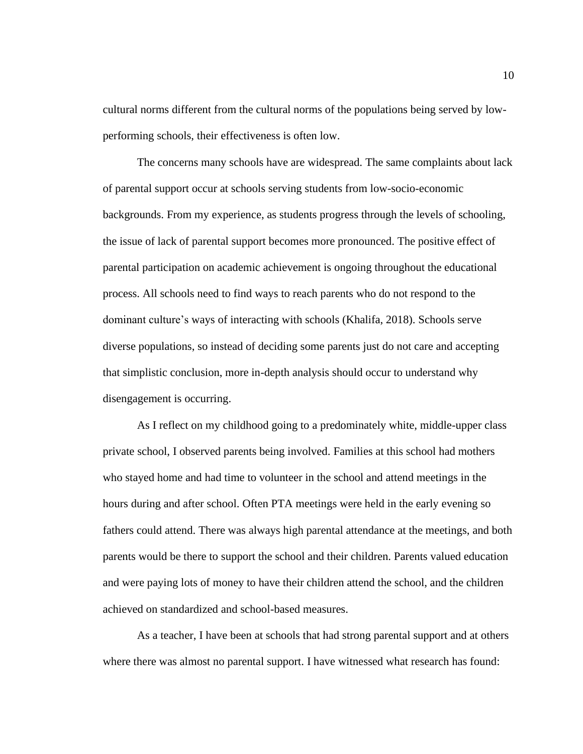cultural norms different from the cultural norms of the populations being served by lowperforming schools, their effectiveness is often low.

The concerns many schools have are widespread. The same complaints about lack of parental support occur at schools serving students from low-socio-economic backgrounds. From my experience, as students progress through the levels of schooling, the issue of lack of parental support becomes more pronounced. The positive effect of parental participation on academic achievement is ongoing throughout the educational process. All schools need to find ways to reach parents who do not respond to the dominant culture's ways of interacting with schools (Khalifa, 2018). Schools serve diverse populations, so instead of deciding some parents just do not care and accepting that simplistic conclusion, more in-depth analysis should occur to understand why disengagement is occurring.

As I reflect on my childhood going to a predominately white, middle-upper class private school, I observed parents being involved. Families at this school had mothers who stayed home and had time to volunteer in the school and attend meetings in the hours during and after school. Often PTA meetings were held in the early evening so fathers could attend. There was always high parental attendance at the meetings, and both parents would be there to support the school and their children. Parents valued education and were paying lots of money to have their children attend the school, and the children achieved on standardized and school-based measures.

As a teacher, I have been at schools that had strong parental support and at others where there was almost no parental support. I have witnessed what research has found: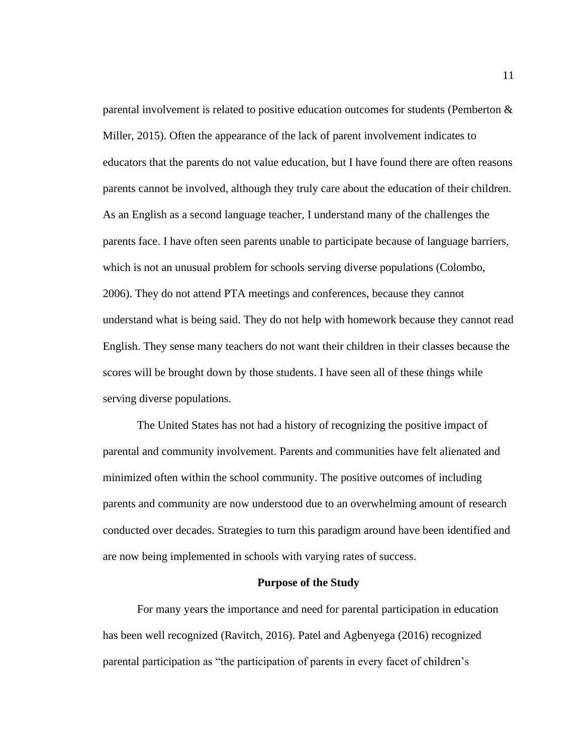parental involvement is related to positive education outcomes for students (Pemberton & Miller, 2015). Often the appearance of the lack of parent involvement indicates to educators that the parents do not value education, but I have found there are often reasons parents cannot be involved, although they truly care about the education of their children. As an English as a second language teacher, I understand many of the challenges the parents face. I have often seen parents unable to participate because of language barriers, which is not an unusual problem for schools serving diverse populations (Colombo, 2006). They do not attend PTA meetings and conferences, because they cannot understand what is being said. They do not help with homework because they cannot read English. They sense many teachers do not want their children in their classes because the scores will be brought down by those students. I have seen all of these things while serving diverse populations.

The United States has not had a history of recognizing the positive impact of parental and community involvement. Parents and communities have felt alienated and minimized often within the school community. The positive outcomes of including parents and community are now understood due to an overwhelming amount of research conducted over decades. Strategies to turn this paradigm around have been identified and are now being implemented in schools with varying rates of success.

#### **Purpose of the Study**

For many years the importance and need for parental participation in education has been well recognized (Ravitch, 2016). Patel and Agbenyega (2016) recognized parental participation as "the participation of parents in every facet of children's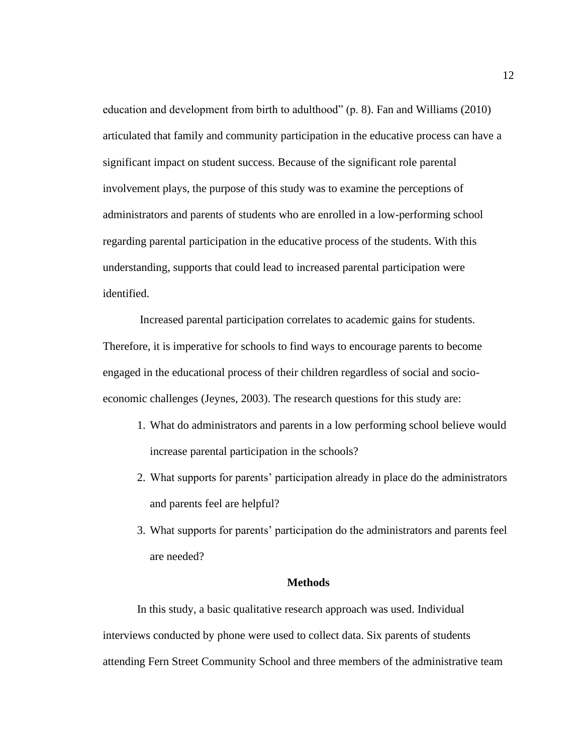education and development from birth to adulthood" (p. 8). Fan and Williams (2010) articulated that family and community participation in the educative process can have a significant impact on student success. Because of the significant role parental involvement plays, the purpose of this study was to examine the perceptions of administrators and parents of students who are enrolled in a low-performing school regarding parental participation in the educative process of the students. With this understanding, supports that could lead to increased parental participation were identified.

Increased parental participation correlates to academic gains for students. Therefore, it is imperative for schools to find ways to encourage parents to become engaged in the educational process of their children regardless of social and socioeconomic challenges (Jeynes, 2003). The research questions for this study are:

- 1. What do administrators and parents in a low performing school believe would increase parental participation in the schools?
- 2. What supports for parents' participation already in place do the administrators and parents feel are helpful?
- 3. What supports for parents' participation do the administrators and parents feel are needed?

#### **Methods**

In this study, a basic qualitative research approach was used. Individual interviews conducted by phone were used to collect data. Six parents of students attending Fern Street Community School and three members of the administrative team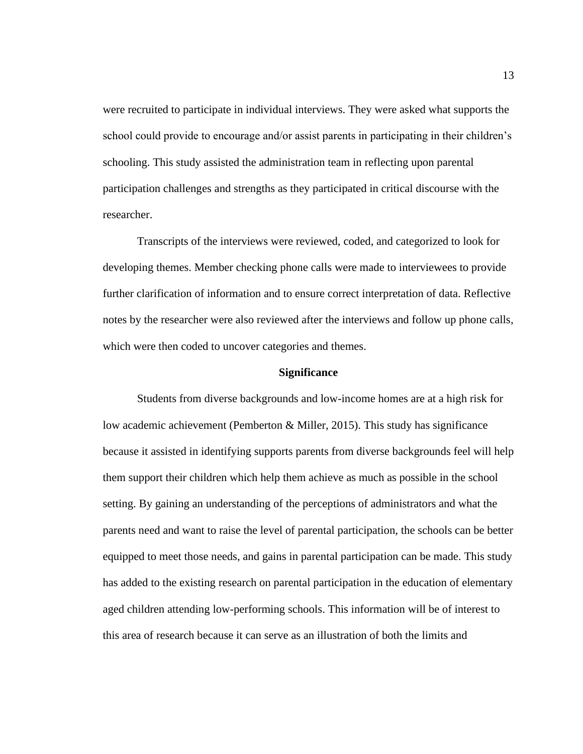were recruited to participate in individual interviews. They were asked what supports the school could provide to encourage and/or assist parents in participating in their children's schooling. This study assisted the administration team in reflecting upon parental participation challenges and strengths as they participated in critical discourse with the researcher.

Transcripts of the interviews were reviewed, coded, and categorized to look for developing themes. Member checking phone calls were made to interviewees to provide further clarification of information and to ensure correct interpretation of data. Reflective notes by the researcher were also reviewed after the interviews and follow up phone calls, which were then coded to uncover categories and themes.

#### **Significance**

Students from diverse backgrounds and low-income homes are at a high risk for low academic achievement (Pemberton & Miller, 2015). This study has significance because it assisted in identifying supports parents from diverse backgrounds feel will help them support their children which help them achieve as much as possible in the school setting. By gaining an understanding of the perceptions of administrators and what the parents need and want to raise the level of parental participation, the schools can be better equipped to meet those needs, and gains in parental participation can be made. This study has added to the existing research on parental participation in the education of elementary aged children attending low-performing schools. This information will be of interest to this area of research because it can serve as an illustration of both the limits and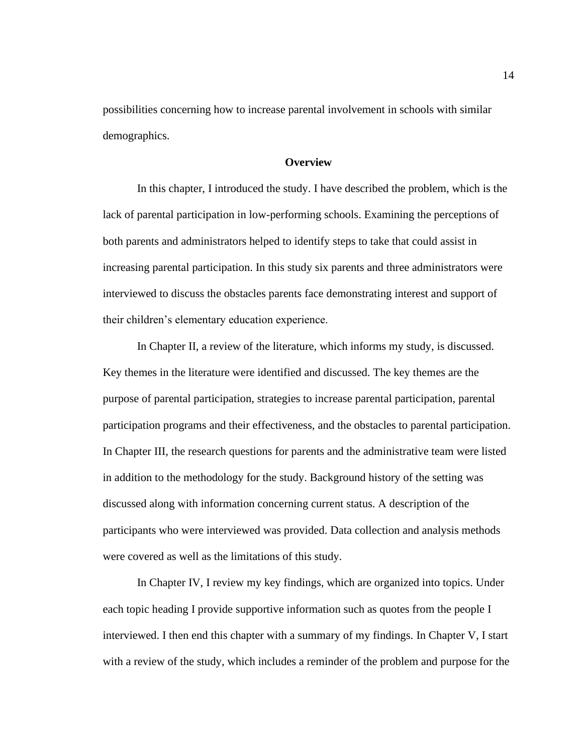possibilities concerning how to increase parental involvement in schools with similar demographics.

# **Overview**

In this chapter, I introduced the study. I have described the problem, which is the lack of parental participation in low-performing schools. Examining the perceptions of both parents and administrators helped to identify steps to take that could assist in increasing parental participation. In this study six parents and three administrators were interviewed to discuss the obstacles parents face demonstrating interest and support of their children's elementary education experience.

In Chapter II, a review of the literature, which informs my study, is discussed. Key themes in the literature were identified and discussed. The key themes are the purpose of parental participation, strategies to increase parental participation, parental participation programs and their effectiveness, and the obstacles to parental participation. In Chapter III, the research questions for parents and the administrative team were listed in addition to the methodology for the study. Background history of the setting was discussed along with information concerning current status. A description of the participants who were interviewed was provided. Data collection and analysis methods were covered as well as the limitations of this study.

In Chapter IV, I review my key findings, which are organized into topics. Under each topic heading I provide supportive information such as quotes from the people I interviewed. I then end this chapter with a summary of my findings. In Chapter V, I start with a review of the study, which includes a reminder of the problem and purpose for the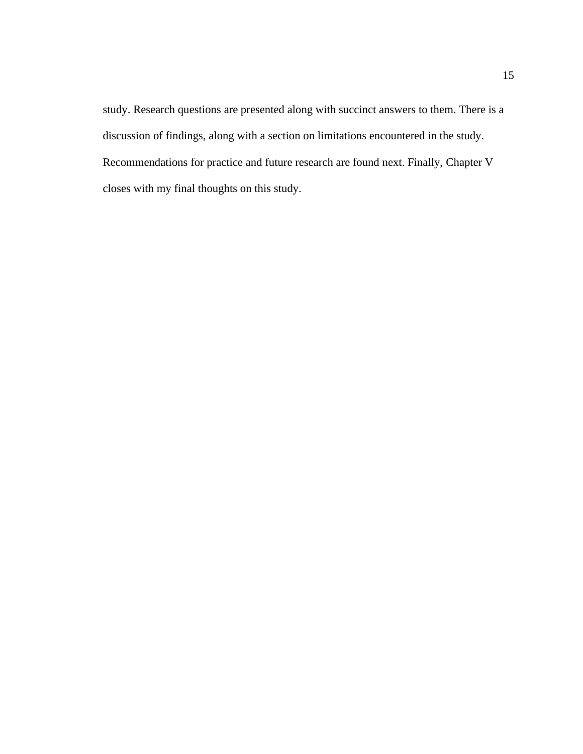study. Research questions are presented along with succinct answers to them. There is a discussion of findings, along with a section on limitations encountered in the study. Recommendations for practice and future research are found next. Finally, Chapter V closes with my final thoughts on this study.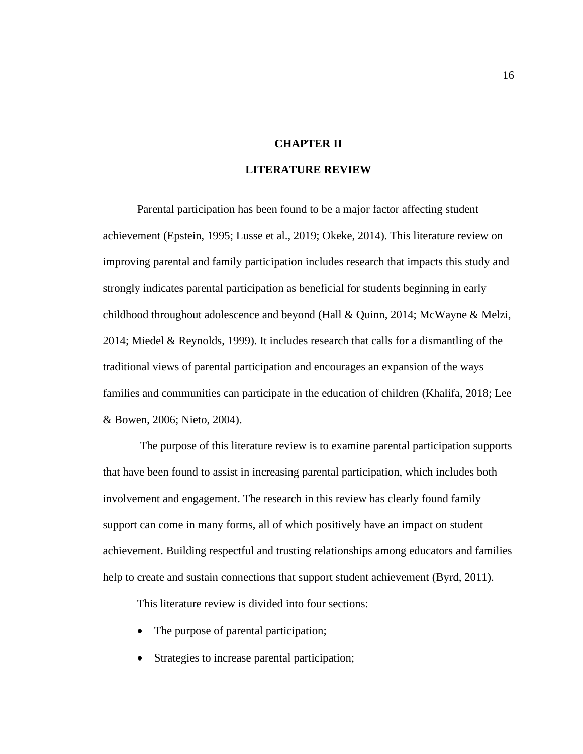# **CHAPTER II**

# **LITERATURE REVIEW**

Parental participation has been found to be a major factor affecting student achievement (Epstein, 1995; Lusse et al., 2019; Okeke, 2014). This literature review on improving parental and family participation includes research that impacts this study and strongly indicates parental participation as beneficial for students beginning in early childhood throughout adolescence and beyond (Hall & Quinn, 2014; McWayne & Melzi, 2014; Miedel & Reynolds, 1999). It includes research that calls for a dismantling of the traditional views of parental participation and encourages an expansion of the ways families and communities can participate in the education of children (Khalifa, 2018; Lee & Bowen, 2006; Nieto, 2004).

The purpose of this literature review is to examine parental participation supports that have been found to assist in increasing parental participation, which includes both involvement and engagement. The research in this review has clearly found family support can come in many forms, all of which positively have an impact on student achievement. Building respectful and trusting relationships among educators and families help to create and sustain connections that support student achievement (Byrd, 2011).

This literature review is divided into four sections:

- The purpose of parental participation;
- Strategies to increase parental participation;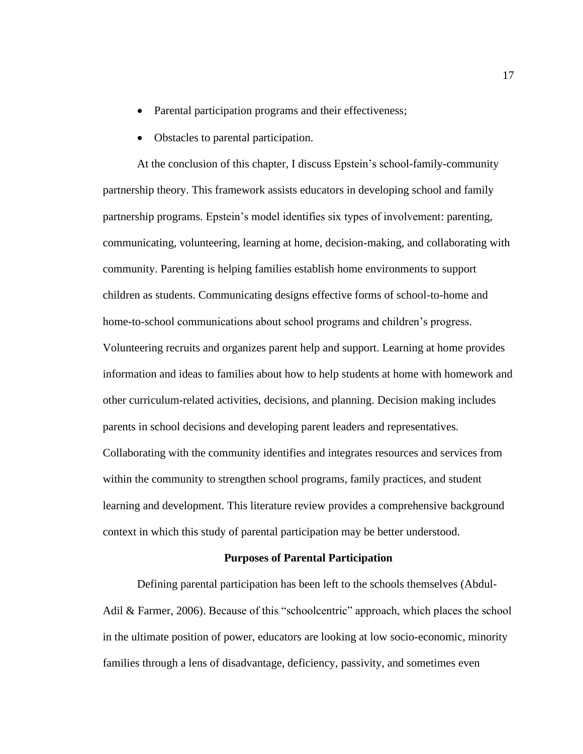- Parental participation programs and their effectiveness;
- Obstacles to parental participation.

At the conclusion of this chapter, I discuss Epstein's school-family-community partnership theory. This framework assists educators in developing school and family partnership programs. Epstein's model identifies six types of involvement: parenting, communicating, volunteering, learning at home, decision-making, and collaborating with community. Parenting is helping families establish home environments to support children as students. Communicating designs effective forms of school-to-home and home-to-school communications about school programs and children's progress. Volunteering recruits and organizes parent help and support. Learning at home provides information and ideas to families about how to help students at home with homework and other curriculum-related activities, decisions, and planning. Decision making includes parents in school decisions and developing parent leaders and representatives. Collaborating with the community identifies and integrates resources and services from within the community to strengthen school programs, family practices, and student learning and development. This literature review provides a comprehensive background context in which this study of parental participation may be better understood.

# **Purposes of Parental Participation**

Defining parental participation has been left to the schools themselves (Abdul-Adil & Farmer, 2006). Because of this "schoolcentric" approach, which places the school in the ultimate position of power, educators are looking at low socio-economic, minority families through a lens of disadvantage, deficiency, passivity, and sometimes even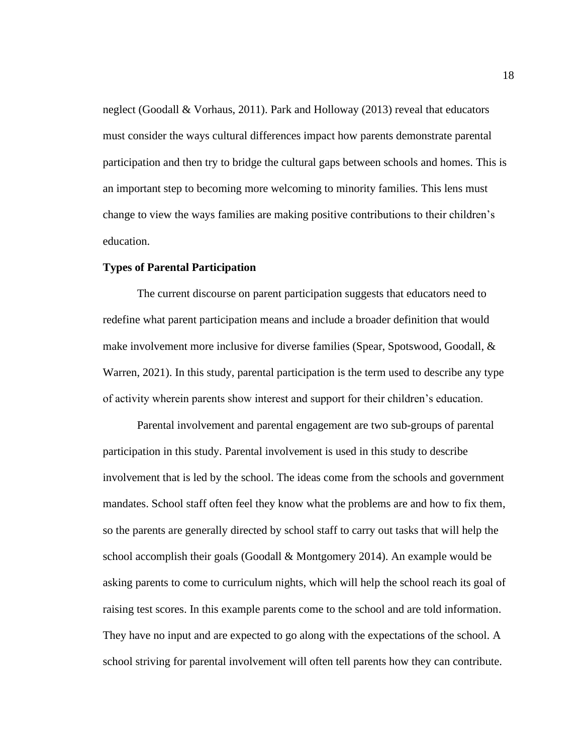neglect (Goodall & Vorhaus, 2011). Park and Holloway (2013) reveal that educators must consider the ways cultural differences impact how parents demonstrate parental participation and then try to bridge the cultural gaps between schools and homes. This is an important step to becoming more welcoming to minority families. This lens must change to view the ways families are making positive contributions to their children's education.

# **Types of Parental Participation**

The current discourse on parent participation suggests that educators need to redefine what parent participation means and include a broader definition that would make involvement more inclusive for diverse families (Spear, Spotswood, Goodall, & Warren, 2021). In this study, parental participation is the term used to describe any type of activity wherein parents show interest and support for their children's education.

Parental involvement and parental engagement are two sub-groups of parental participation in this study. Parental involvement is used in this study to describe involvement that is led by the school. The ideas come from the schools and government mandates. School staff often feel they know what the problems are and how to fix them, so the parents are generally directed by school staff to carry out tasks that will help the school accomplish their goals (Goodall & Montgomery 2014). An example would be asking parents to come to curriculum nights, which will help the school reach its goal of raising test scores. In this example parents come to the school and are told information. They have no input and are expected to go along with the expectations of the school. A school striving for parental involvement will often tell parents how they can contribute.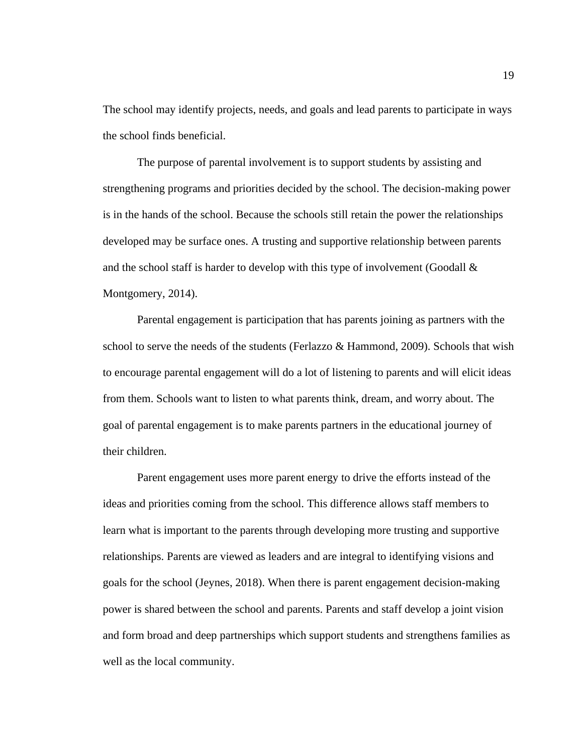The school may identify projects, needs, and goals and lead parents to participate in ways the school finds beneficial.

The purpose of parental involvement is to support students by assisting and strengthening programs and priorities decided by the school. The decision-making power is in the hands of the school. Because the schools still retain the power the relationships developed may be surface ones. A trusting and supportive relationship between parents and the school staff is harder to develop with this type of involvement (Goodall  $\&$ Montgomery, 2014).

Parental engagement is participation that has parents joining as partners with the school to serve the needs of the students (Ferlazzo & Hammond, 2009). Schools that wish to encourage parental engagement will do a lot of listening to parents and will elicit ideas from them. Schools want to listen to what parents think, dream, and worry about. The goal of parental engagement is to make parents partners in the educational journey of their children.

Parent engagement uses more parent energy to drive the efforts instead of the ideas and priorities coming from the school. This difference allows staff members to learn what is important to the parents through developing more trusting and supportive relationships. Parents are viewed as leaders and are integral to identifying visions and goals for the school (Jeynes, 2018). When there is parent engagement decision-making power is shared between the school and parents. Parents and staff develop a joint vision and form broad and deep partnerships which support students and strengthens families as well as the local community.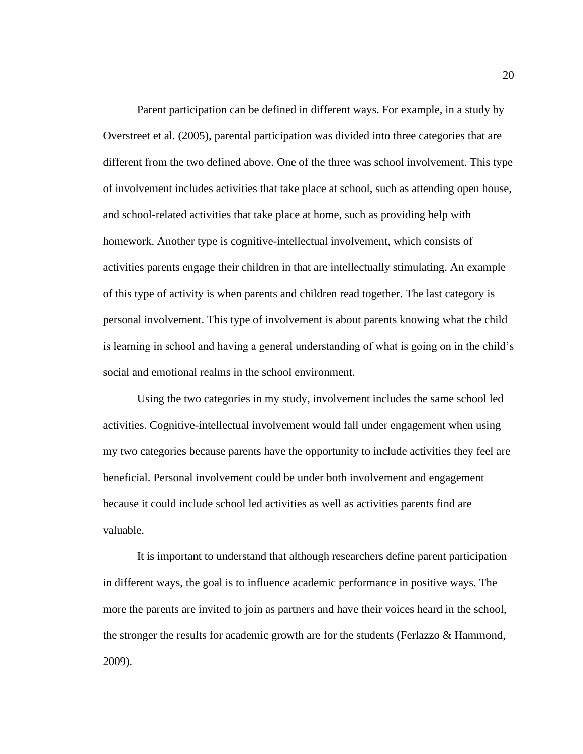Parent participation can be defined in different ways. For example, in a study by Overstreet et al. (2005), parental participation was divided into three categories that are different from the two defined above. One of the three was school involvement. This type of involvement includes activities that take place at school, such as attending open house, and school-related activities that take place at home, such as providing help with homework. Another type is cognitive-intellectual involvement, which consists of activities parents engage their children in that are intellectually stimulating. An example of this type of activity is when parents and children read together. The last category is personal involvement. This type of involvement is about parents knowing what the child is learning in school and having a general understanding of what is going on in the child's social and emotional realms in the school environment.

Using the two categories in my study, involvement includes the same school led activities. Cognitive-intellectual involvement would fall under engagement when using my two categories because parents have the opportunity to include activities they feel are beneficial. Personal involvement could be under both involvement and engagement because it could include school led activities as well as activities parents find are valuable.

It is important to understand that although researchers define parent participation in different ways, the goal is to influence academic performance in positive ways. The more the parents are invited to join as partners and have their voices heard in the school, the stronger the results for academic growth are for the students (Ferlazzo & Hammond, 2009).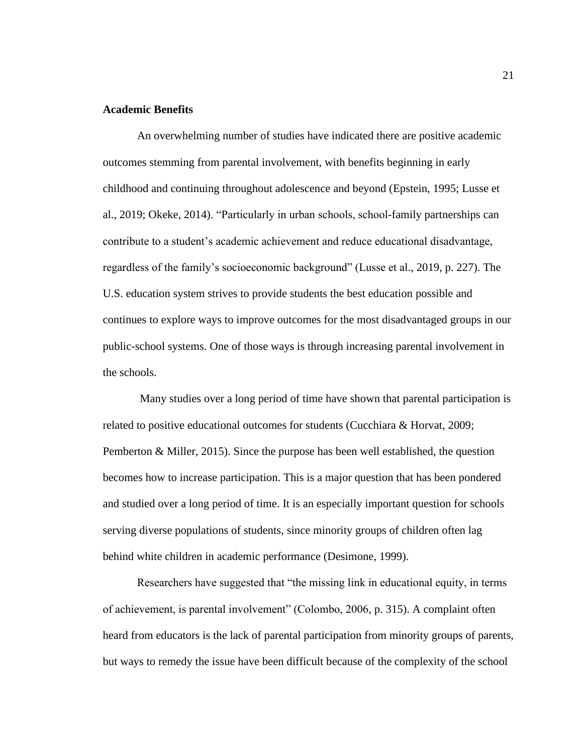# **Academic Benefits**

An overwhelming number of studies have indicated there are positive academic outcomes stemming from parental involvement, with benefits beginning in early childhood and continuing throughout adolescence and beyond (Epstein, 1995; Lusse et al., 2019; Okeke, 2014). "Particularly in urban schools, school-family partnerships can contribute to a student's academic achievement and reduce educational disadvantage, regardless of the family's socioeconomic background" (Lusse et al., 2019, p. 227). The U.S. education system strives to provide students the best education possible and continues to explore ways to improve outcomes for the most disadvantaged groups in our public-school systems. One of those ways is through increasing parental involvement in the schools.

Many studies over a long period of time have shown that parental participation is related to positive educational outcomes for students (Cucchiara & Horvat, 2009; Pemberton & Miller, 2015). Since the purpose has been well established, the question becomes how to increase participation. This is a major question that has been pondered and studied over a long period of time. It is an especially important question for schools serving diverse populations of students, since minority groups of children often lag behind white children in academic performance (Desimone, 1999).

Researchers have suggested that "the missing link in educational equity, in terms of achievement, is parental involvement" (Colombo, 2006, p. 315). A complaint often heard from educators is the lack of parental participation from minority groups of parents, but ways to remedy the issue have been difficult because of the complexity of the school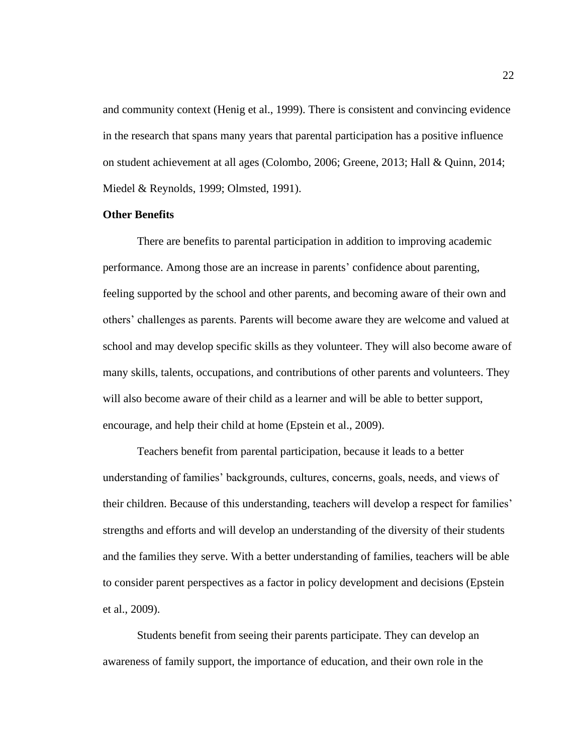and community context (Henig et al., 1999). There is consistent and convincing evidence in the research that spans many years that parental participation has a positive influence on student achievement at all ages (Colombo, 2006; Greene, 2013; Hall & Quinn, 2014; Miedel & Reynolds, 1999; Olmsted, 1991).

# **Other Benefits**

There are benefits to parental participation in addition to improving academic performance. Among those are an increase in parents' confidence about parenting, feeling supported by the school and other parents, and becoming aware of their own and others' challenges as parents. Parents will become aware they are welcome and valued at school and may develop specific skills as they volunteer. They will also become aware of many skills, talents, occupations, and contributions of other parents and volunteers. They will also become aware of their child as a learner and will be able to better support, encourage, and help their child at home (Epstein et al., 2009).

Teachers benefit from parental participation, because it leads to a better understanding of families' backgrounds, cultures, concerns, goals, needs, and views of their children. Because of this understanding, teachers will develop a respect for families' strengths and efforts and will develop an understanding of the diversity of their students and the families they serve. With a better understanding of families, teachers will be able to consider parent perspectives as a factor in policy development and decisions (Epstein et al., 2009).

Students benefit from seeing their parents participate. They can develop an awareness of family support, the importance of education, and their own role in the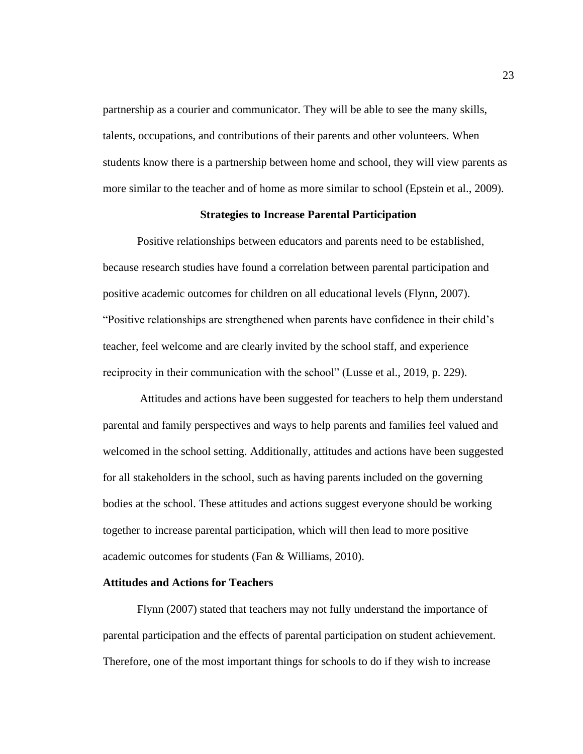partnership as a courier and communicator. They will be able to see the many skills, talents, occupations, and contributions of their parents and other volunteers. When students know there is a partnership between home and school, they will view parents as more similar to the teacher and of home as more similar to school (Epstein et al., 2009).

#### **Strategies to Increase Parental Participation**

Positive relationships between educators and parents need to be established, because research studies have found a correlation between parental participation and positive academic outcomes for children on all educational levels (Flynn, 2007). "Positive relationships are strengthened when parents have confidence in their child's teacher, feel welcome and are clearly invited by the school staff, and experience reciprocity in their communication with the school" (Lusse et al., 2019, p. 229).

Attitudes and actions have been suggested for teachers to help them understand parental and family perspectives and ways to help parents and families feel valued and welcomed in the school setting. Additionally, attitudes and actions have been suggested for all stakeholders in the school, such as having parents included on the governing bodies at the school. These attitudes and actions suggest everyone should be working together to increase parental participation, which will then lead to more positive academic outcomes for students (Fan & Williams, 2010).

### **Attitudes and Actions for Teachers**

Flynn (2007) stated that teachers may not fully understand the importance of parental participation and the effects of parental participation on student achievement. Therefore, one of the most important things for schools to do if they wish to increase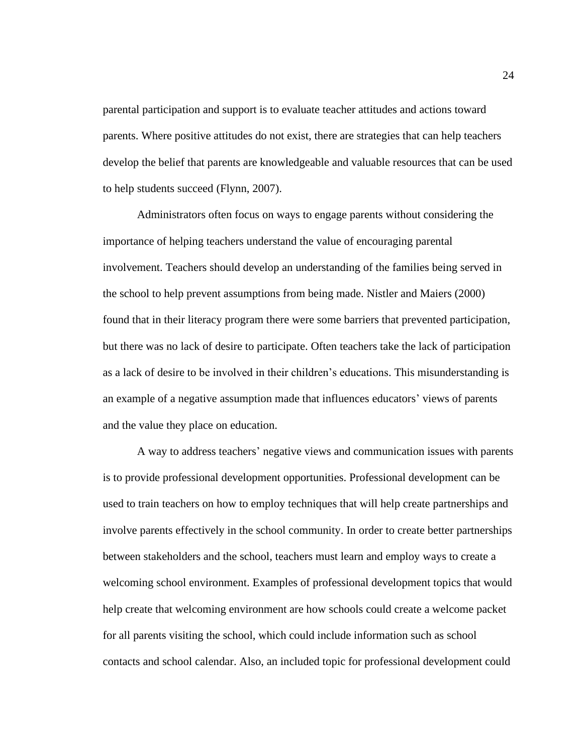parental participation and support is to evaluate teacher attitudes and actions toward parents. Where positive attitudes do not exist, there are strategies that can help teachers develop the belief that parents are knowledgeable and valuable resources that can be used to help students succeed (Flynn, 2007).

Administrators often focus on ways to engage parents without considering the importance of helping teachers understand the value of encouraging parental involvement. Teachers should develop an understanding of the families being served in the school to help prevent assumptions from being made. Nistler and Maiers (2000) found that in their literacy program there were some barriers that prevented participation, but there was no lack of desire to participate. Often teachers take the lack of participation as a lack of desire to be involved in their children's educations. This misunderstanding is an example of a negative assumption made that influences educators' views of parents and the value they place on education.

A way to address teachers' negative views and communication issues with parents is to provide professional development opportunities. Professional development can be used to train teachers on how to employ techniques that will help create partnerships and involve parents effectively in the school community. In order to create better partnerships between stakeholders and the school, teachers must learn and employ ways to create a welcoming school environment. Examples of professional development topics that would help create that welcoming environment are how schools could create a welcome packet for all parents visiting the school, which could include information such as school contacts and school calendar. Also, an included topic for professional development could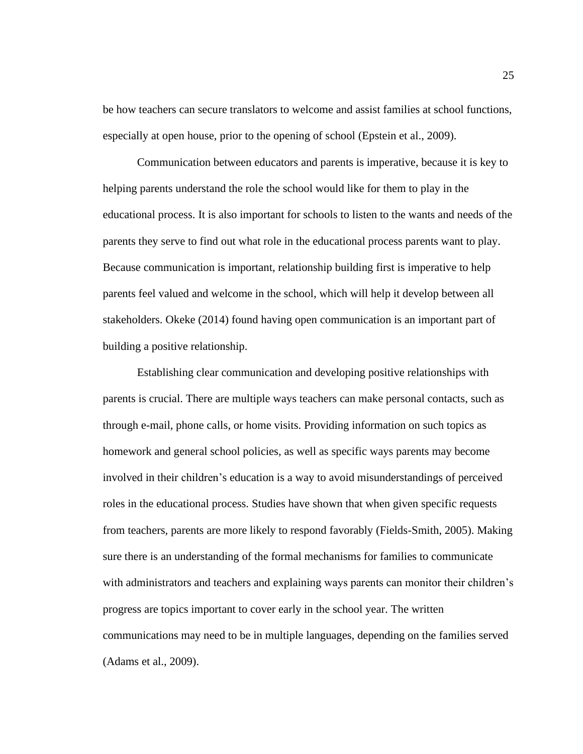be how teachers can secure translators to welcome and assist families at school functions, especially at open house, prior to the opening of school (Epstein et al., 2009).

Communication between educators and parents is imperative, because it is key to helping parents understand the role the school would like for them to play in the educational process. It is also important for schools to listen to the wants and needs of the parents they serve to find out what role in the educational process parents want to play. Because communication is important, relationship building first is imperative to help parents feel valued and welcome in the school, which will help it develop between all stakeholders. Okeke (2014) found having open communication is an important part of building a positive relationship.

Establishing clear communication and developing positive relationships with parents is crucial. There are multiple ways teachers can make personal contacts, such as through e-mail, phone calls, or home visits. Providing information on such topics as homework and general school policies, as well as specific ways parents may become involved in their children's education is a way to avoid misunderstandings of perceived roles in the educational process. Studies have shown that when given specific requests from teachers, parents are more likely to respond favorably (Fields-Smith, 2005). Making sure there is an understanding of the formal mechanisms for families to communicate with administrators and teachers and explaining ways parents can monitor their children's progress are topics important to cover early in the school year. The written communications may need to be in multiple languages, depending on the families served (Adams et al., 2009).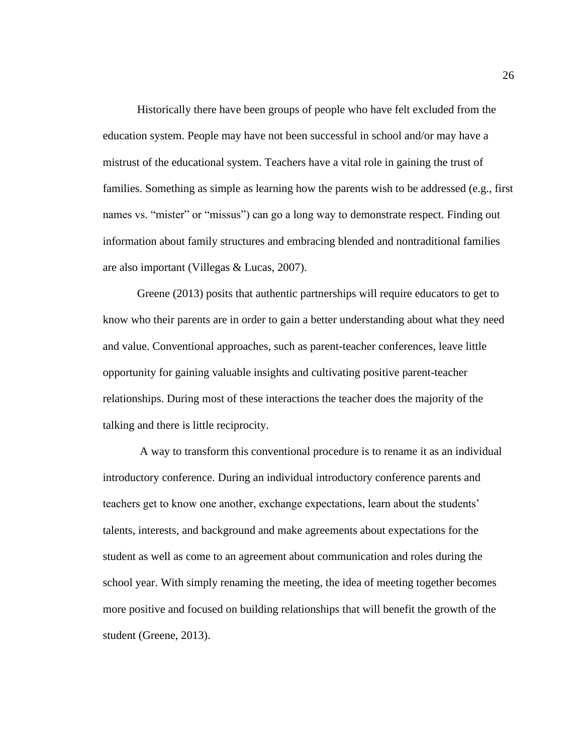Historically there have been groups of people who have felt excluded from the education system. People may have not been successful in school and/or may have a mistrust of the educational system. Teachers have a vital role in gaining the trust of families. Something as simple as learning how the parents wish to be addressed (e.g., first names vs. "mister" or "missus") can go a long way to demonstrate respect. Finding out information about family structures and embracing blended and nontraditional families are also important (Villegas & Lucas, 2007).

Greene (2013) posits that authentic partnerships will require educators to get to know who their parents are in order to gain a better understanding about what they need and value. Conventional approaches, such as parent-teacher conferences, leave little opportunity for gaining valuable insights and cultivating positive parent-teacher relationships. During most of these interactions the teacher does the majority of the talking and there is little reciprocity.

A way to transform this conventional procedure is to rename it as an individual introductory conference. During an individual introductory conference parents and teachers get to know one another, exchange expectations, learn about the students' talents, interests, and background and make agreements about expectations for the student as well as come to an agreement about communication and roles during the school year. With simply renaming the meeting, the idea of meeting together becomes more positive and focused on building relationships that will benefit the growth of the student (Greene, 2013).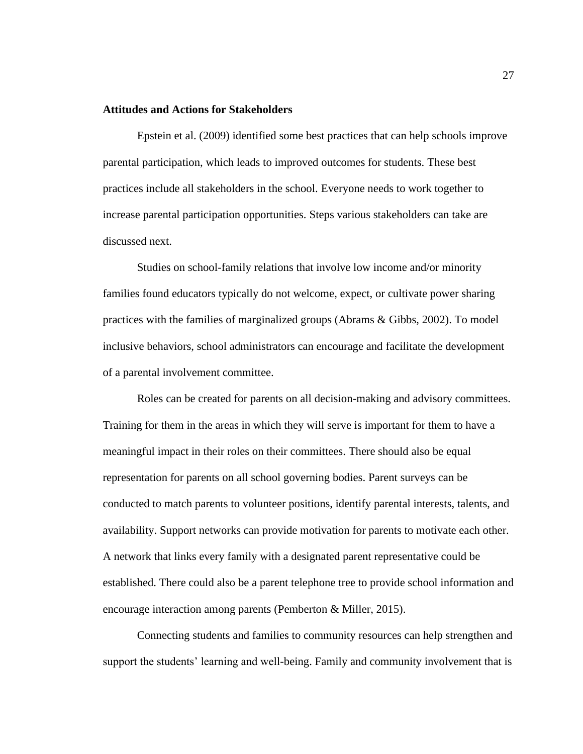# **Attitudes and Actions for Stakeholders**

Epstein et al. (2009) identified some best practices that can help schools improve parental participation, which leads to improved outcomes for students. These best practices include all stakeholders in the school. Everyone needs to work together to increase parental participation opportunities. Steps various stakeholders can take are discussed next.

Studies on school-family relations that involve low income and/or minority families found educators typically do not welcome, expect, or cultivate power sharing practices with the families of marginalized groups (Abrams & Gibbs, 2002). To model inclusive behaviors, school administrators can encourage and facilitate the development of a parental involvement committee.

Roles can be created for parents on all decision-making and advisory committees. Training for them in the areas in which they will serve is important for them to have a meaningful impact in their roles on their committees. There should also be equal representation for parents on all school governing bodies. Parent surveys can be conducted to match parents to volunteer positions, identify parental interests, talents, and availability. Support networks can provide motivation for parents to motivate each other. A network that links every family with a designated parent representative could be established. There could also be a parent telephone tree to provide school information and encourage interaction among parents (Pemberton & Miller, 2015).

Connecting students and families to community resources can help strengthen and support the students' learning and well-being. Family and community involvement that is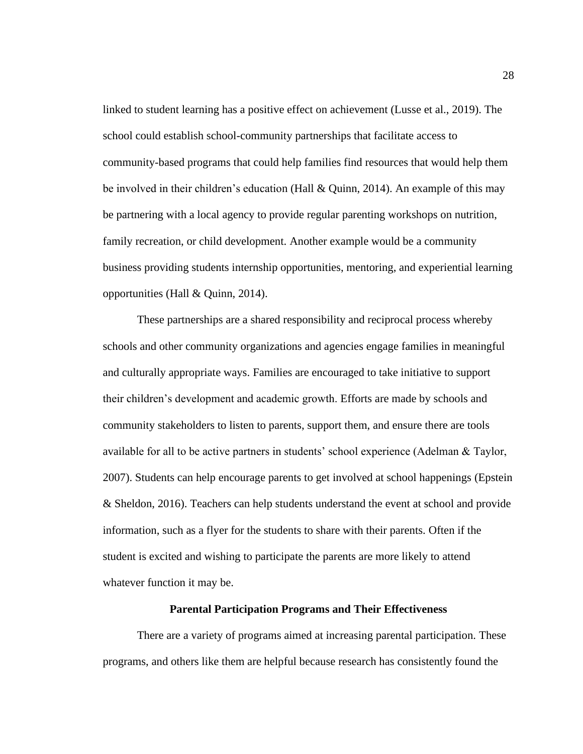linked to student learning has a positive effect on achievement (Lusse et al., 2019). The school could establish school-community partnerships that facilitate access to community-based programs that could help families find resources that would help them be involved in their children's education (Hall & Quinn, 2014). An example of this may be partnering with a local agency to provide regular parenting workshops on nutrition, family recreation, or child development. Another example would be a community business providing students internship opportunities, mentoring, and experiential learning opportunities (Hall & Quinn, 2014).

These partnerships are a shared responsibility and reciprocal process whereby schools and other community organizations and agencies engage families in meaningful and culturally appropriate ways. Families are encouraged to take initiative to support their children's development and academic growth. Efforts are made by schools and community stakeholders to listen to parents, support them, and ensure there are tools available for all to be active partners in students' school experience (Adelman & Taylor, 2007). Students can help encourage parents to get involved at school happenings (Epstein & Sheldon, 2016). Teachers can help students understand the event at school and provide information, such as a flyer for the students to share with their parents. Often if the student is excited and wishing to participate the parents are more likely to attend whatever function it may be.

### **Parental Participation Programs and Their Effectiveness**

There are a variety of programs aimed at increasing parental participation. These programs, and others like them are helpful because research has consistently found the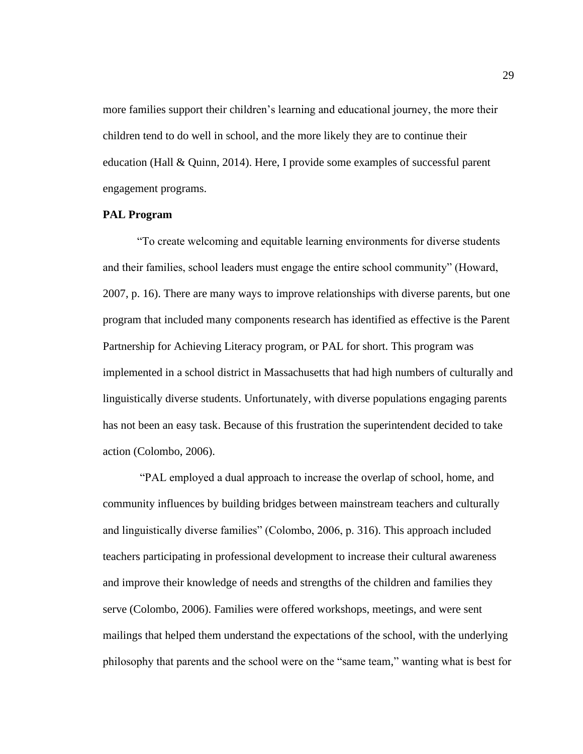more families support their children's learning and educational journey, the more their children tend to do well in school, and the more likely they are to continue their education (Hall & Quinn, 2014). Here, I provide some examples of successful parent engagement programs.

### **PAL Program**

"To create welcoming and equitable learning environments for diverse students and their families, school leaders must engage the entire school community" (Howard, 2007, p. 16). There are many ways to improve relationships with diverse parents, but one program that included many components research has identified as effective is the Parent Partnership for Achieving Literacy program, or PAL for short. This program was implemented in a school district in Massachusetts that had high numbers of culturally and linguistically diverse students. Unfortunately, with diverse populations engaging parents has not been an easy task. Because of this frustration the superintendent decided to take action (Colombo, 2006).

"PAL employed a dual approach to increase the overlap of school, home, and community influences by building bridges between mainstream teachers and culturally and linguistically diverse families" (Colombo, 2006, p. 316). This approach included teachers participating in professional development to increase their cultural awareness and improve their knowledge of needs and strengths of the children and families they serve (Colombo, 2006). Families were offered workshops, meetings, and were sent mailings that helped them understand the expectations of the school, with the underlying philosophy that parents and the school were on the "same team," wanting what is best for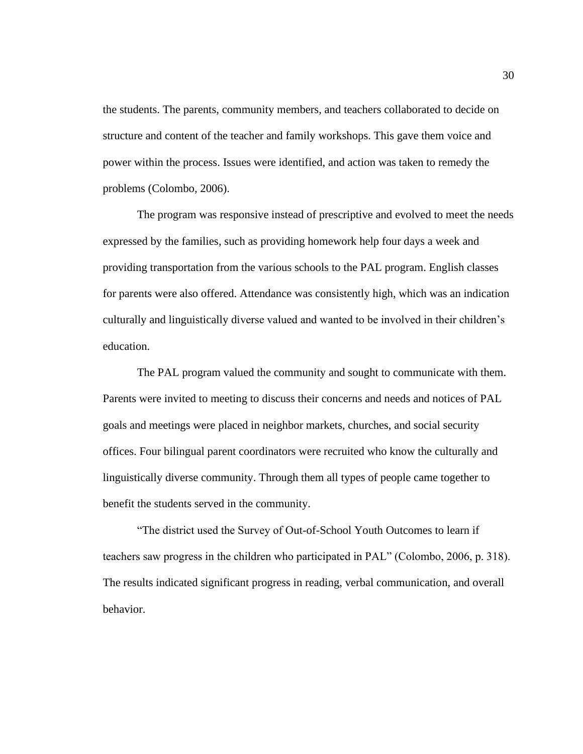the students. The parents, community members, and teachers collaborated to decide on structure and content of the teacher and family workshops. This gave them voice and power within the process. Issues were identified, and action was taken to remedy the problems (Colombo, 2006).

The program was responsive instead of prescriptive and evolved to meet the needs expressed by the families, such as providing homework help four days a week and providing transportation from the various schools to the PAL program. English classes for parents were also offered. Attendance was consistently high, which was an indication culturally and linguistically diverse valued and wanted to be involved in their children's education.

The PAL program valued the community and sought to communicate with them. Parents were invited to meeting to discuss their concerns and needs and notices of PAL goals and meetings were placed in neighbor markets, churches, and social security offices. Four bilingual parent coordinators were recruited who know the culturally and linguistically diverse community. Through them all types of people came together to benefit the students served in the community.

"The district used the Survey of Out-of-School Youth Outcomes to learn if teachers saw progress in the children who participated in PAL" (Colombo, 2006, p. 318). The results indicated significant progress in reading, verbal communication, and overall behavior.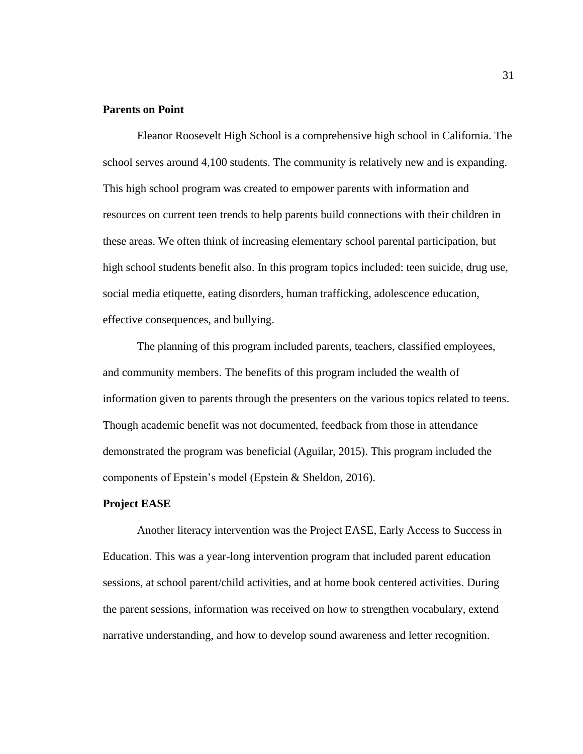# **Parents on Point**

Eleanor Roosevelt High School is a comprehensive high school in California. The school serves around 4,100 students. The community is relatively new and is expanding. This high school program was created to empower parents with information and resources on current teen trends to help parents build connections with their children in these areas. We often think of increasing elementary school parental participation, but high school students benefit also. In this program topics included: teen suicide, drug use, social media etiquette, eating disorders, human trafficking, adolescence education, effective consequences, and bullying.

The planning of this program included parents, teachers, classified employees, and community members. The benefits of this program included the wealth of information given to parents through the presenters on the various topics related to teens. Though academic benefit was not documented, feedback from those in attendance demonstrated the program was beneficial (Aguilar, 2015). This program included the components of Epstein's model (Epstein & Sheldon, 2016).

# **Project EASE**

Another literacy intervention was the Project EASE, Early Access to Success in Education. This was a year-long intervention program that included parent education sessions, at school parent/child activities, and at home book centered activities. During the parent sessions, information was received on how to strengthen vocabulary, extend narrative understanding, and how to develop sound awareness and letter recognition.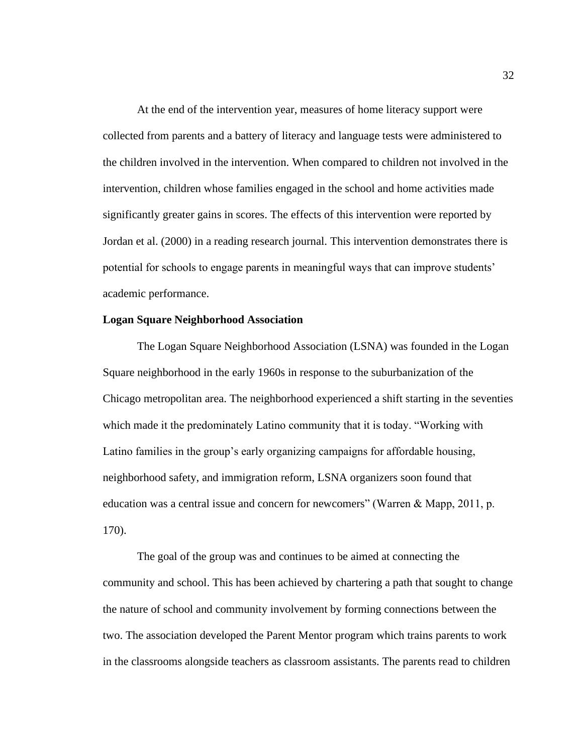At the end of the intervention year, measures of home literacy support were collected from parents and a battery of literacy and language tests were administered to the children involved in the intervention. When compared to children not involved in the intervention, children whose families engaged in the school and home activities made significantly greater gains in scores. The effects of this intervention were reported by Jordan et al. (2000) in a reading research journal. This intervention demonstrates there is potential for schools to engage parents in meaningful ways that can improve students' academic performance.

### **Logan Square Neighborhood Association**

The Logan Square Neighborhood Association (LSNA) was founded in the Logan Square neighborhood in the early 1960s in response to the suburbanization of the Chicago metropolitan area. The neighborhood experienced a shift starting in the seventies which made it the predominately Latino community that it is today. "Working with Latino families in the group's early organizing campaigns for affordable housing, neighborhood safety, and immigration reform, LSNA organizers soon found that education was a central issue and concern for newcomers" (Warren & Mapp, 2011, p. 170).

The goal of the group was and continues to be aimed at connecting the community and school. This has been achieved by chartering a path that sought to change the nature of school and community involvement by forming connections between the two. The association developed the Parent Mentor program which trains parents to work in the classrooms alongside teachers as classroom assistants. The parents read to children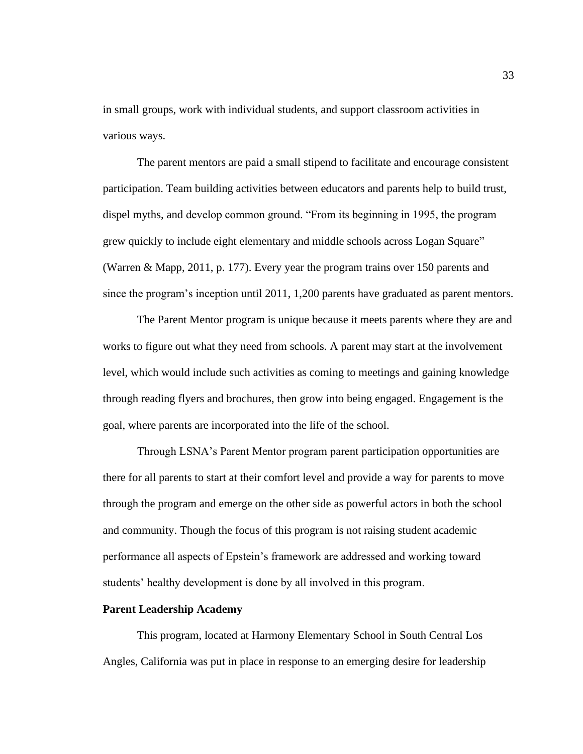in small groups, work with individual students, and support classroom activities in various ways.

The parent mentors are paid a small stipend to facilitate and encourage consistent participation. Team building activities between educators and parents help to build trust, dispel myths, and develop common ground. "From its beginning in 1995, the program grew quickly to include eight elementary and middle schools across Logan Square" (Warren & Mapp, 2011, p. 177). Every year the program trains over 150 parents and since the program's inception until 2011, 1,200 parents have graduated as parent mentors.

The Parent Mentor program is unique because it meets parents where they are and works to figure out what they need from schools. A parent may start at the involvement level, which would include such activities as coming to meetings and gaining knowledge through reading flyers and brochures, then grow into being engaged. Engagement is the goal, where parents are incorporated into the life of the school.

Through LSNA's Parent Mentor program parent participation opportunities are there for all parents to start at their comfort level and provide a way for parents to move through the program and emerge on the other side as powerful actors in both the school and community. Though the focus of this program is not raising student academic performance all aspects of Epstein's framework are addressed and working toward students' healthy development is done by all involved in this program.

# **Parent Leadership Academy**

This program, located at Harmony Elementary School in South Central Los Angles, California was put in place in response to an emerging desire for leadership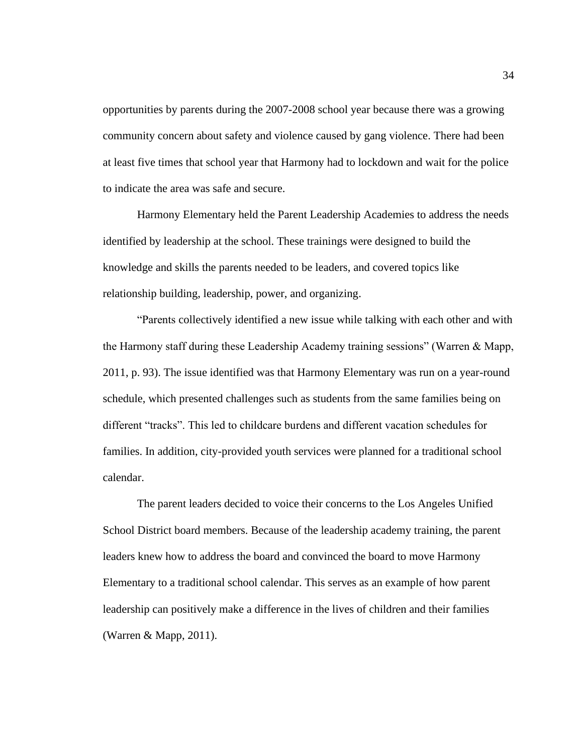opportunities by parents during the 2007-2008 school year because there was a growing community concern about safety and violence caused by gang violence. There had been at least five times that school year that Harmony had to lockdown and wait for the police to indicate the area was safe and secure.

Harmony Elementary held the Parent Leadership Academies to address the needs identified by leadership at the school. These trainings were designed to build the knowledge and skills the parents needed to be leaders, and covered topics like relationship building, leadership, power, and organizing.

"Parents collectively identified a new issue while talking with each other and with the Harmony staff during these Leadership Academy training sessions" (Warren & Mapp, 2011, p. 93). The issue identified was that Harmony Elementary was run on a year-round schedule, which presented challenges such as students from the same families being on different "tracks". This led to childcare burdens and different vacation schedules for families. In addition, city-provided youth services were planned for a traditional school calendar.

The parent leaders decided to voice their concerns to the Los Angeles Unified School District board members. Because of the leadership academy training, the parent leaders knew how to address the board and convinced the board to move Harmony Elementary to a traditional school calendar. This serves as an example of how parent leadership can positively make a difference in the lives of children and their families (Warren & Mapp, 2011).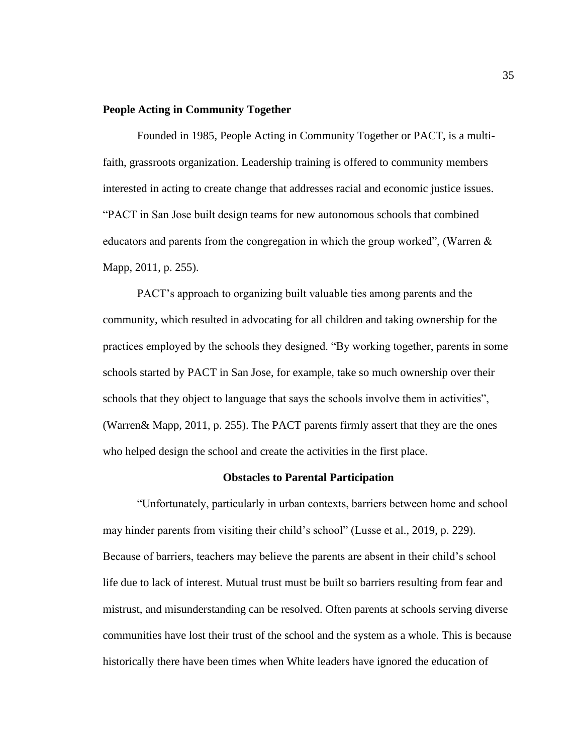#### **People Acting in Community Together**

Founded in 1985, People Acting in Community Together or PACT, is a multifaith, grassroots organization. Leadership training is offered to community members interested in acting to create change that addresses racial and economic justice issues. "PACT in San Jose built design teams for new autonomous schools that combined educators and parents from the congregation in which the group worked", (Warren & Mapp, 2011, p. 255).

PACT's approach to organizing built valuable ties among parents and the community, which resulted in advocating for all children and taking ownership for the practices employed by the schools they designed. "By working together, parents in some schools started by PACT in San Jose, for example, take so much ownership over their schools that they object to language that says the schools involve them in activities", (Warren& Mapp, 2011, p. 255). The PACT parents firmly assert that they are the ones who helped design the school and create the activities in the first place.

### **Obstacles to Parental Participation**

"Unfortunately, particularly in urban contexts, barriers between home and school may hinder parents from visiting their child's school" (Lusse et al., 2019, p. 229). Because of barriers, teachers may believe the parents are absent in their child's school life due to lack of interest. Mutual trust must be built so barriers resulting from fear and mistrust, and misunderstanding can be resolved. Often parents at schools serving diverse communities have lost their trust of the school and the system as a whole. This is because historically there have been times when White leaders have ignored the education of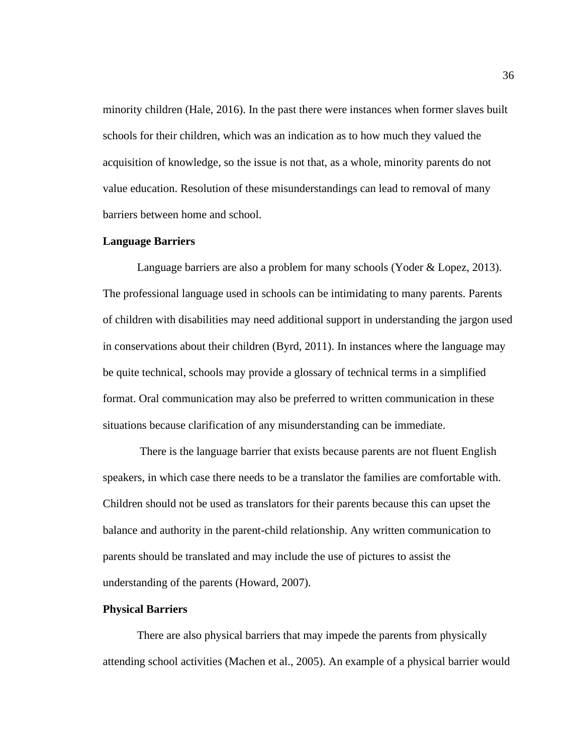minority children (Hale, 2016). In the past there were instances when former slaves built schools for their children, which was an indication as to how much they valued the acquisition of knowledge, so the issue is not that, as a whole, minority parents do not value education. Resolution of these misunderstandings can lead to removal of many barriers between home and school.

#### **Language Barriers**

Language barriers are also a problem for many schools (Yoder & Lopez, 2013). The professional language used in schools can be intimidating to many parents. Parents of children with disabilities may need additional support in understanding the jargon used in conservations about their children (Byrd, 2011). In instances where the language may be quite technical, schools may provide a glossary of technical terms in a simplified format. Oral communication may also be preferred to written communication in these situations because clarification of any misunderstanding can be immediate.

There is the language barrier that exists because parents are not fluent English speakers, in which case there needs to be a translator the families are comfortable with. Children should not be used as translators for their parents because this can upset the balance and authority in the parent-child relationship. Any written communication to parents should be translated and may include the use of pictures to assist the understanding of the parents (Howard, 2007).

### **Physical Barriers**

There are also physical barriers that may impede the parents from physically attending school activities (Machen et al., 2005). An example of a physical barrier would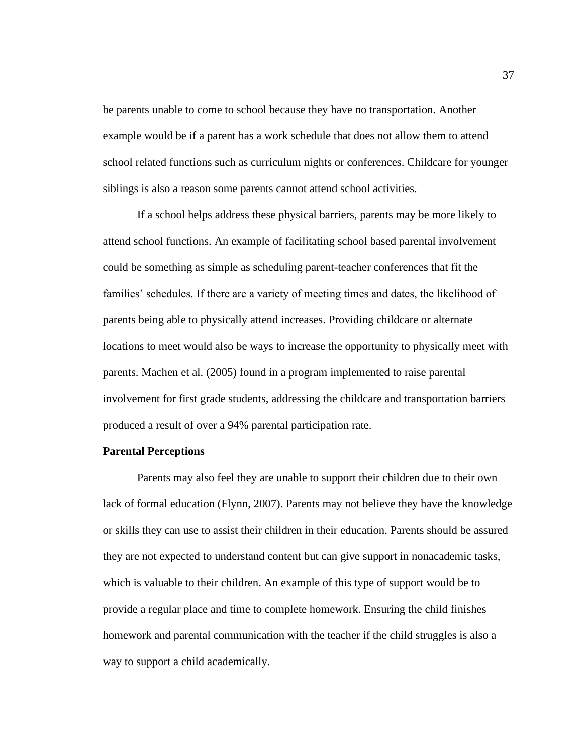be parents unable to come to school because they have no transportation. Another example would be if a parent has a work schedule that does not allow them to attend school related functions such as curriculum nights or conferences. Childcare for younger siblings is also a reason some parents cannot attend school activities.

If a school helps address these physical barriers, parents may be more likely to attend school functions. An example of facilitating school based parental involvement could be something as simple as scheduling parent-teacher conferences that fit the families' schedules. If there are a variety of meeting times and dates, the likelihood of parents being able to physically attend increases. Providing childcare or alternate locations to meet would also be ways to increase the opportunity to physically meet with parents. Machen et al. (2005) found in a program implemented to raise parental involvement for first grade students, addressing the childcare and transportation barriers produced a result of over a 94% parental participation rate.

#### **Parental Perceptions**

Parents may also feel they are unable to support their children due to their own lack of formal education (Flynn, 2007). Parents may not believe they have the knowledge or skills they can use to assist their children in their education. Parents should be assured they are not expected to understand content but can give support in nonacademic tasks, which is valuable to their children. An example of this type of support would be to provide a regular place and time to complete homework. Ensuring the child finishes homework and parental communication with the teacher if the child struggles is also a way to support a child academically.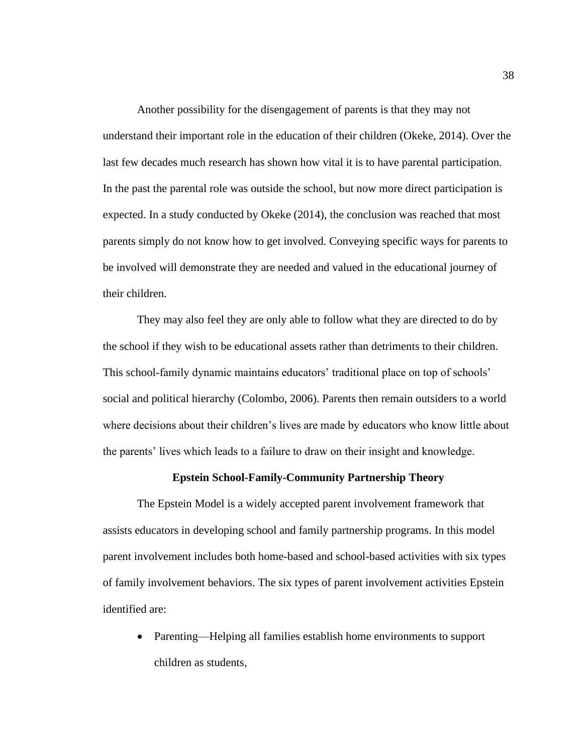Another possibility for the disengagement of parents is that they may not understand their important role in the education of their children (Okeke, 2014). Over the last few decades much research has shown how vital it is to have parental participation. In the past the parental role was outside the school, but now more direct participation is expected. In a study conducted by Okeke (2014), the conclusion was reached that most parents simply do not know how to get involved. Conveying specific ways for parents to be involved will demonstrate they are needed and valued in the educational journey of their children.

They may also feel they are only able to follow what they are directed to do by the school if they wish to be educational assets rather than detriments to their children. This school-family dynamic maintains educators' traditional place on top of schools' social and political hierarchy (Colombo, 2006). Parents then remain outsiders to a world where decisions about their children's lives are made by educators who know little about the parents' lives which leads to a failure to draw on their insight and knowledge.

#### **Epstein School-Family-Community Partnership Theory**

The Epstein Model is a widely accepted parent involvement framework that assists educators in developing school and family partnership programs. In this model parent involvement includes both home-based and school-based activities with six types of family involvement behaviors. The six types of parent involvement activities Epstein identified are:

• Parenting—Helping all families establish home environments to support children as students,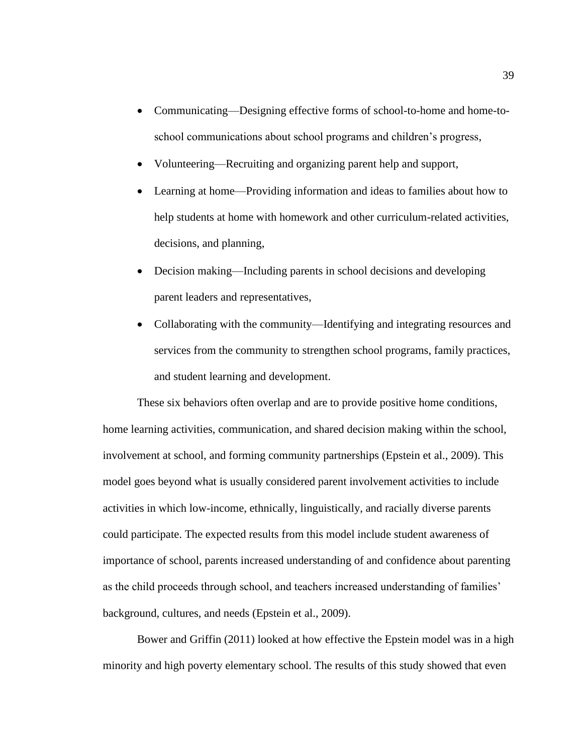- Communicating—Designing effective forms of school-to-home and home-toschool communications about school programs and children's progress,
- Volunteering—Recruiting and organizing parent help and support,
- Learning at home—Providing information and ideas to families about how to help students at home with homework and other curriculum-related activities, decisions, and planning,
- Decision making—Including parents in school decisions and developing parent leaders and representatives,
- Collaborating with the community—Identifying and integrating resources and services from the community to strengthen school programs, family practices, and student learning and development.

These six behaviors often overlap and are to provide positive home conditions, home learning activities, communication, and shared decision making within the school, involvement at school, and forming community partnerships (Epstein et al., 2009). This model goes beyond what is usually considered parent involvement activities to include activities in which low-income, ethnically, linguistically, and racially diverse parents could participate. The expected results from this model include student awareness of importance of school, parents increased understanding of and confidence about parenting as the child proceeds through school, and teachers increased understanding of families' background, cultures, and needs (Epstein et al., 2009).

Bower and Griffin (2011) looked at how effective the Epstein model was in a high minority and high poverty elementary school. The results of this study showed that even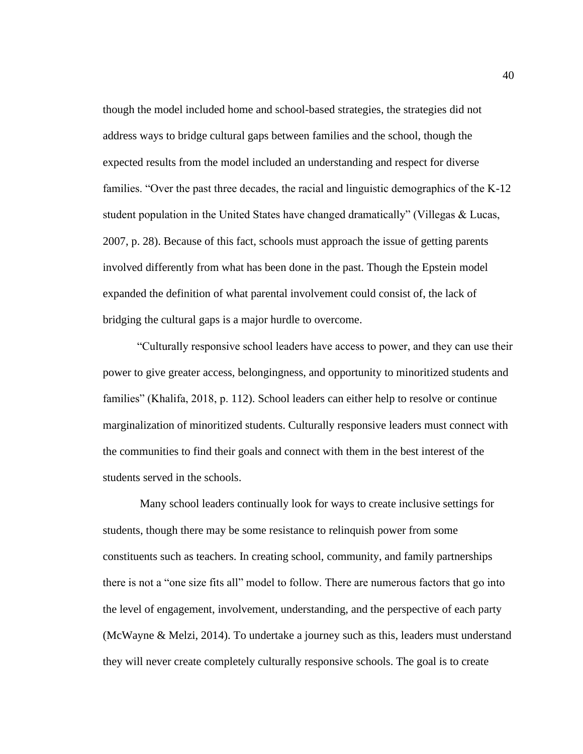though the model included home and school-based strategies, the strategies did not address ways to bridge cultural gaps between families and the school, though the expected results from the model included an understanding and respect for diverse families. "Over the past three decades, the racial and linguistic demographics of the K-12 student population in the United States have changed dramatically" (Villegas & Lucas, 2007, p. 28). Because of this fact, schools must approach the issue of getting parents involved differently from what has been done in the past. Though the Epstein model expanded the definition of what parental involvement could consist of, the lack of bridging the cultural gaps is a major hurdle to overcome.

"Culturally responsive school leaders have access to power, and they can use their power to give greater access, belongingness, and opportunity to minoritized students and families" (Khalifa, 2018, p. 112). School leaders can either help to resolve or continue marginalization of minoritized students. Culturally responsive leaders must connect with the communities to find their goals and connect with them in the best interest of the students served in the schools.

Many school leaders continually look for ways to create inclusive settings for students, though there may be some resistance to relinquish power from some constituents such as teachers. In creating school, community, and family partnerships there is not a "one size fits all" model to follow. There are numerous factors that go into the level of engagement, involvement, understanding, and the perspective of each party (McWayne & Melzi, 2014). To undertake a journey such as this, leaders must understand they will never create completely culturally responsive schools. The goal is to create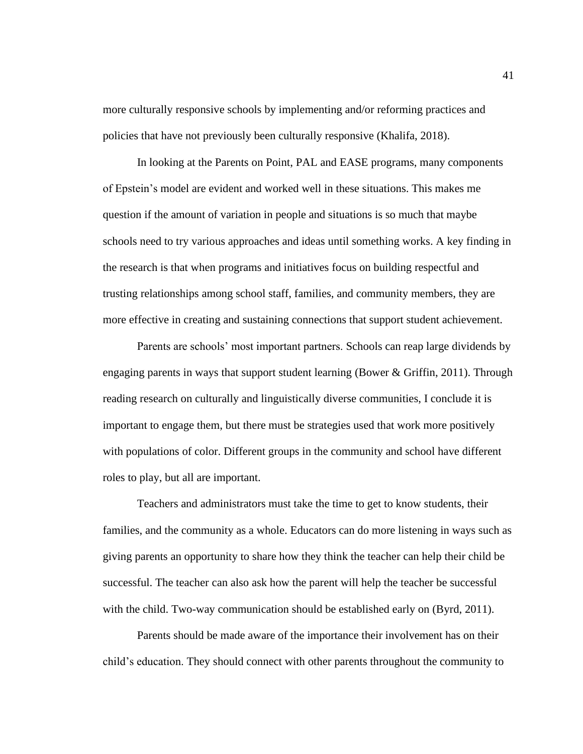more culturally responsive schools by implementing and/or reforming practices and policies that have not previously been culturally responsive (Khalifa, 2018).

In looking at the Parents on Point, PAL and EASE programs, many components of Epstein's model are evident and worked well in these situations. This makes me question if the amount of variation in people and situations is so much that maybe schools need to try various approaches and ideas until something works. A key finding in the research is that when programs and initiatives focus on building respectful and trusting relationships among school staff, families, and community members, they are more effective in creating and sustaining connections that support student achievement.

Parents are schools' most important partners. Schools can reap large dividends by engaging parents in ways that support student learning (Bower & Griffin, 2011). Through reading research on culturally and linguistically diverse communities, I conclude it is important to engage them, but there must be strategies used that work more positively with populations of color. Different groups in the community and school have different roles to play, but all are important.

Teachers and administrators must take the time to get to know students, their families, and the community as a whole. Educators can do more listening in ways such as giving parents an opportunity to share how they think the teacher can help their child be successful. The teacher can also ask how the parent will help the teacher be successful with the child. Two-way communication should be established early on (Byrd, 2011).

Parents should be made aware of the importance their involvement has on their child's education. They should connect with other parents throughout the community to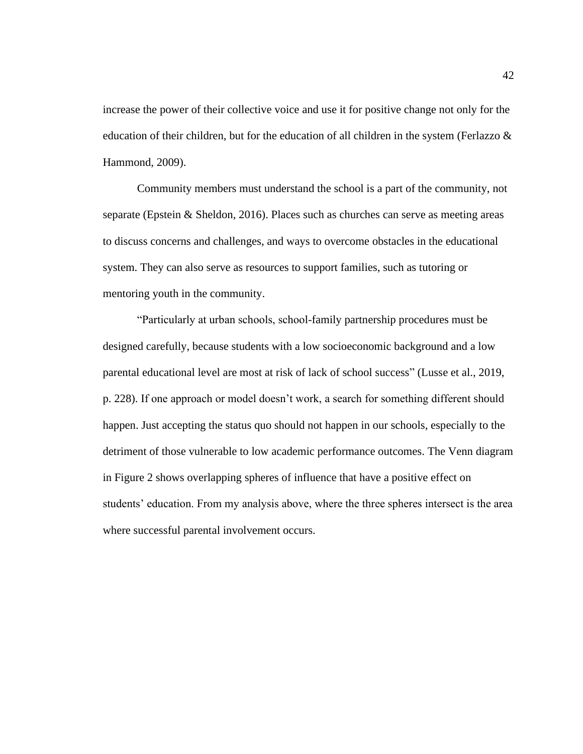increase the power of their collective voice and use it for positive change not only for the education of their children, but for the education of all children in the system (Ferlazzo & Hammond, 2009).

Community members must understand the school is a part of the community, not separate (Epstein & Sheldon, 2016). Places such as churches can serve as meeting areas to discuss concerns and challenges, and ways to overcome obstacles in the educational system. They can also serve as resources to support families, such as tutoring or mentoring youth in the community.

"Particularly at urban schools, school-family partnership procedures must be designed carefully, because students with a low socioeconomic background and a low parental educational level are most at risk of lack of school success" (Lusse et al., 2019, p. 228). If one approach or model doesn't work, a search for something different should happen. Just accepting the status quo should not happen in our schools, especially to the detriment of those vulnerable to low academic performance outcomes. The Venn diagram in Figure 2 shows overlapping spheres of influence that have a positive effect on students' education. From my analysis above, where the three spheres intersect is the area where successful parental involvement occurs.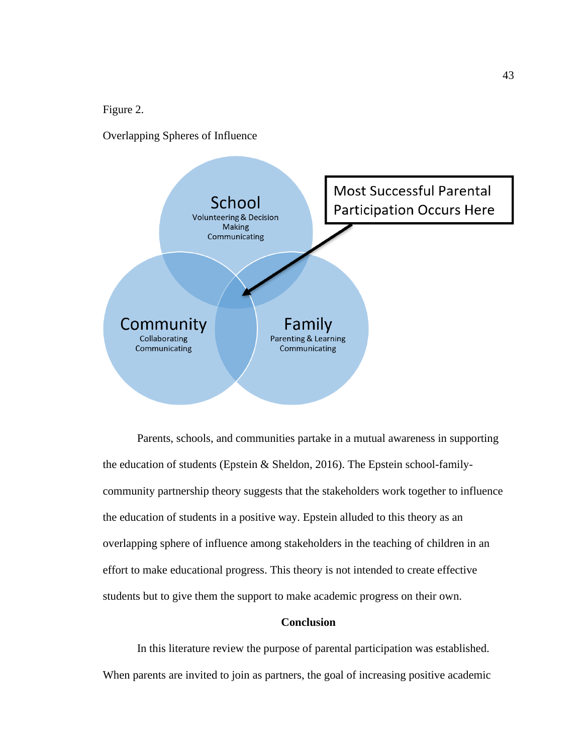Figure 2.

Overlapping Spheres of Influence



Parents, schools, and communities partake in a mutual awareness in supporting the education of students (Epstein & Sheldon, 2016). The Epstein school-familycommunity partnership theory suggests that the stakeholders work together to influence the education of students in a positive way. Epstein alluded to this theory as an overlapping sphere of influence among stakeholders in the teaching of children in an effort to make educational progress. This theory is not intended to create effective students but to give them the support to make academic progress on their own.

# **Conclusion**

In this literature review the purpose of parental participation was established. When parents are invited to join as partners, the goal of increasing positive academic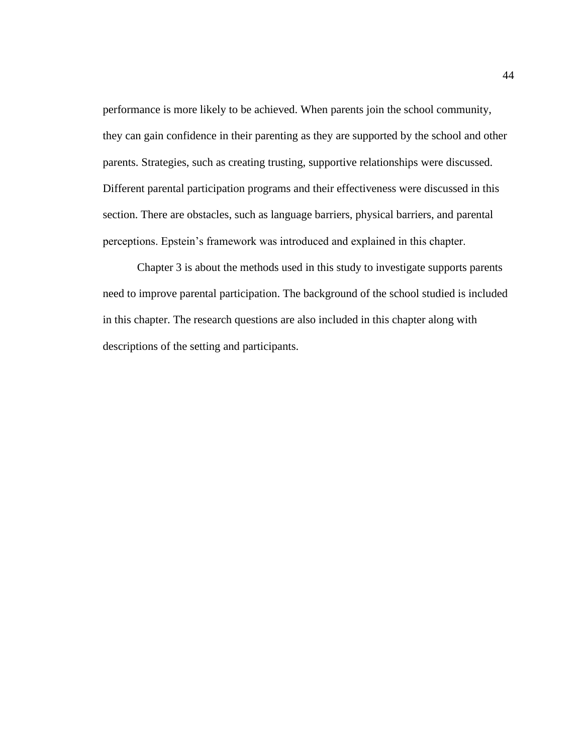performance is more likely to be achieved. When parents join the school community, they can gain confidence in their parenting as they are supported by the school and other parents. Strategies, such as creating trusting, supportive relationships were discussed. Different parental participation programs and their effectiveness were discussed in this section. There are obstacles, such as language barriers, physical barriers, and parental perceptions. Epstein's framework was introduced and explained in this chapter.

Chapter 3 is about the methods used in this study to investigate supports parents need to improve parental participation. The background of the school studied is included in this chapter. The research questions are also included in this chapter along with descriptions of the setting and participants.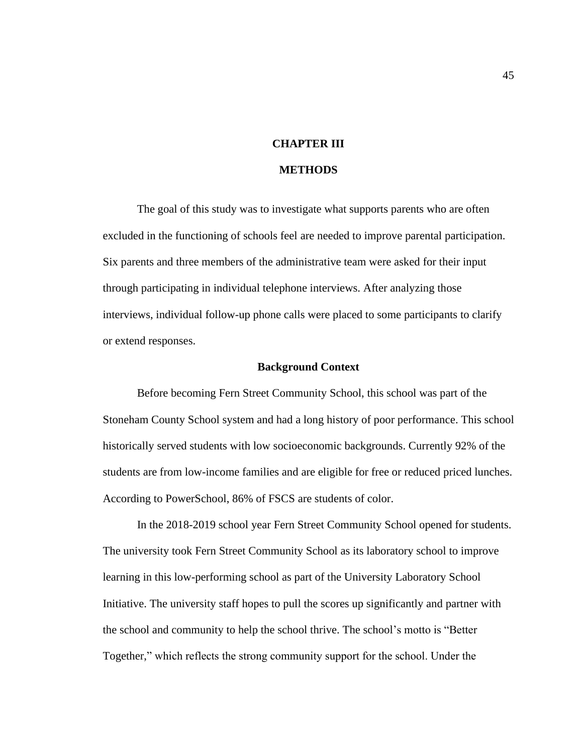# **CHAPTER III**

### **METHODS**

The goal of this study was to investigate what supports parents who are often excluded in the functioning of schools feel are needed to improve parental participation. Six parents and three members of the administrative team were asked for their input through participating in individual telephone interviews. After analyzing those interviews, individual follow-up phone calls were placed to some participants to clarify or extend responses.

#### **Background Context**

Before becoming Fern Street Community School, this school was part of the Stoneham County School system and had a long history of poor performance. This school historically served students with low socioeconomic backgrounds. Currently 92% of the students are from low-income families and are eligible for free or reduced priced lunches. According to PowerSchool, 86% of FSCS are students of color.

In the 2018-2019 school year Fern Street Community School opened for students. The university took Fern Street Community School as its laboratory school to improve learning in this low-performing school as part of the University Laboratory School Initiative. The university staff hopes to pull the scores up significantly and partner with the school and community to help the school thrive. The school's motto is "Better Together," which reflects the strong community support for the school. Under the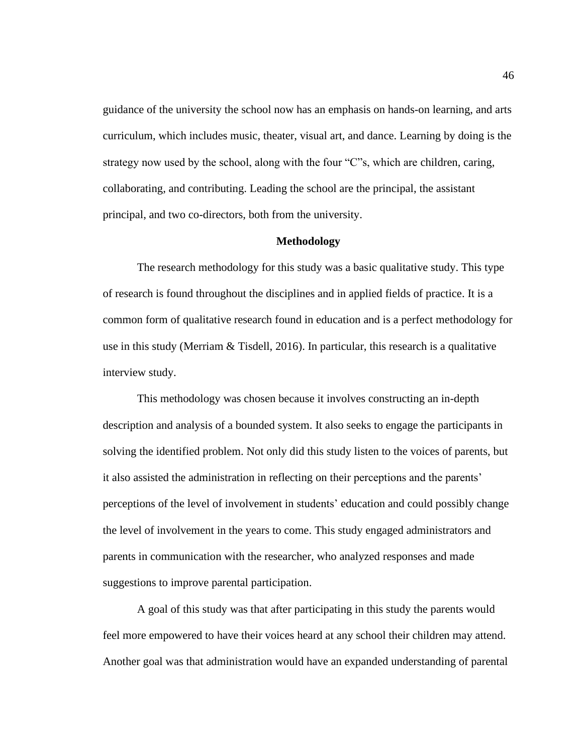guidance of the university the school now has an emphasis on hands-on learning, and arts curriculum, which includes music, theater, visual art, and dance. Learning by doing is the strategy now used by the school, along with the four "C"s, which are children, caring, collaborating, and contributing. Leading the school are the principal, the assistant principal, and two co-directors, both from the university.

#### **Methodology**

The research methodology for this study was a basic qualitative study. This type of research is found throughout the disciplines and in applied fields of practice. It is a common form of qualitative research found in education and is a perfect methodology for use in this study (Merriam  $\&$  Tisdell, 2016). In particular, this research is a qualitative interview study.

This methodology was chosen because it involves constructing an in-depth description and analysis of a bounded system. It also seeks to engage the participants in solving the identified problem. Not only did this study listen to the voices of parents, but it also assisted the administration in reflecting on their perceptions and the parents' perceptions of the level of involvement in students' education and could possibly change the level of involvement in the years to come. This study engaged administrators and parents in communication with the researcher, who analyzed responses and made suggestions to improve parental participation.

A goal of this study was that after participating in this study the parents would feel more empowered to have their voices heard at any school their children may attend. Another goal was that administration would have an expanded understanding of parental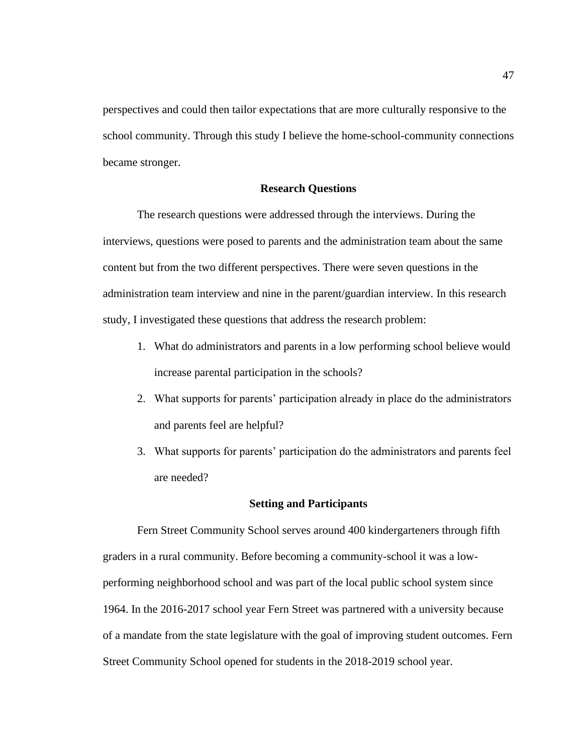perspectives and could then tailor expectations that are more culturally responsive to the school community. Through this study I believe the home-school-community connections became stronger.

### **Research Questions**

The research questions were addressed through the interviews. During the interviews, questions were posed to parents and the administration team about the same content but from the two different perspectives. There were seven questions in the administration team interview and nine in the parent/guardian interview. In this research study, I investigated these questions that address the research problem:

- 1. What do administrators and parents in a low performing school believe would increase parental participation in the schools?
- 2. What supports for parents' participation already in place do the administrators and parents feel are helpful?
- 3. What supports for parents' participation do the administrators and parents feel are needed?

#### **Setting and Participants**

Fern Street Community School serves around 400 kindergarteners through fifth graders in a rural community. Before becoming a community-school it was a lowperforming neighborhood school and was part of the local public school system since 1964. In the 2016-2017 school year Fern Street was partnered with a university because of a mandate from the state legislature with the goal of improving student outcomes. Fern Street Community School opened for students in the 2018-2019 school year.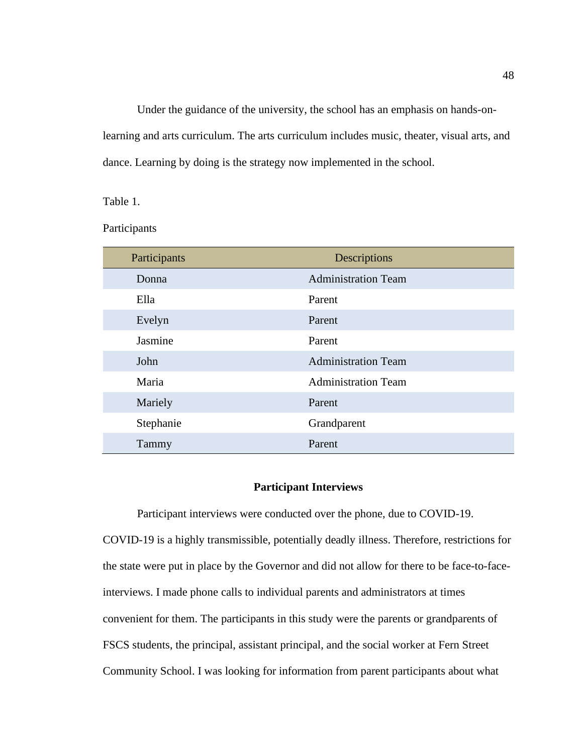Under the guidance of the university, the school has an emphasis on hands-onlearning and arts curriculum. The arts curriculum includes music, theater, visual arts, and dance. Learning by doing is the strategy now implemented in the school.

Table 1.

Participants

| Participants | Descriptions               |
|--------------|----------------------------|
| Donna        | <b>Administration Team</b> |
| Ella         | Parent                     |
| Evelyn       | Parent                     |
| Jasmine      | Parent                     |
| John         | <b>Administration Team</b> |
| Maria        | <b>Administration Team</b> |
| Mariely      | Parent                     |
| Stephanie    | Grandparent                |
| Tammy        | Parent                     |

# **Participant Interviews**

Participant interviews were conducted over the phone, due to COVID-19. COVID-19 is a highly transmissible, potentially deadly illness. Therefore, restrictions for the state were put in place by the Governor and did not allow for there to be face-to-faceinterviews. I made phone calls to individual parents and administrators at times convenient for them. The participants in this study were the parents or grandparents of FSCS students, the principal, assistant principal, and the social worker at Fern Street Community School. I was looking for information from parent participants about what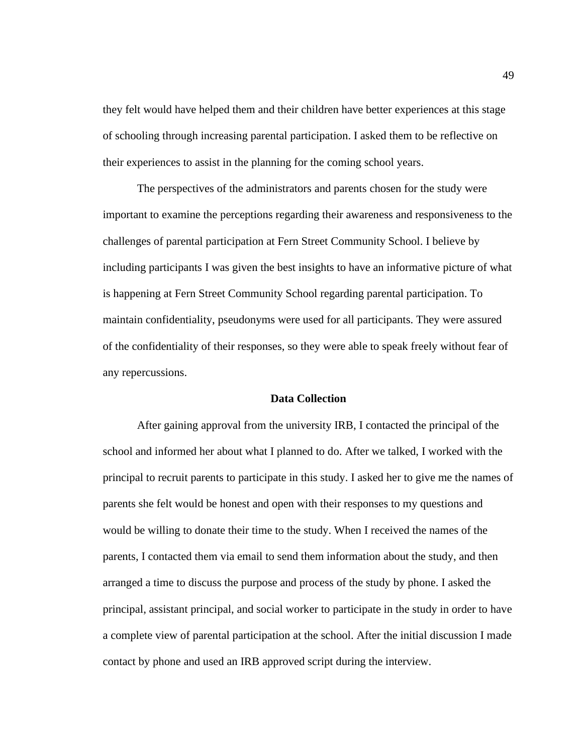they felt would have helped them and their children have better experiences at this stage of schooling through increasing parental participation. I asked them to be reflective on their experiences to assist in the planning for the coming school years.

The perspectives of the administrators and parents chosen for the study were important to examine the perceptions regarding their awareness and responsiveness to the challenges of parental participation at Fern Street Community School. I believe by including participants I was given the best insights to have an informative picture of what is happening at Fern Street Community School regarding parental participation. To maintain confidentiality, pseudonyms were used for all participants. They were assured of the confidentiality of their responses, so they were able to speak freely without fear of any repercussions.

# **Data Collection**

After gaining approval from the university IRB, I contacted the principal of the school and informed her about what I planned to do. After we talked, I worked with the principal to recruit parents to participate in this study. I asked her to give me the names of parents she felt would be honest and open with their responses to my questions and would be willing to donate their time to the study. When I received the names of the parents, I contacted them via email to send them information about the study, and then arranged a time to discuss the purpose and process of the study by phone. I asked the principal, assistant principal, and social worker to participate in the study in order to have a complete view of parental participation at the school. After the initial discussion I made contact by phone and used an IRB approved script during the interview.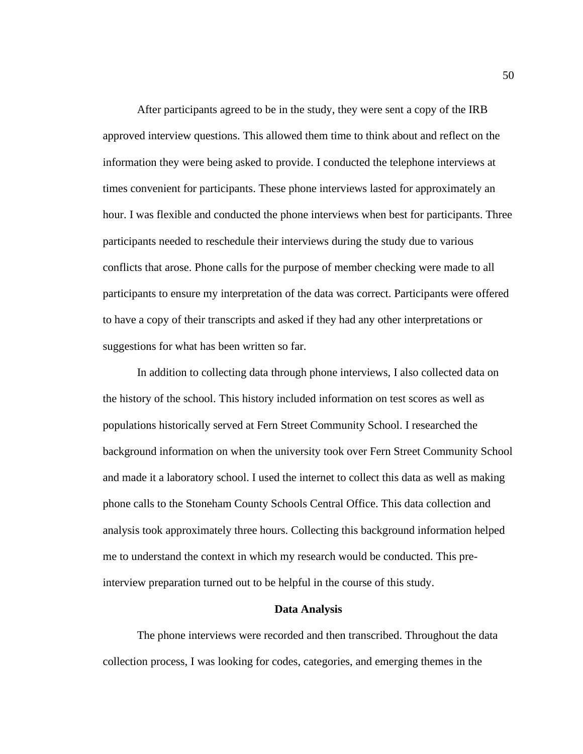After participants agreed to be in the study, they were sent a copy of the IRB approved interview questions. This allowed them time to think about and reflect on the information they were being asked to provide. I conducted the telephone interviews at times convenient for participants. These phone interviews lasted for approximately an hour. I was flexible and conducted the phone interviews when best for participants. Three participants needed to reschedule their interviews during the study due to various conflicts that arose. Phone calls for the purpose of member checking were made to all participants to ensure my interpretation of the data was correct. Participants were offered to have a copy of their transcripts and asked if they had any other interpretations or suggestions for what has been written so far.

In addition to collecting data through phone interviews, I also collected data on the history of the school. This history included information on test scores as well as populations historically served at Fern Street Community School. I researched the background information on when the university took over Fern Street Community School and made it a laboratory school. I used the internet to collect this data as well as making phone calls to the Stoneham County Schools Central Office. This data collection and analysis took approximately three hours. Collecting this background information helped me to understand the context in which my research would be conducted. This preinterview preparation turned out to be helpful in the course of this study.

#### **Data Analysis**

The phone interviews were recorded and then transcribed. Throughout the data collection process, I was looking for codes, categories, and emerging themes in the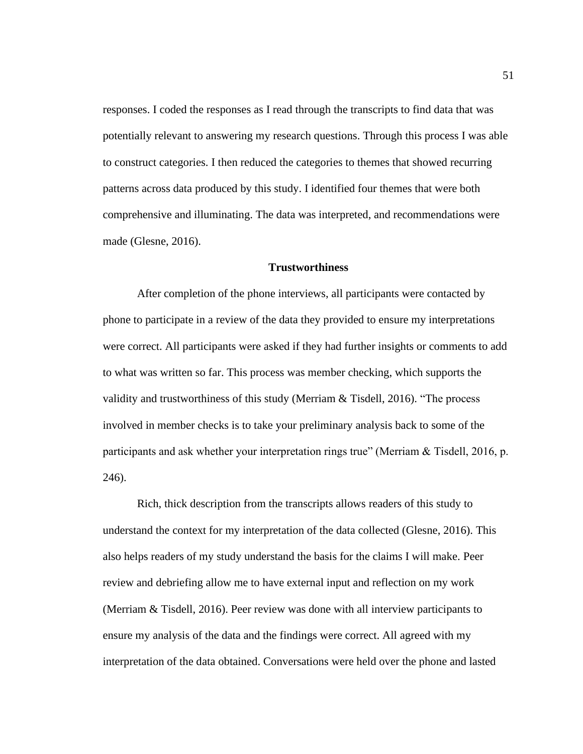responses. I coded the responses as I read through the transcripts to find data that was potentially relevant to answering my research questions. Through this process I was able to construct categories. I then reduced the categories to themes that showed recurring patterns across data produced by this study. I identified four themes that were both comprehensive and illuminating. The data was interpreted, and recommendations were made (Glesne, 2016).

# **Trustworthiness**

After completion of the phone interviews, all participants were contacted by phone to participate in a review of the data they provided to ensure my interpretations were correct. All participants were asked if they had further insights or comments to add to what was written so far. This process was member checking, which supports the validity and trustworthiness of this study (Merriam & Tisdell, 2016). "The process involved in member checks is to take your preliminary analysis back to some of the participants and ask whether your interpretation rings true" (Merriam & Tisdell, 2016, p. 246).

Rich, thick description from the transcripts allows readers of this study to understand the context for my interpretation of the data collected (Glesne, 2016). This also helps readers of my study understand the basis for the claims I will make. Peer review and debriefing allow me to have external input and reflection on my work (Merriam & Tisdell, 2016). Peer review was done with all interview participants to ensure my analysis of the data and the findings were correct. All agreed with my interpretation of the data obtained. Conversations were held over the phone and lasted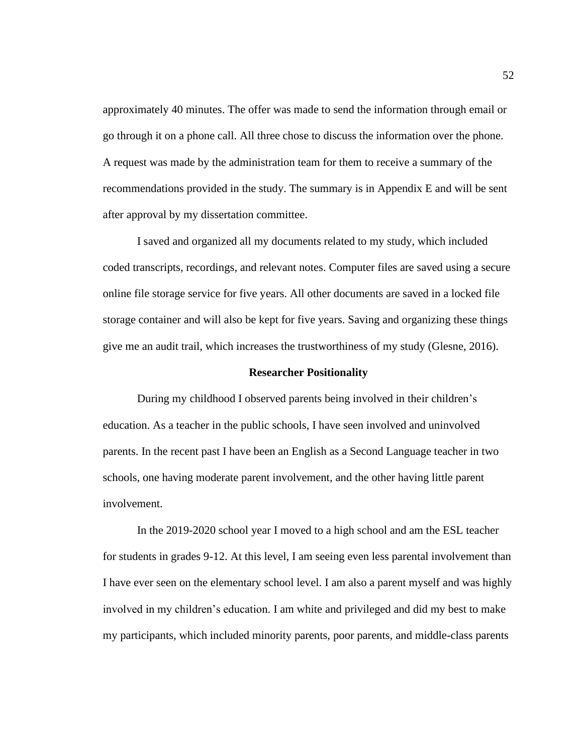approximately 40 minutes. The offer was made to send the information through email or go through it on a phone call. All three chose to discuss the information over the phone. A request was made by the administration team for them to receive a summary of the recommendations provided in the study. The summary is in Appendix E and will be sent after approval by my dissertation committee.

I saved and organized all my documents related to my study, which included coded transcripts, recordings, and relevant notes. Computer files are saved using a secure online file storage service for five years. All other documents are saved in a locked file storage container and will also be kept for five years. Saving and organizing these things give me an audit trail, which increases the trustworthiness of my study (Glesne, 2016).

#### **Researcher Positionality**

During my childhood I observed parents being involved in their children's education. As a teacher in the public schools, I have seen involved and uninvolved parents. In the recent past I have been an English as a Second Language teacher in two schools, one having moderate parent involvement, and the other having little parent involvement.

In the 2019-2020 school year I moved to a high school and am the ESL teacher for students in grades 9-12. At this level, I am seeing even less parental involvement than I have ever seen on the elementary school level. I am also a parent myself and was highly involved in my children's education. I am white and privileged and did my best to make my participants, which included minority parents, poor parents, and middle-class parents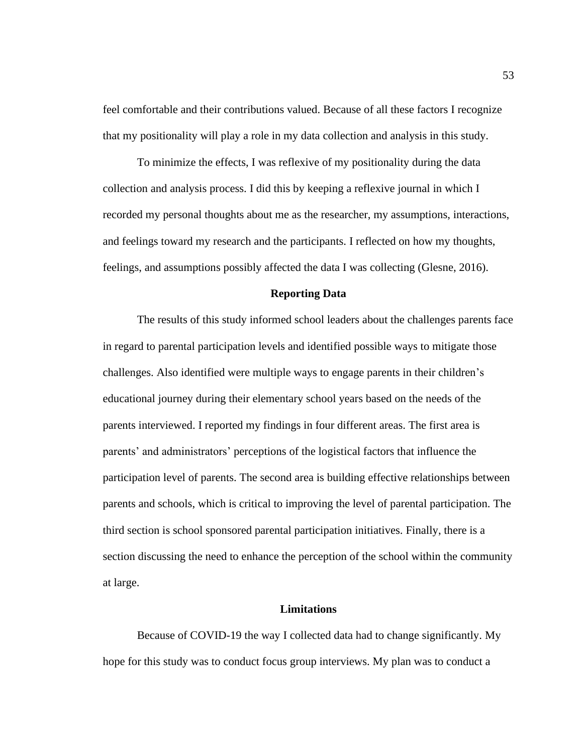feel comfortable and their contributions valued. Because of all these factors I recognize that my positionality will play a role in my data collection and analysis in this study.

To minimize the effects, I was reflexive of my positionality during the data collection and analysis process. I did this by keeping a reflexive journal in which I recorded my personal thoughts about me as the researcher, my assumptions, interactions, and feelings toward my research and the participants. I reflected on how my thoughts, feelings, and assumptions possibly affected the data I was collecting (Glesne, 2016).

### **Reporting Data**

The results of this study informed school leaders about the challenges parents face in regard to parental participation levels and identified possible ways to mitigate those challenges. Also identified were multiple ways to engage parents in their children's educational journey during their elementary school years based on the needs of the parents interviewed. I reported my findings in four different areas. The first area is parents' and administrators' perceptions of the logistical factors that influence the participation level of parents. The second area is building effective relationships between parents and schools, which is critical to improving the level of parental participation. The third section is school sponsored parental participation initiatives. Finally, there is a section discussing the need to enhance the perception of the school within the community at large.

# **Limitations**

Because of COVID-19 the way I collected data had to change significantly. My hope for this study was to conduct focus group interviews. My plan was to conduct a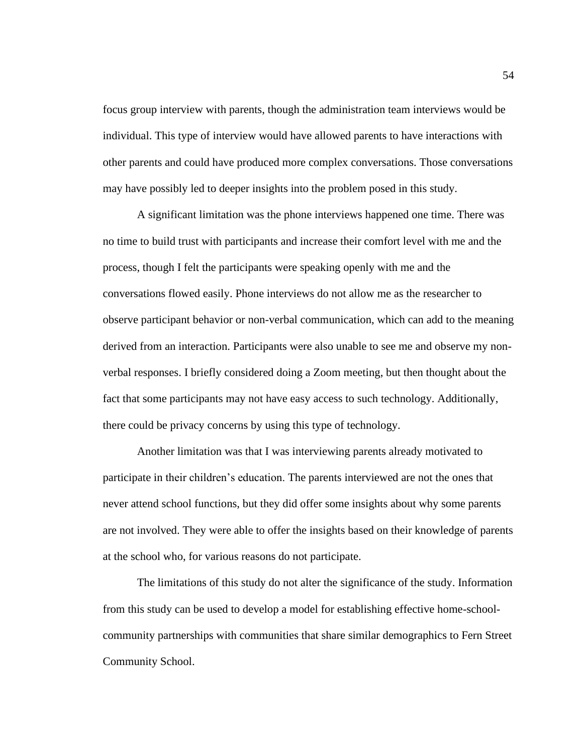focus group interview with parents, though the administration team interviews would be individual. This type of interview would have allowed parents to have interactions with other parents and could have produced more complex conversations. Those conversations may have possibly led to deeper insights into the problem posed in this study.

A significant limitation was the phone interviews happened one time. There was no time to build trust with participants and increase their comfort level with me and the process, though I felt the participants were speaking openly with me and the conversations flowed easily. Phone interviews do not allow me as the researcher to observe participant behavior or non-verbal communication, which can add to the meaning derived from an interaction. Participants were also unable to see me and observe my nonverbal responses. I briefly considered doing a Zoom meeting, but then thought about the fact that some participants may not have easy access to such technology. Additionally, there could be privacy concerns by using this type of technology.

Another limitation was that I was interviewing parents already motivated to participate in their children's education. The parents interviewed are not the ones that never attend school functions, but they did offer some insights about why some parents are not involved. They were able to offer the insights based on their knowledge of parents at the school who, for various reasons do not participate.

The limitations of this study do not alter the significance of the study. Information from this study can be used to develop a model for establishing effective home-schoolcommunity partnerships with communities that share similar demographics to Fern Street Community School.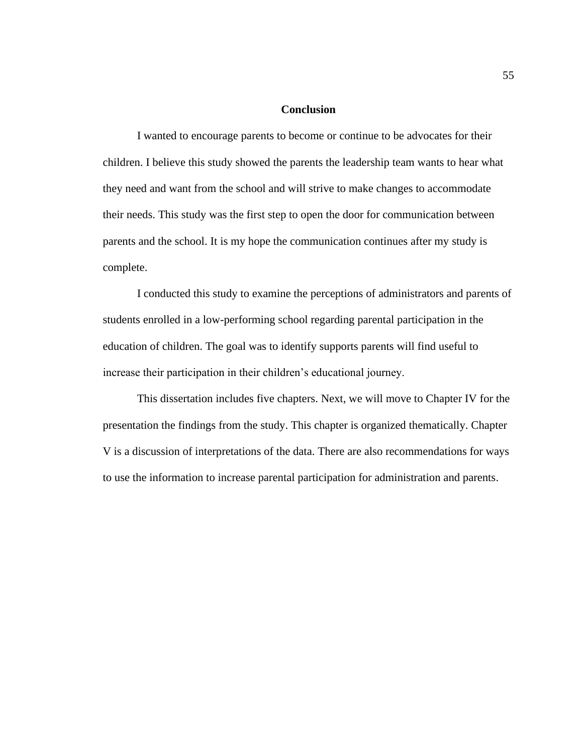### **Conclusion**

I wanted to encourage parents to become or continue to be advocates for their children. I believe this study showed the parents the leadership team wants to hear what they need and want from the school and will strive to make changes to accommodate their needs. This study was the first step to open the door for communication between parents and the school. It is my hope the communication continues after my study is complete.

I conducted this study to examine the perceptions of administrators and parents of students enrolled in a low-performing school regarding parental participation in the education of children. The goal was to identify supports parents will find useful to increase their participation in their children's educational journey.

This dissertation includes five chapters. Next, we will move to Chapter IV for the presentation the findings from the study. This chapter is organized thematically. Chapter V is a discussion of interpretations of the data. There are also recommendations for ways to use the information to increase parental participation for administration and parents.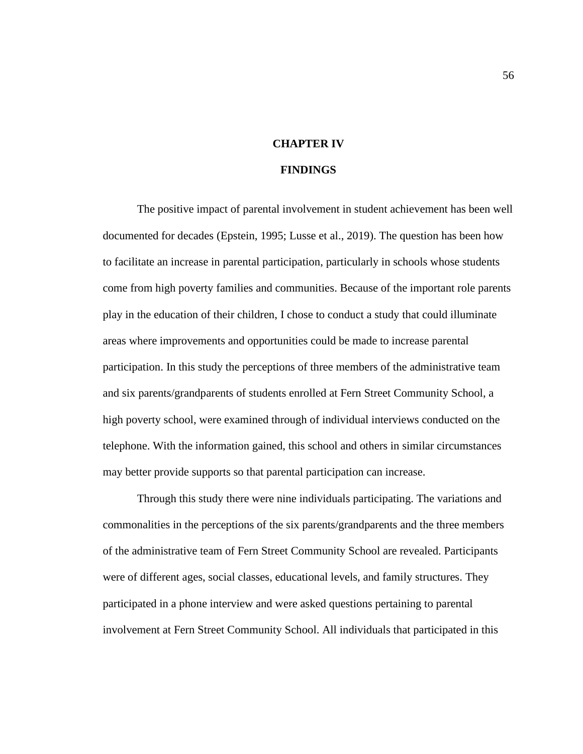# **CHAPTER IV**

### **FINDINGS**

The positive impact of parental involvement in student achievement has been well documented for decades (Epstein, 1995; Lusse et al., 2019). The question has been how to facilitate an increase in parental participation, particularly in schools whose students come from high poverty families and communities. Because of the important role parents play in the education of their children, I chose to conduct a study that could illuminate areas where improvements and opportunities could be made to increase parental participation. In this study the perceptions of three members of the administrative team and six parents/grandparents of students enrolled at Fern Street Community School, a high poverty school, were examined through of individual interviews conducted on the telephone. With the information gained, this school and others in similar circumstances may better provide supports so that parental participation can increase.

Through this study there were nine individuals participating. The variations and commonalities in the perceptions of the six parents/grandparents and the three members of the administrative team of Fern Street Community School are revealed. Participants were of different ages, social classes, educational levels, and family structures. They participated in a phone interview and were asked questions pertaining to parental involvement at Fern Street Community School. All individuals that participated in this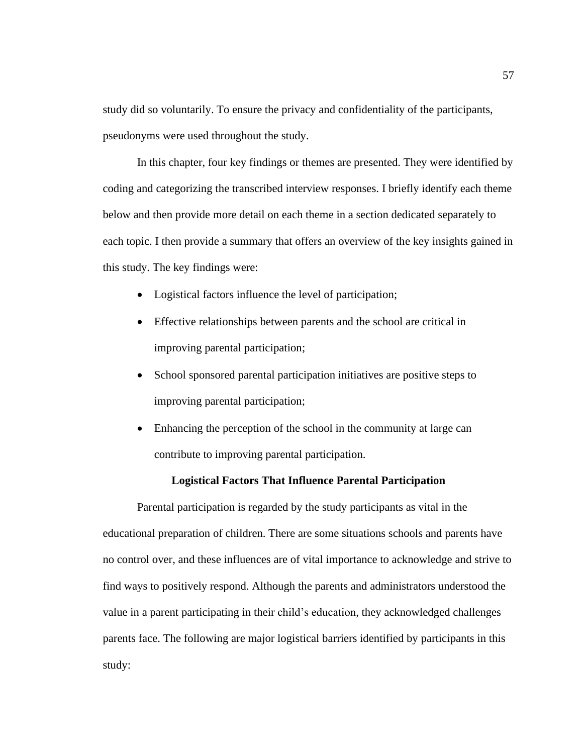study did so voluntarily. To ensure the privacy and confidentiality of the participants, pseudonyms were used throughout the study.

In this chapter, four key findings or themes are presented. They were identified by coding and categorizing the transcribed interview responses. I briefly identify each theme below and then provide more detail on each theme in a section dedicated separately to each topic. I then provide a summary that offers an overview of the key insights gained in this study. The key findings were:

- Logistical factors influence the level of participation;
- Effective relationships between parents and the school are critical in improving parental participation;
- School sponsored parental participation initiatives are positive steps to improving parental participation;
- Enhancing the perception of the school in the community at large can contribute to improving parental participation.

# **Logistical Factors That Influence Parental Participation**

Parental participation is regarded by the study participants as vital in the educational preparation of children. There are some situations schools and parents have no control over, and these influences are of vital importance to acknowledge and strive to find ways to positively respond. Although the parents and administrators understood the value in a parent participating in their child's education, they acknowledged challenges parents face. The following are major logistical barriers identified by participants in this study: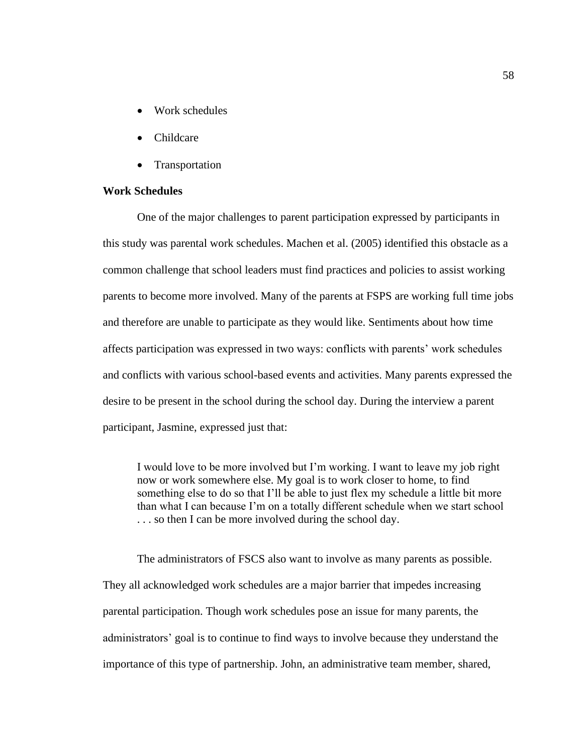- Work schedules
- Childcare
- Transportation

# **Work Schedules**

One of the major challenges to parent participation expressed by participants in this study was parental work schedules. Machen et al. (2005) identified this obstacle as a common challenge that school leaders must find practices and policies to assist working parents to become more involved. Many of the parents at FSPS are working full time jobs and therefore are unable to participate as they would like. Sentiments about how time affects participation was expressed in two ways: conflicts with parents' work schedules and conflicts with various school-based events and activities. Many parents expressed the desire to be present in the school during the school day. During the interview a parent participant, Jasmine, expressed just that:

I would love to be more involved but I'm working. I want to leave my job right now or work somewhere else. My goal is to work closer to home, to find something else to do so that I'll be able to just flex my schedule a little bit more than what I can because I'm on a totally different schedule when we start school . . . so then I can be more involved during the school day.

The administrators of FSCS also want to involve as many parents as possible. They all acknowledged work schedules are a major barrier that impedes increasing parental participation. Though work schedules pose an issue for many parents, the administrators' goal is to continue to find ways to involve because they understand the importance of this type of partnership. John, an administrative team member, shared,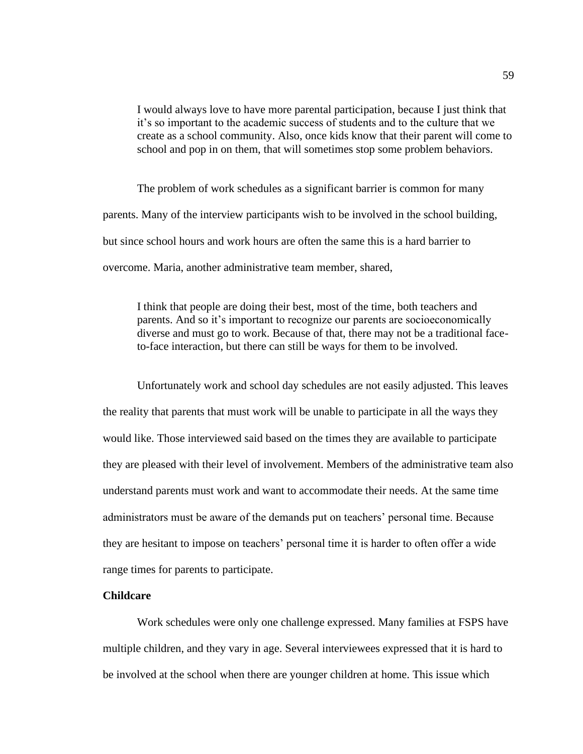I would always love to have more parental participation, because I just think that it's so important to the academic success of students and to the culture that we create as a school community. Also, once kids know that their parent will come to school and pop in on them, that will sometimes stop some problem behaviors.

The problem of work schedules as a significant barrier is common for many parents. Many of the interview participants wish to be involved in the school building, but since school hours and work hours are often the same this is a hard barrier to overcome. Maria, another administrative team member, shared,

I think that people are doing their best, most of the time, both teachers and parents. And so it's important to recognize our parents are socioeconomically diverse and must go to work. Because of that, there may not be a traditional faceto-face interaction, but there can still be ways for them to be involved.

Unfortunately work and school day schedules are not easily adjusted. This leaves the reality that parents that must work will be unable to participate in all the ways they would like. Those interviewed said based on the times they are available to participate they are pleased with their level of involvement. Members of the administrative team also understand parents must work and want to accommodate their needs. At the same time administrators must be aware of the demands put on teachers' personal time. Because they are hesitant to impose on teachers' personal time it is harder to often offer a wide range times for parents to participate.

# **Childcare**

Work schedules were only one challenge expressed. Many families at FSPS have multiple children, and they vary in age. Several interviewees expressed that it is hard to be involved at the school when there are younger children at home. This issue which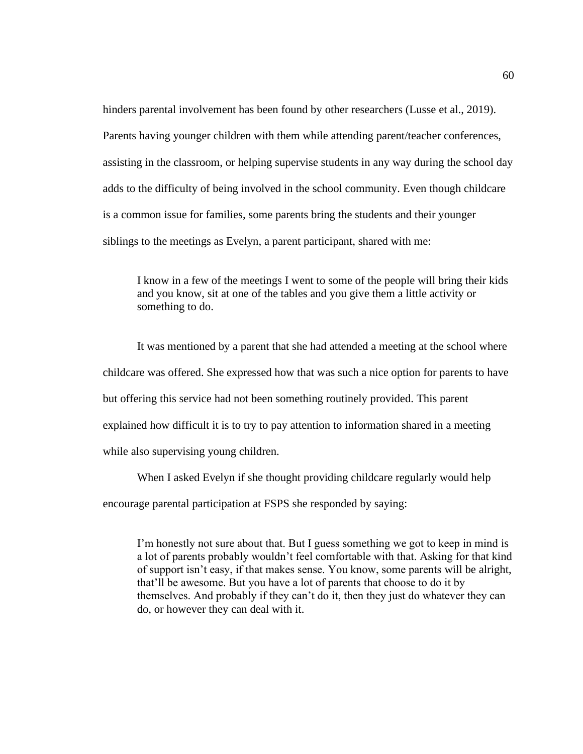hinders parental involvement has been found by other researchers (Lusse et al., 2019). Parents having younger children with them while attending parent/teacher conferences, assisting in the classroom, or helping supervise students in any way during the school day adds to the difficulty of being involved in the school community. Even though childcare is a common issue for families, some parents bring the students and their younger siblings to the meetings as Evelyn, a parent participant, shared with me:

I know in a few of the meetings I went to some of the people will bring their kids and you know, sit at one of the tables and you give them a little activity or something to do.

It was mentioned by a parent that she had attended a meeting at the school where childcare was offered. She expressed how that was such a nice option for parents to have but offering this service had not been something routinely provided. This parent explained how difficult it is to try to pay attention to information shared in a meeting while also supervising young children.

When I asked Evelyn if she thought providing childcare regularly would help encourage parental participation at FSPS she responded by saying:

I'm honestly not sure about that. But I guess something we got to keep in mind is a lot of parents probably wouldn't feel comfortable with that. Asking for that kind of support isn't easy, if that makes sense. You know, some parents will be alright, that'll be awesome. But you have a lot of parents that choose to do it by themselves. And probably if they can't do it, then they just do whatever they can do, or however they can deal with it.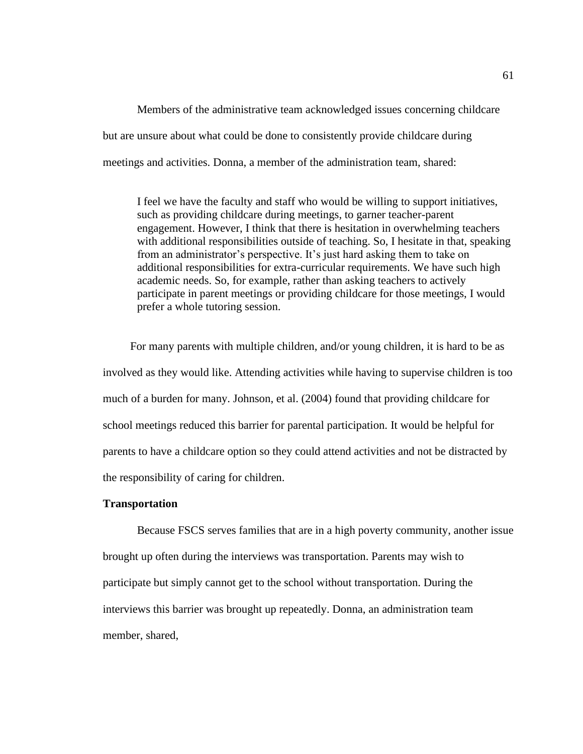Members of the administrative team acknowledged issues concerning childcare but are unsure about what could be done to consistently provide childcare during meetings and activities. Donna, a member of the administration team, shared:

I feel we have the faculty and staff who would be willing to support initiatives, such as providing childcare during meetings, to garner teacher-parent engagement. However, I think that there is hesitation in overwhelming teachers with additional responsibilities outside of teaching. So, I hesitate in that, speaking from an administrator's perspective. It's just hard asking them to take on additional responsibilities for extra-curricular requirements. We have such high academic needs. So, for example, rather than asking teachers to actively participate in parent meetings or providing childcare for those meetings, I would prefer a whole tutoring session.

For many parents with multiple children, and/or young children, it is hard to be as involved as they would like. Attending activities while having to supervise children is too much of a burden for many. Johnson, et al. (2004) found that providing childcare for school meetings reduced this barrier for parental participation. It would be helpful for parents to have a childcare option so they could attend activities and not be distracted by the responsibility of caring for children.

### **Transportation**

Because FSCS serves families that are in a high poverty community, another issue brought up often during the interviews was transportation. Parents may wish to participate but simply cannot get to the school without transportation. During the interviews this barrier was brought up repeatedly. Donna, an administration team member, shared,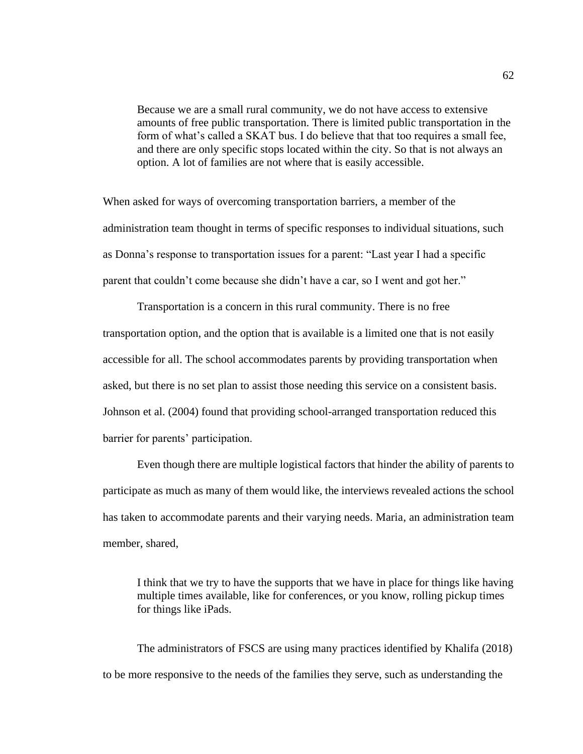Because we are a small rural community, we do not have access to extensive amounts of free public transportation. There is limited public transportation in the form of what's called a SKAT bus. I do believe that that too requires a small fee, and there are only specific stops located within the city. So that is not always an option. A lot of families are not where that is easily accessible.

When asked for ways of overcoming transportation barriers, a member of the administration team thought in terms of specific responses to individual situations, such as Donna's response to transportation issues for a parent: "Last year I had a specific parent that couldn't come because she didn't have a car, so I went and got her."

Transportation is a concern in this rural community. There is no free transportation option, and the option that is available is a limited one that is not easily accessible for all. The school accommodates parents by providing transportation when asked, but there is no set plan to assist those needing this service on a consistent basis. Johnson et al. (2004) found that providing school-arranged transportation reduced this barrier for parents' participation.

Even though there are multiple logistical factors that hinder the ability of parents to participate as much as many of them would like, the interviews revealed actions the school has taken to accommodate parents and their varying needs. Maria, an administration team member, shared,

I think that we try to have the supports that we have in place for things like having multiple times available, like for conferences, or you know, rolling pickup times for things like iPads.

The administrators of FSCS are using many practices identified by Khalifa (2018) to be more responsive to the needs of the families they serve, such as understanding the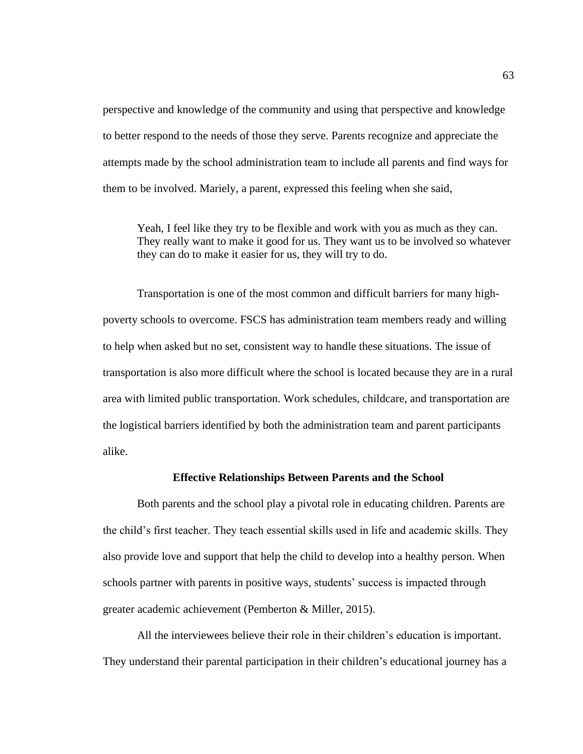perspective and knowledge of the community and using that perspective and knowledge to better respond to the needs of those they serve. Parents recognize and appreciate the attempts made by the school administration team to include all parents and find ways for them to be involved. Mariely, a parent, expressed this feeling when she said,

Yeah, I feel like they try to be flexible and work with you as much as they can. They really want to make it good for us. They want us to be involved so whatever they can do to make it easier for us, they will try to do.

Transportation is one of the most common and difficult barriers for many highpoverty schools to overcome. FSCS has administration team members ready and willing to help when asked but no set, consistent way to handle these situations. The issue of transportation is also more difficult where the school is located because they are in a rural area with limited public transportation. Work schedules, childcare, and transportation are the logistical barriers identified by both the administration team and parent participants alike.

#### **Effective Relationships Between Parents and the School**

Both parents and the school play a pivotal role in educating children. Parents are the child's first teacher. They teach essential skills used in life and academic skills. They also provide love and support that help the child to develop into a healthy person. When schools partner with parents in positive ways, students' success is impacted through greater academic achievement (Pemberton & Miller, 2015).

All the interviewees believe their role in their children's education is important. They understand their parental participation in their children's educational journey has a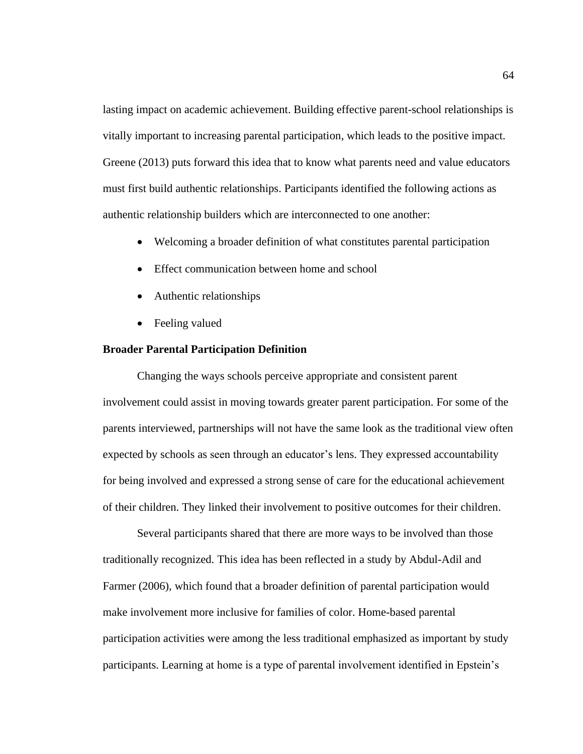lasting impact on academic achievement. Building effective parent-school relationships is vitally important to increasing parental participation, which leads to the positive impact. Greene (2013) puts forward this idea that to know what parents need and value educators must first build authentic relationships. Participants identified the following actions as authentic relationship builders which are interconnected to one another:

- Welcoming a broader definition of what constitutes parental participation
- Effect communication between home and school
- Authentic relationships
- Feeling valued

#### **Broader Parental Participation Definition**

Changing the ways schools perceive appropriate and consistent parent involvement could assist in moving towards greater parent participation. For some of the parents interviewed, partnerships will not have the same look as the traditional view often expected by schools as seen through an educator's lens. They expressed accountability for being involved and expressed a strong sense of care for the educational achievement of their children. They linked their involvement to positive outcomes for their children.

Several participants shared that there are more ways to be involved than those traditionally recognized. This idea has been reflected in a study by Abdul-Adil and Farmer (2006), which found that a broader definition of parental participation would make involvement more inclusive for families of color. Home-based parental participation activities were among the less traditional emphasized as important by study participants. Learning at home is a type of parental involvement identified in Epstein's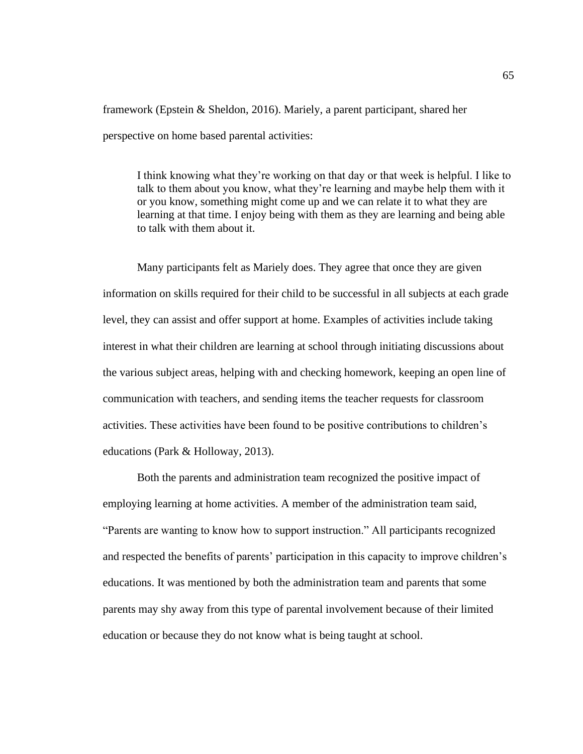framework (Epstein & Sheldon, 2016). Mariely, a parent participant, shared her perspective on home based parental activities:

I think knowing what they're working on that day or that week is helpful. I like to talk to them about you know, what they're learning and maybe help them with it or you know, something might come up and we can relate it to what they are learning at that time. I enjoy being with them as they are learning and being able to talk with them about it.

Many participants felt as Mariely does. They agree that once they are given information on skills required for their child to be successful in all subjects at each grade level, they can assist and offer support at home. Examples of activities include taking interest in what their children are learning at school through initiating discussions about the various subject areas, helping with and checking homework, keeping an open line of communication with teachers, and sending items the teacher requests for classroom activities. These activities have been found to be positive contributions to children's educations (Park & Holloway, 2013).

Both the parents and administration team recognized the positive impact of employing learning at home activities. A member of the administration team said, "Parents are wanting to know how to support instruction." All participants recognized and respected the benefits of parents' participation in this capacity to improve children's educations. It was mentioned by both the administration team and parents that some parents may shy away from this type of parental involvement because of their limited education or because they do not know what is being taught at school.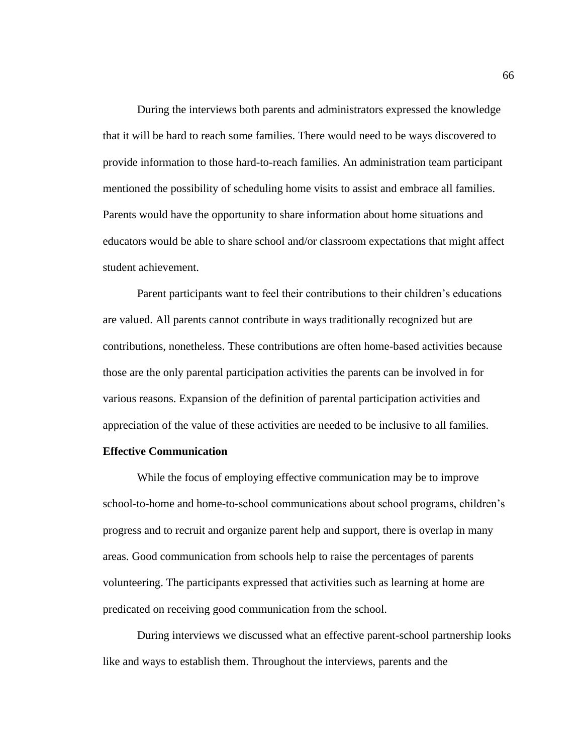During the interviews both parents and administrators expressed the knowledge that it will be hard to reach some families. There would need to be ways discovered to provide information to those hard-to-reach families. An administration team participant mentioned the possibility of scheduling home visits to assist and embrace all families. Parents would have the opportunity to share information about home situations and educators would be able to share school and/or classroom expectations that might affect student achievement.

Parent participants want to feel their contributions to their children's educations are valued. All parents cannot contribute in ways traditionally recognized but are contributions, nonetheless. These contributions are often home-based activities because those are the only parental participation activities the parents can be involved in for various reasons. Expansion of the definition of parental participation activities and appreciation of the value of these activities are needed to be inclusive to all families.

# **Effective Communication**

While the focus of employing effective communication may be to improve school-to-home and home-to-school communications about school programs, children's progress and to recruit and organize parent help and support, there is overlap in many areas. Good communication from schools help to raise the percentages of parents volunteering. The participants expressed that activities such as learning at home are predicated on receiving good communication from the school.

During interviews we discussed what an effective parent-school partnership looks like and ways to establish them. Throughout the interviews, parents and the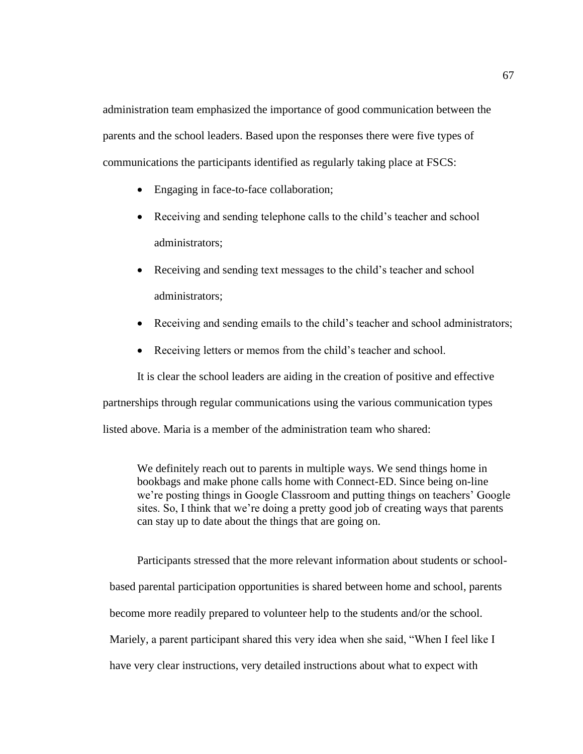administration team emphasized the importance of good communication between the parents and the school leaders. Based upon the responses there were five types of communications the participants identified as regularly taking place at FSCS:

- Engaging in face-to-face collaboration;
- Receiving and sending telephone calls to the child's teacher and school administrators;
- Receiving and sending text messages to the child's teacher and school administrators;
- Receiving and sending emails to the child's teacher and school administrators;
- Receiving letters or memos from the child's teacher and school.

It is clear the school leaders are aiding in the creation of positive and effective partnerships through regular communications using the various communication types listed above. Maria is a member of the administration team who shared:

We definitely reach out to parents in multiple ways. We send things home in bookbags and make phone calls home with Connect-ED. Since being on-line we're posting things in Google Classroom and putting things on teachers' Google sites. So, I think that we're doing a pretty good job of creating ways that parents can stay up to date about the things that are going on.

Participants stressed that the more relevant information about students or schoolbased parental participation opportunities is shared between home and school, parents become more readily prepared to volunteer help to the students and/or the school. Mariely, a parent participant shared this very idea when she said, "When I feel like I have very clear instructions, very detailed instructions about what to expect with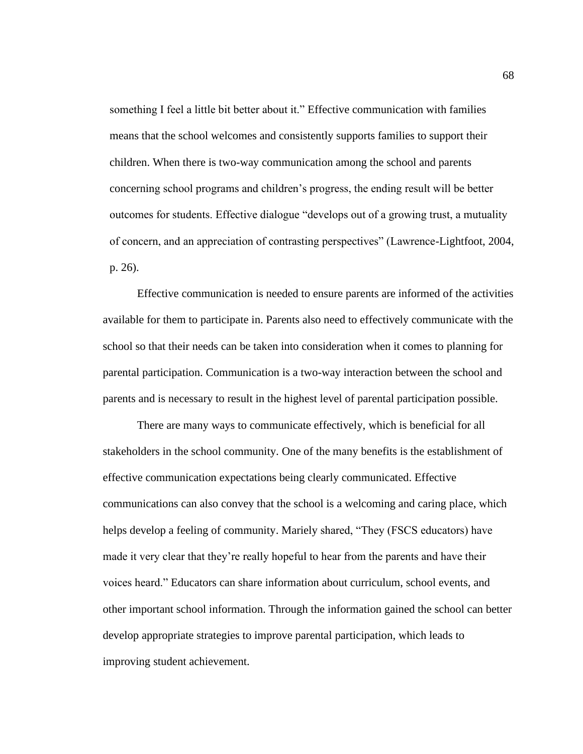something I feel a little bit better about it." Effective communication with families means that the school welcomes and consistently supports families to support their children. When there is two-way communication among the school and parents concerning school programs and children's progress, the ending result will be better outcomes for students. Effective dialogue "develops out of a growing trust, a mutuality of concern, and an appreciation of contrasting perspectives" (Lawrence-Lightfoot, 2004, p. 26).

Effective communication is needed to ensure parents are informed of the activities available for them to participate in. Parents also need to effectively communicate with the school so that their needs can be taken into consideration when it comes to planning for parental participation. Communication is a two-way interaction between the school and parents and is necessary to result in the highest level of parental participation possible.

There are many ways to communicate effectively, which is beneficial for all stakeholders in the school community. One of the many benefits is the establishment of effective communication expectations being clearly communicated. Effective communications can also convey that the school is a welcoming and caring place, which helps develop a feeling of community. Mariely shared, "They (FSCS educators) have made it very clear that they're really hopeful to hear from the parents and have their voices heard." Educators can share information about curriculum, school events, and other important school information. Through the information gained the school can better develop appropriate strategies to improve parental participation, which leads to improving student achievement.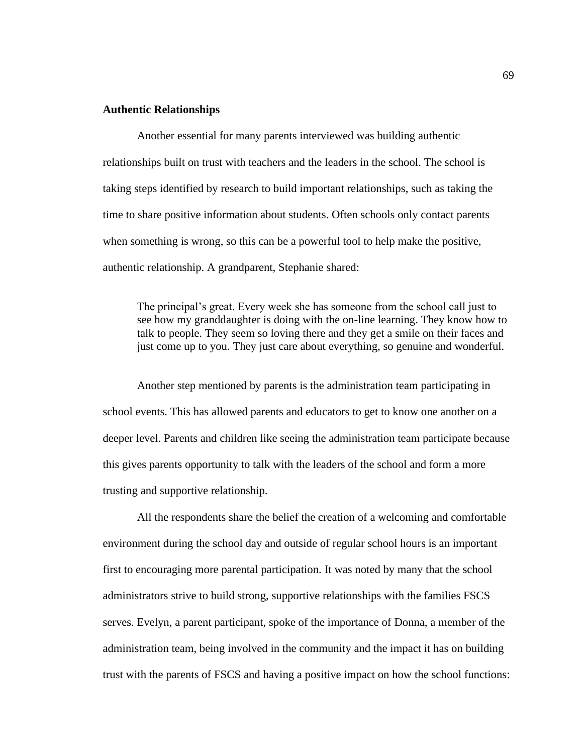### **Authentic Relationships**

Another essential for many parents interviewed was building authentic relationships built on trust with teachers and the leaders in the school. The school is taking steps identified by research to build important relationships, such as taking the time to share positive information about students. Often schools only contact parents when something is wrong, so this can be a powerful tool to help make the positive, authentic relationship. A grandparent, Stephanie shared:

The principal's great. Every week she has someone from the school call just to see how my granddaughter is doing with the on-line learning. They know how to talk to people. They seem so loving there and they get a smile on their faces and just come up to you. They just care about everything, so genuine and wonderful.

Another step mentioned by parents is the administration team participating in school events. This has allowed parents and educators to get to know one another on a deeper level. Parents and children like seeing the administration team participate because this gives parents opportunity to talk with the leaders of the school and form a more trusting and supportive relationship.

All the respondents share the belief the creation of a welcoming and comfortable environment during the school day and outside of regular school hours is an important first to encouraging more parental participation. It was noted by many that the school administrators strive to build strong, supportive relationships with the families FSCS serves. Evelyn, a parent participant, spoke of the importance of Donna, a member of the administration team, being involved in the community and the impact it has on building trust with the parents of FSCS and having a positive impact on how the school functions: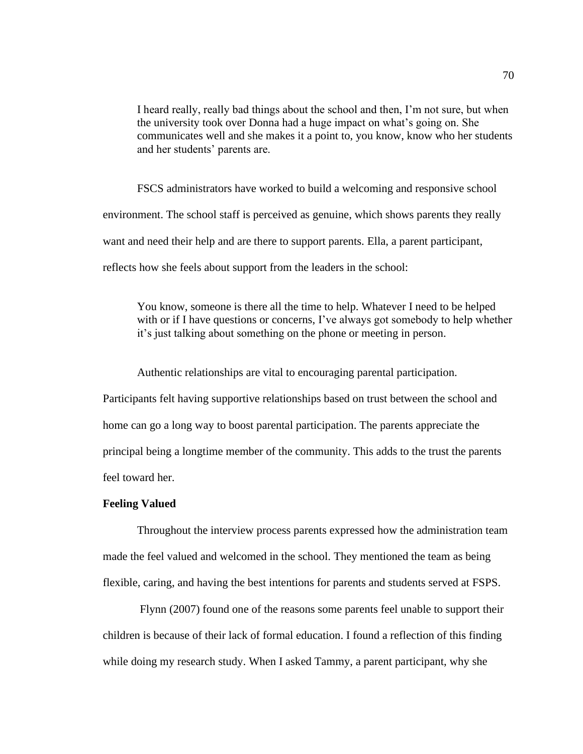I heard really, really bad things about the school and then, I'm not sure, but when the university took over Donna had a huge impact on what's going on. She communicates well and she makes it a point to, you know, know who her students and her students' parents are.

FSCS administrators have worked to build a welcoming and responsive school environment. The school staff is perceived as genuine, which shows parents they really want and need their help and are there to support parents. Ella, a parent participant, reflects how she feels about support from the leaders in the school:

You know, someone is there all the time to help. Whatever I need to be helped with or if I have questions or concerns, I've always got somebody to help whether it's just talking about something on the phone or meeting in person.

Authentic relationships are vital to encouraging parental participation.

Participants felt having supportive relationships based on trust between the school and home can go a long way to boost parental participation. The parents appreciate the principal being a longtime member of the community. This adds to the trust the parents feel toward her.

### **Feeling Valued**

Throughout the interview process parents expressed how the administration team made the feel valued and welcomed in the school. They mentioned the team as being flexible, caring, and having the best intentions for parents and students served at FSPS.

Flynn (2007) found one of the reasons some parents feel unable to support their children is because of their lack of formal education. I found a reflection of this finding while doing my research study. When I asked Tammy, a parent participant, why she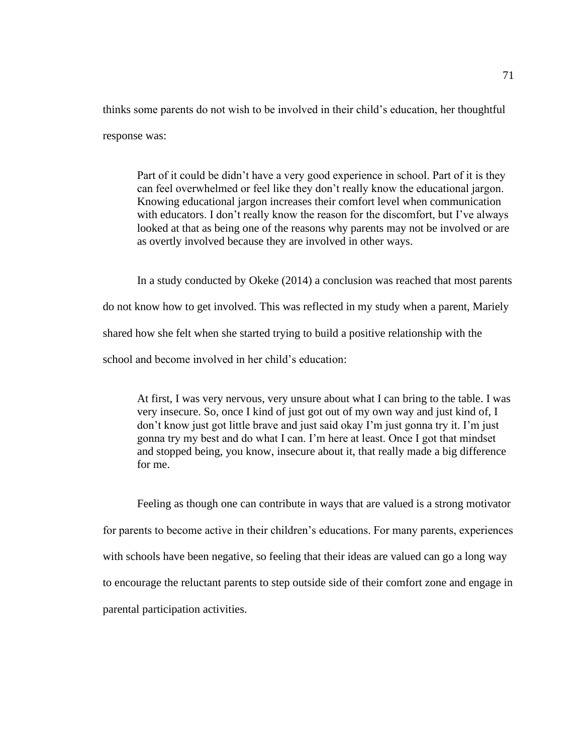thinks some parents do not wish to be involved in their child's education, her thoughtful response was:

Part of it could be didn't have a very good experience in school. Part of it is they can feel overwhelmed or feel like they don't really know the educational jargon. Knowing educational jargon increases their comfort level when communication with educators. I don't really know the reason for the discomfort, but I've always looked at that as being one of the reasons why parents may not be involved or are as overtly involved because they are involved in other ways.

In a study conducted by Okeke (2014) a conclusion was reached that most parents do not know how to get involved. This was reflected in my study when a parent, Mariely shared how she felt when she started trying to build a positive relationship with the school and become involved in her child's education:

At first, I was very nervous, very unsure about what I can bring to the table. I was very insecure. So, once I kind of just got out of my own way and just kind of, I don't know just got little brave and just said okay I'm just gonna try it. I'm just gonna try my best and do what I can. I'm here at least. Once I got that mindset and stopped being, you know, insecure about it, that really made a big difference for me.

Feeling as though one can contribute in ways that are valued is a strong motivator for parents to become active in their children's educations. For many parents, experiences with schools have been negative, so feeling that their ideas are valued can go a long way to encourage the reluctant parents to step outside side of their comfort zone and engage in parental participation activities.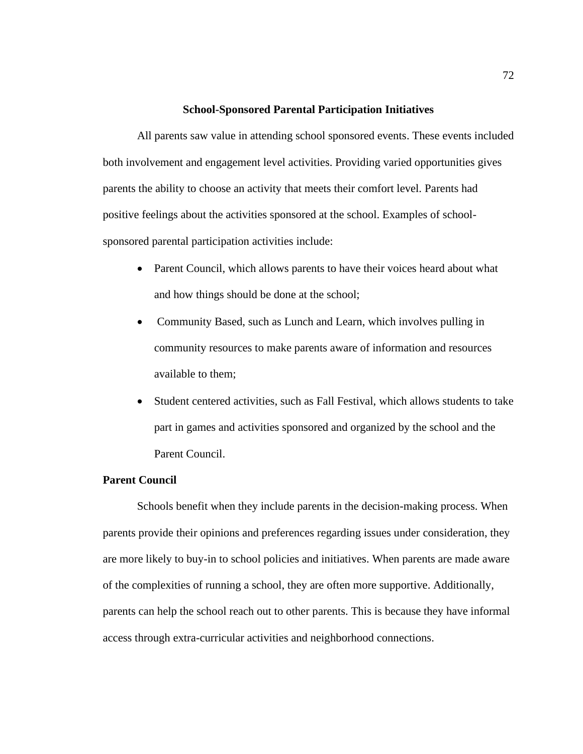### **School-Sponsored Parental Participation Initiatives**

All parents saw value in attending school sponsored events. These events included both involvement and engagement level activities. Providing varied opportunities gives parents the ability to choose an activity that meets their comfort level. Parents had positive feelings about the activities sponsored at the school. Examples of schoolsponsored parental participation activities include:

- Parent Council, which allows parents to have their voices heard about what and how things should be done at the school;
- Community Based, such as Lunch and Learn, which involves pulling in community resources to make parents aware of information and resources available to them;
- Student centered activities, such as Fall Festival, which allows students to take part in games and activities sponsored and organized by the school and the Parent Council.

### **Parent Council**

Schools benefit when they include parents in the decision-making process. When parents provide their opinions and preferences regarding issues under consideration, they are more likely to buy-in to school policies and initiatives. When parents are made aware of the complexities of running a school, they are often more supportive. Additionally, parents can help the school reach out to other parents. This is because they have informal access through extra-curricular activities and neighborhood connections.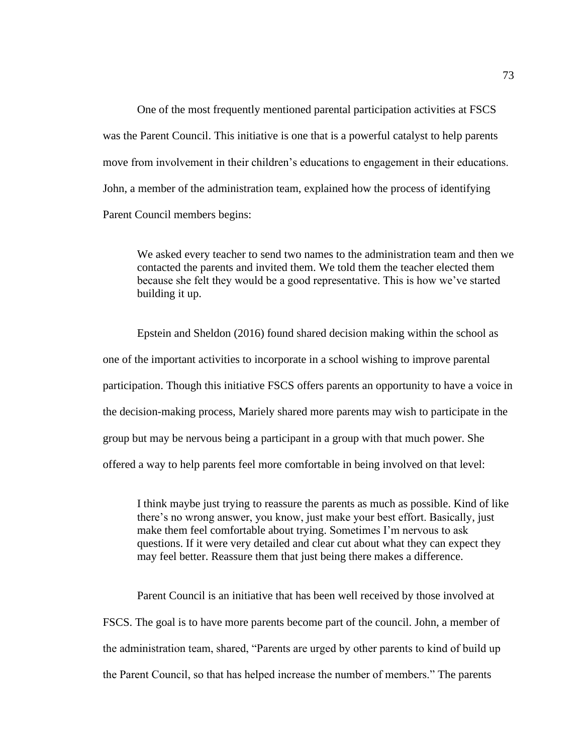One of the most frequently mentioned parental participation activities at FSCS was the Parent Council. This initiative is one that is a powerful catalyst to help parents move from involvement in their children's educations to engagement in their educations. John, a member of the administration team, explained how the process of identifying Parent Council members begins:

We asked every teacher to send two names to the administration team and then we contacted the parents and invited them. We told them the teacher elected them because she felt they would be a good representative. This is how we've started building it up.

Epstein and Sheldon (2016) found shared decision making within the school as one of the important activities to incorporate in a school wishing to improve parental participation. Though this initiative FSCS offers parents an opportunity to have a voice in the decision-making process, Mariely shared more parents may wish to participate in the group but may be nervous being a participant in a group with that much power. She offered a way to help parents feel more comfortable in being involved on that level:

I think maybe just trying to reassure the parents as much as possible. Kind of like there's no wrong answer, you know, just make your best effort. Basically, just make them feel comfortable about trying. Sometimes I'm nervous to ask questions. If it were very detailed and clear cut about what they can expect they may feel better. Reassure them that just being there makes a difference.

Parent Council is an initiative that has been well received by those involved at FSCS. The goal is to have more parents become part of the council. John, a member of the administration team, shared, "Parents are urged by other parents to kind of build up the Parent Council, so that has helped increase the number of members." The parents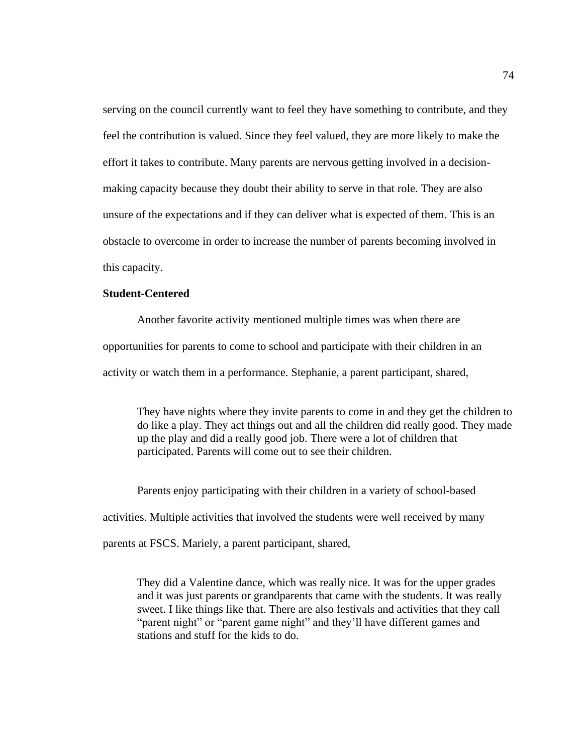serving on the council currently want to feel they have something to contribute, and they feel the contribution is valued. Since they feel valued, they are more likely to make the effort it takes to contribute. Many parents are nervous getting involved in a decisionmaking capacity because they doubt their ability to serve in that role. They are also unsure of the expectations and if they can deliver what is expected of them. This is an obstacle to overcome in order to increase the number of parents becoming involved in this capacity.

### **Student-Centered**

Another favorite activity mentioned multiple times was when there are opportunities for parents to come to school and participate with their children in an activity or watch them in a performance. Stephanie, a parent participant, shared,

They have nights where they invite parents to come in and they get the children to do like a play. They act things out and all the children did really good. They made up the play and did a really good job. There were a lot of children that participated. Parents will come out to see their children.

Parents enjoy participating with their children in a variety of school-based activities. Multiple activities that involved the students were well received by many parents at FSCS. Mariely, a parent participant, shared,

They did a Valentine dance, which was really nice. It was for the upper grades and it was just parents or grandparents that came with the students. It was really sweet. I like things like that. There are also festivals and activities that they call "parent night" or "parent game night" and they'll have different games and stations and stuff for the kids to do.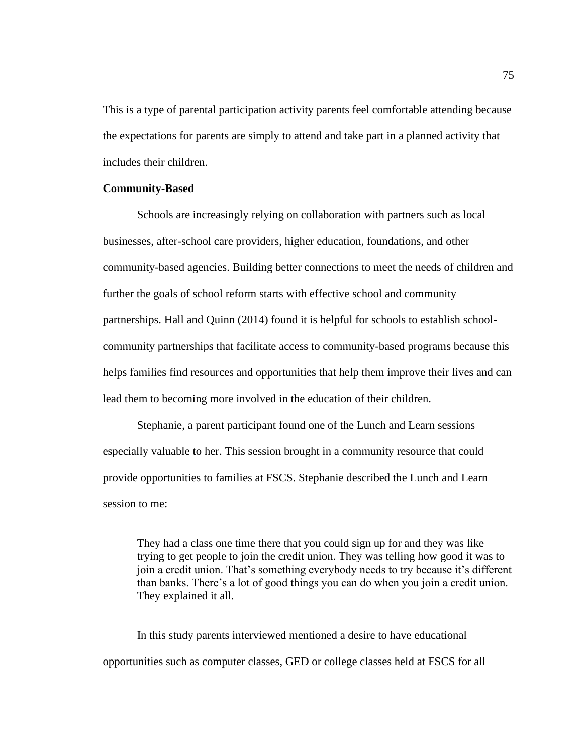This is a type of parental participation activity parents feel comfortable attending because the expectations for parents are simply to attend and take part in a planned activity that includes their children.

## **Community-Based**

Schools are increasingly relying on collaboration with partners such as local businesses, after-school care providers, higher education, foundations, and other community-based agencies. Building better connections to meet the needs of children and further the goals of school reform starts with effective school and community partnerships. Hall and Quinn (2014) found it is helpful for schools to establish schoolcommunity partnerships that facilitate access to community-based programs because this helps families find resources and opportunities that help them improve their lives and can lead them to becoming more involved in the education of their children.

Stephanie, a parent participant found one of the Lunch and Learn sessions especially valuable to her. This session brought in a community resource that could provide opportunities to families at FSCS. Stephanie described the Lunch and Learn session to me:

They had a class one time there that you could sign up for and they was like trying to get people to join the credit union. They was telling how good it was to join a credit union. That's something everybody needs to try because it's different than banks. There's a lot of good things you can do when you join a credit union. They explained it all.

In this study parents interviewed mentioned a desire to have educational opportunities such as computer classes, GED or college classes held at FSCS for all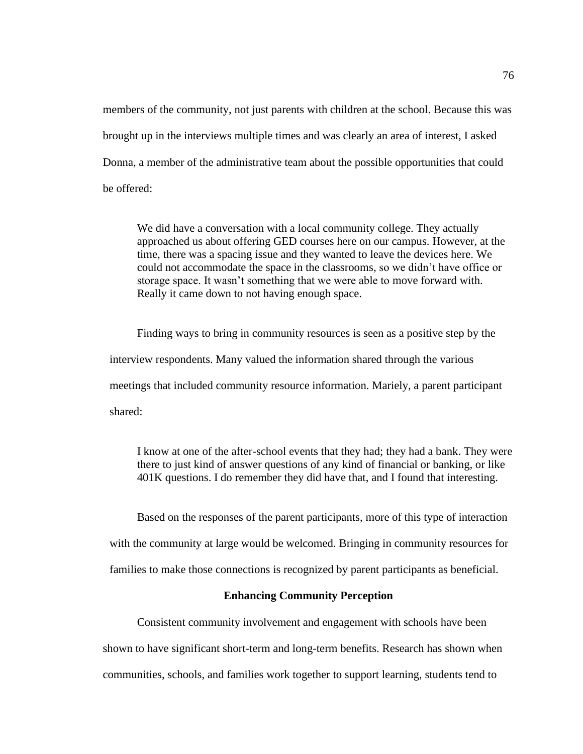members of the community, not just parents with children at the school. Because this was brought up in the interviews multiple times and was clearly an area of interest, I asked Donna, a member of the administrative team about the possible opportunities that could be offered:

We did have a conversation with a local community college. They actually approached us about offering GED courses here on our campus. However, at the time, there was a spacing issue and they wanted to leave the devices here. We could not accommodate the space in the classrooms, so we didn't have office or storage space. It wasn't something that we were able to move forward with. Really it came down to not having enough space.

Finding ways to bring in community resources is seen as a positive step by the interview respondents. Many valued the information shared through the various meetings that included community resource information. Mariely, a parent participant shared:

I know at one of the after-school events that they had; they had a bank. They were there to just kind of answer questions of any kind of financial or banking, or like 401K questions. I do remember they did have that, and I found that interesting.

Based on the responses of the parent participants, more of this type of interaction with the community at large would be welcomed. Bringing in community resources for families to make those connections is recognized by parent participants as beneficial.

# **Enhancing Community Perception**

Consistent community involvement and engagement with schools have been shown to have significant short-term and long-term benefits. Research has shown when communities, schools, and families work together to support learning, students tend to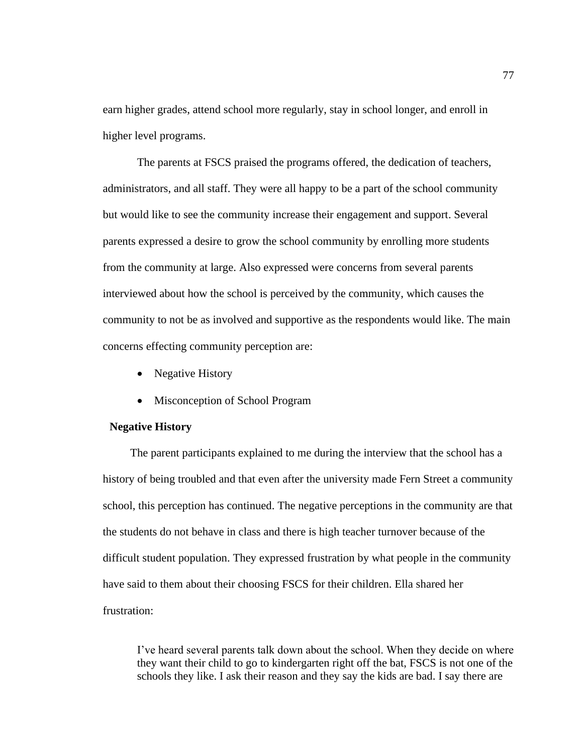earn higher grades, attend school more regularly, stay in school longer, and enroll in higher level programs.

The parents at FSCS praised the programs offered, the dedication of teachers, administrators, and all staff. They were all happy to be a part of the school community but would like to see the community increase their engagement and support. Several parents expressed a desire to grow the school community by enrolling more students from the community at large. Also expressed were concerns from several parents interviewed about how the school is perceived by the community, which causes the community to not be as involved and supportive as the respondents would like. The main concerns effecting community perception are:

- Negative History
- Misconception of School Program

## **Negative History**

The parent participants explained to me during the interview that the school has a history of being troubled and that even after the university made Fern Street a community school, this perception has continued. The negative perceptions in the community are that the students do not behave in class and there is high teacher turnover because of the difficult student population. They expressed frustration by what people in the community have said to them about their choosing FSCS for their children. Ella shared her frustration:

I've heard several parents talk down about the school. When they decide on where they want their child to go to kindergarten right off the bat, FSCS is not one of the schools they like. I ask their reason and they say the kids are bad. I say there are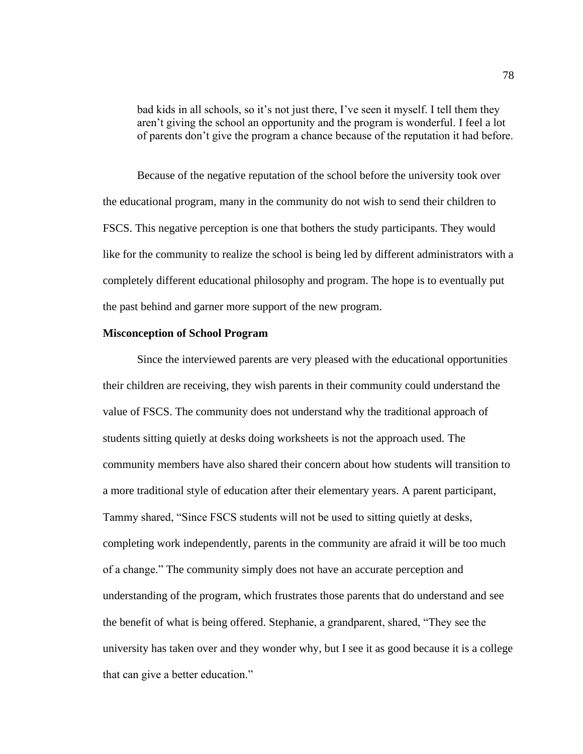bad kids in all schools, so it's not just there, I've seen it myself. I tell them they aren't giving the school an opportunity and the program is wonderful. I feel a lot of parents don't give the program a chance because of the reputation it had before.

Because of the negative reputation of the school before the university took over the educational program, many in the community do not wish to send their children to FSCS. This negative perception is one that bothers the study participants. They would like for the community to realize the school is being led by different administrators with a completely different educational philosophy and program. The hope is to eventually put the past behind and garner more support of the new program.

### **Misconception of School Program**

Since the interviewed parents are very pleased with the educational opportunities their children are receiving, they wish parents in their community could understand the value of FSCS. The community does not understand why the traditional approach of students sitting quietly at desks doing worksheets is not the approach used. The community members have also shared their concern about how students will transition to a more traditional style of education after their elementary years. A parent participant, Tammy shared, "Since FSCS students will not be used to sitting quietly at desks, completing work independently, parents in the community are afraid it will be too much of a change." The community simply does not have an accurate perception and understanding of the program, which frustrates those parents that do understand and see the benefit of what is being offered. Stephanie, a grandparent, shared, "They see the university has taken over and they wonder why, but I see it as good because it is a college that can give a better education."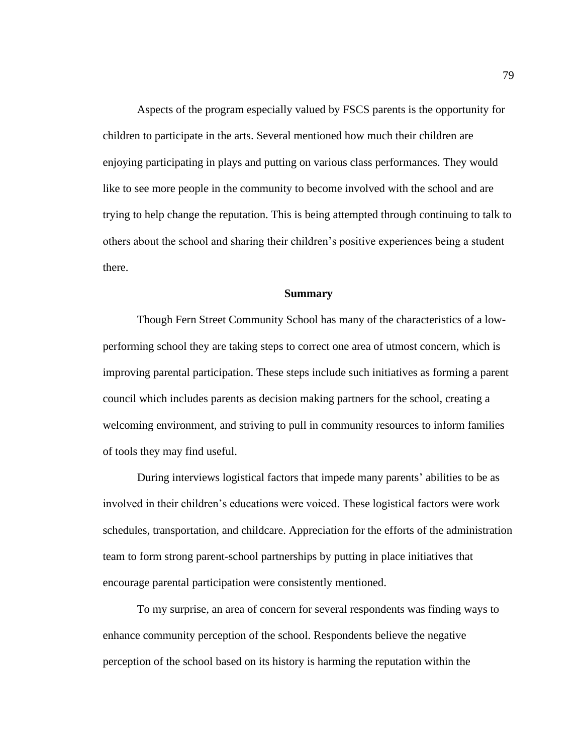Aspects of the program especially valued by FSCS parents is the opportunity for children to participate in the arts. Several mentioned how much their children are enjoying participating in plays and putting on various class performances. They would like to see more people in the community to become involved with the school and are trying to help change the reputation. This is being attempted through continuing to talk to others about the school and sharing their children's positive experiences being a student there.

#### **Summary**

Though Fern Street Community School has many of the characteristics of a lowperforming school they are taking steps to correct one area of utmost concern, which is improving parental participation. These steps include such initiatives as forming a parent council which includes parents as decision making partners for the school, creating a welcoming environment, and striving to pull in community resources to inform families of tools they may find useful.

During interviews logistical factors that impede many parents' abilities to be as involved in their children's educations were voiced. These logistical factors were work schedules, transportation, and childcare. Appreciation for the efforts of the administration team to form strong parent-school partnerships by putting in place initiatives that encourage parental participation were consistently mentioned.

To my surprise, an area of concern for several respondents was finding ways to enhance community perception of the school. Respondents believe the negative perception of the school based on its history is harming the reputation within the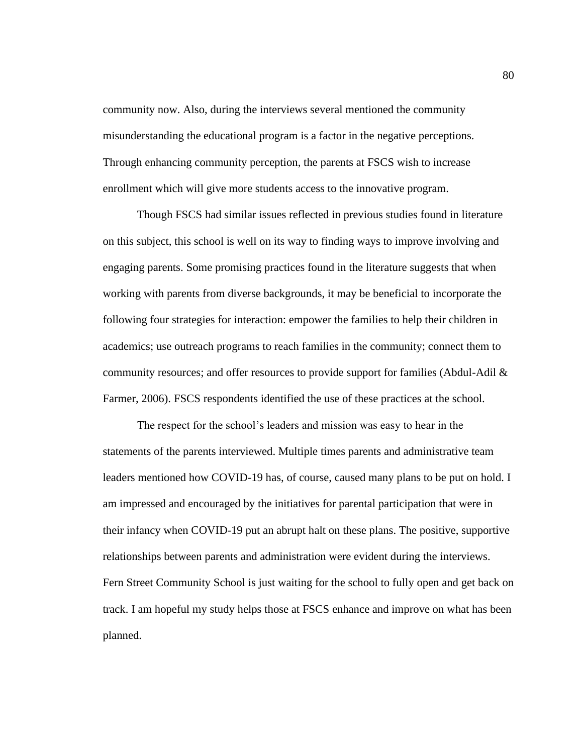community now. Also, during the interviews several mentioned the community misunderstanding the educational program is a factor in the negative perceptions. Through enhancing community perception, the parents at FSCS wish to increase enrollment which will give more students access to the innovative program.

Though FSCS had similar issues reflected in previous studies found in literature on this subject, this school is well on its way to finding ways to improve involving and engaging parents. Some promising practices found in the literature suggests that when working with parents from diverse backgrounds, it may be beneficial to incorporate the following four strategies for interaction: empower the families to help their children in academics; use outreach programs to reach families in the community; connect them to community resources; and offer resources to provide support for families (Abdul-Adil & Farmer, 2006). FSCS respondents identified the use of these practices at the school.

The respect for the school's leaders and mission was easy to hear in the statements of the parents interviewed. Multiple times parents and administrative team leaders mentioned how COVID-19 has, of course, caused many plans to be put on hold. I am impressed and encouraged by the initiatives for parental participation that were in their infancy when COVID-19 put an abrupt halt on these plans. The positive, supportive relationships between parents and administration were evident during the interviews. Fern Street Community School is just waiting for the school to fully open and get back on track. I am hopeful my study helps those at FSCS enhance and improve on what has been planned.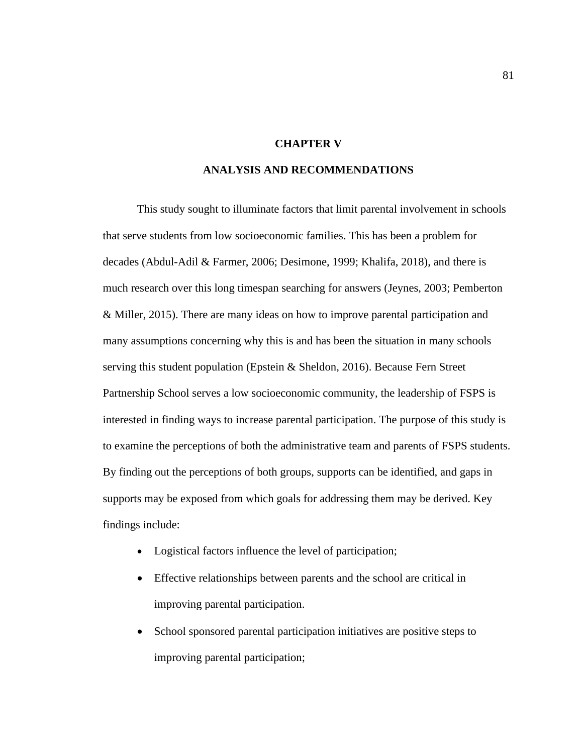# **CHAPTER V**

# **ANALYSIS AND RECOMMENDATIONS**

This study sought to illuminate factors that limit parental involvement in schools that serve students from low socioeconomic families. This has been a problem for decades (Abdul-Adil & Farmer, 2006; Desimone, 1999; Khalifa, 2018), and there is much research over this long timespan searching for answers (Jeynes, 2003; Pemberton & Miller, 2015). There are many ideas on how to improve parental participation and many assumptions concerning why this is and has been the situation in many schools serving this student population (Epstein & Sheldon, 2016). Because Fern Street Partnership School serves a low socioeconomic community, the leadership of FSPS is interested in finding ways to increase parental participation. The purpose of this study is to examine the perceptions of both the administrative team and parents of FSPS students. By finding out the perceptions of both groups, supports can be identified, and gaps in supports may be exposed from which goals for addressing them may be derived. Key findings include:

- Logistical factors influence the level of participation;
- Effective relationships between parents and the school are critical in improving parental participation.
- School sponsored parental participation initiatives are positive steps to improving parental participation;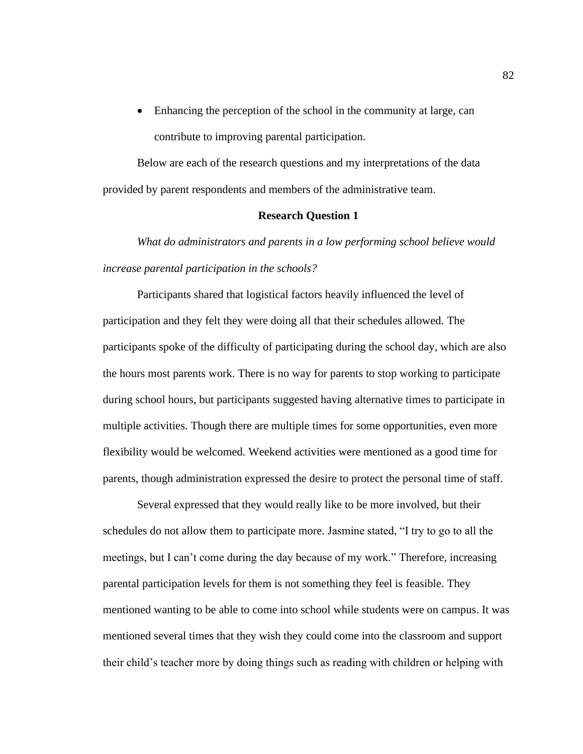• Enhancing the perception of the school in the community at large, can contribute to improving parental participation.

Below are each of the research questions and my interpretations of the data provided by parent respondents and members of the administrative team.

### **Research Question 1**

*What do administrators and parents in a low performing school believe would increase parental participation in the schools?*

Participants shared that logistical factors heavily influenced the level of participation and they felt they were doing all that their schedules allowed. The participants spoke of the difficulty of participating during the school day, which are also the hours most parents work. There is no way for parents to stop working to participate during school hours, but participants suggested having alternative times to participate in multiple activities. Though there are multiple times for some opportunities, even more flexibility would be welcomed. Weekend activities were mentioned as a good time for parents, though administration expressed the desire to protect the personal time of staff.

Several expressed that they would really like to be more involved, but their schedules do not allow them to participate more. Jasmine stated, "I try to go to all the meetings, but I can't come during the day because of my work." Therefore, increasing parental participation levels for them is not something they feel is feasible. They mentioned wanting to be able to come into school while students were on campus. It was mentioned several times that they wish they could come into the classroom and support their child's teacher more by doing things such as reading with children or helping with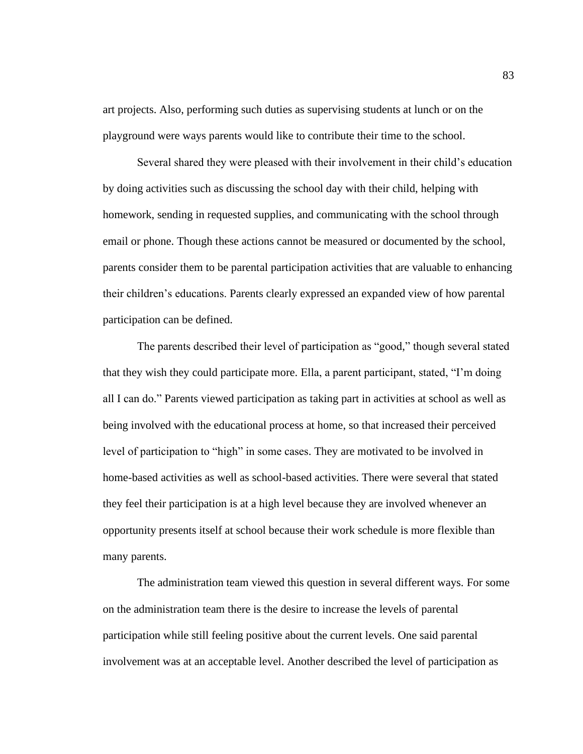art projects. Also, performing such duties as supervising students at lunch or on the playground were ways parents would like to contribute their time to the school.

Several shared they were pleased with their involvement in their child's education by doing activities such as discussing the school day with their child, helping with homework, sending in requested supplies, and communicating with the school through email or phone. Though these actions cannot be measured or documented by the school, parents consider them to be parental participation activities that are valuable to enhancing their children's educations. Parents clearly expressed an expanded view of how parental participation can be defined.

The parents described their level of participation as "good," though several stated that they wish they could participate more. Ella, a parent participant, stated, "I'm doing all I can do." Parents viewed participation as taking part in activities at school as well as being involved with the educational process at home, so that increased their perceived level of participation to "high" in some cases. They are motivated to be involved in home-based activities as well as school-based activities. There were several that stated they feel their participation is at a high level because they are involved whenever an opportunity presents itself at school because their work schedule is more flexible than many parents.

The administration team viewed this question in several different ways. For some on the administration team there is the desire to increase the levels of parental participation while still feeling positive about the current levels. One said parental involvement was at an acceptable level. Another described the level of participation as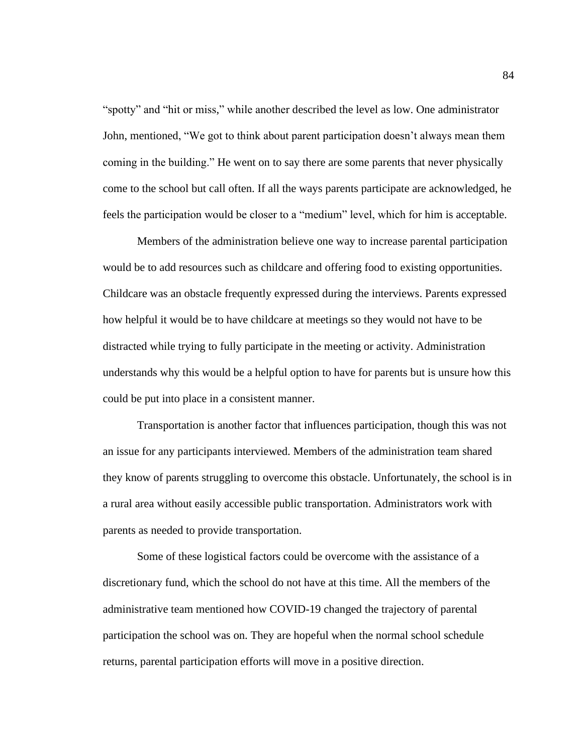"spotty" and "hit or miss," while another described the level as low. One administrator John, mentioned, "We got to think about parent participation doesn't always mean them coming in the building." He went on to say there are some parents that never physically come to the school but call often. If all the ways parents participate are acknowledged, he feels the participation would be closer to a "medium" level, which for him is acceptable.

Members of the administration believe one way to increase parental participation would be to add resources such as childcare and offering food to existing opportunities. Childcare was an obstacle frequently expressed during the interviews. Parents expressed how helpful it would be to have childcare at meetings so they would not have to be distracted while trying to fully participate in the meeting or activity. Administration understands why this would be a helpful option to have for parents but is unsure how this could be put into place in a consistent manner.

Transportation is another factor that influences participation, though this was not an issue for any participants interviewed. Members of the administration team shared they know of parents struggling to overcome this obstacle. Unfortunately, the school is in a rural area without easily accessible public transportation. Administrators work with parents as needed to provide transportation.

Some of these logistical factors could be overcome with the assistance of a discretionary fund, which the school do not have at this time. All the members of the administrative team mentioned how COVID-19 changed the trajectory of parental participation the school was on. They are hopeful when the normal school schedule returns, parental participation efforts will move in a positive direction.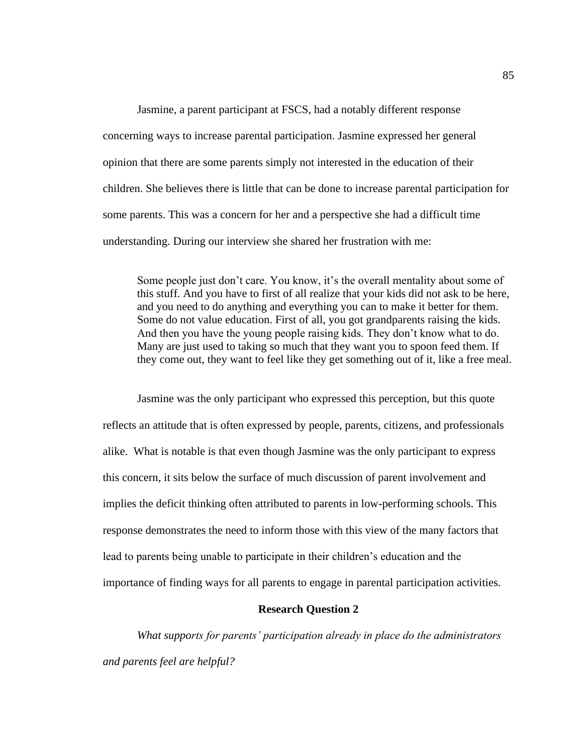Jasmine, a parent participant at FSCS, had a notably different response concerning ways to increase parental participation. Jasmine expressed her general opinion that there are some parents simply not interested in the education of their children. She believes there is little that can be done to increase parental participation for some parents. This was a concern for her and a perspective she had a difficult time understanding. During our interview she shared her frustration with me:

Some people just don't care. You know, it's the overall mentality about some of this stuff. And you have to first of all realize that your kids did not ask to be here, and you need to do anything and everything you can to make it better for them. Some do not value education. First of all, you got grandparents raising the kids. And then you have the young people raising kids. They don't know what to do. Many are just used to taking so much that they want you to spoon feed them. If they come out, they want to feel like they get something out of it, like a free meal.

Jasmine was the only participant who expressed this perception, but this quote reflects an attitude that is often expressed by people, parents, citizens, and professionals alike. What is notable is that even though Jasmine was the only participant to express this concern, it sits below the surface of much discussion of parent involvement and implies the deficit thinking often attributed to parents in low-performing schools. This response demonstrates the need to inform those with this view of the many factors that lead to parents being unable to participate in their children's education and the importance of finding ways for all parents to engage in parental participation activities.

### **Research Question 2**

*What supports for parents' participation already in place do the administrators and parents feel are helpful?*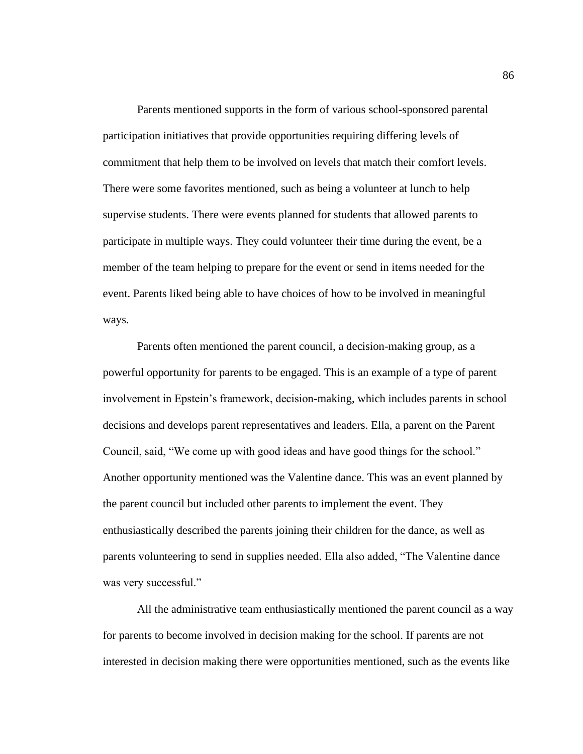Parents mentioned supports in the form of various school-sponsored parental participation initiatives that provide opportunities requiring differing levels of commitment that help them to be involved on levels that match their comfort levels. There were some favorites mentioned, such as being a volunteer at lunch to help supervise students. There were events planned for students that allowed parents to participate in multiple ways. They could volunteer their time during the event, be a member of the team helping to prepare for the event or send in items needed for the event. Parents liked being able to have choices of how to be involved in meaningful ways.

Parents often mentioned the parent council, a decision-making group, as a powerful opportunity for parents to be engaged. This is an example of a type of parent involvement in Epstein's framework, decision-making, which includes parents in school decisions and develops parent representatives and leaders. Ella, a parent on the Parent Council, said, "We come up with good ideas and have good things for the school." Another opportunity mentioned was the Valentine dance. This was an event planned by the parent council but included other parents to implement the event. They enthusiastically described the parents joining their children for the dance, as well as parents volunteering to send in supplies needed. Ella also added, "The Valentine dance was very successful."

All the administrative team enthusiastically mentioned the parent council as a way for parents to become involved in decision making for the school. If parents are not interested in decision making there were opportunities mentioned, such as the events like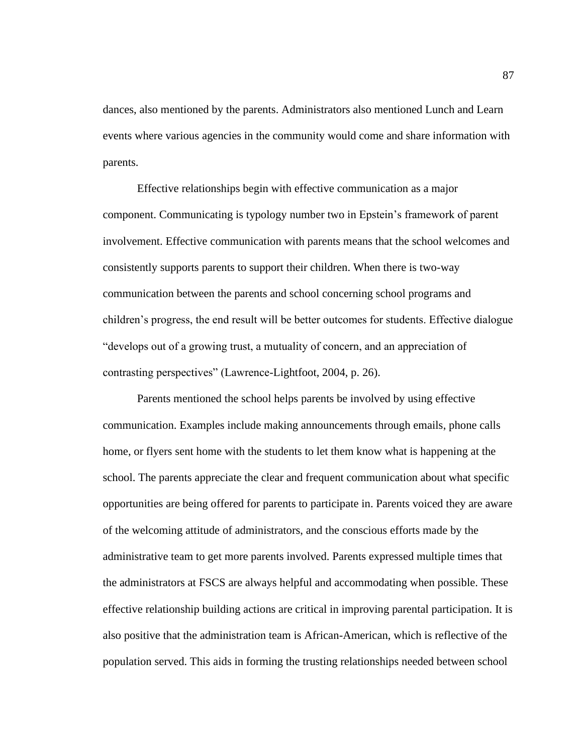dances, also mentioned by the parents. Administrators also mentioned Lunch and Learn events where various agencies in the community would come and share information with parents.

Effective relationships begin with effective communication as a major component. Communicating is typology number two in Epstein's framework of parent involvement. Effective communication with parents means that the school welcomes and consistently supports parents to support their children. When there is two-way communication between the parents and school concerning school programs and children's progress, the end result will be better outcomes for students. Effective dialogue "develops out of a growing trust, a mutuality of concern, and an appreciation of contrasting perspectives" (Lawrence-Lightfoot, 2004, p. 26).

Parents mentioned the school helps parents be involved by using effective communication. Examples include making announcements through emails, phone calls home, or flyers sent home with the students to let them know what is happening at the school. The parents appreciate the clear and frequent communication about what specific opportunities are being offered for parents to participate in. Parents voiced they are aware of the welcoming attitude of administrators, and the conscious efforts made by the administrative team to get more parents involved. Parents expressed multiple times that the administrators at FSCS are always helpful and accommodating when possible. These effective relationship building actions are critical in improving parental participation. It is also positive that the administration team is African-American, which is reflective of the population served. This aids in forming the trusting relationships needed between school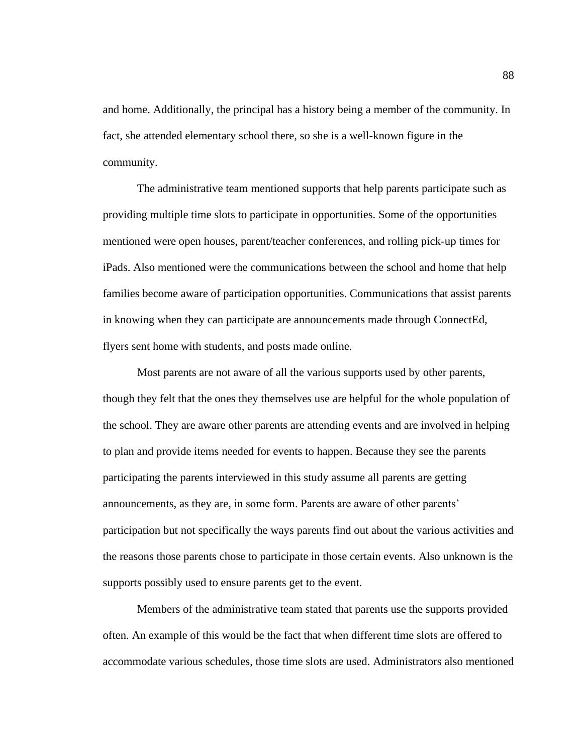and home. Additionally, the principal has a history being a member of the community. In fact, she attended elementary school there, so she is a well-known figure in the community.

The administrative team mentioned supports that help parents participate such as providing multiple time slots to participate in opportunities. Some of the opportunities mentioned were open houses, parent/teacher conferences, and rolling pick-up times for iPads. Also mentioned were the communications between the school and home that help families become aware of participation opportunities. Communications that assist parents in knowing when they can participate are announcements made through ConnectEd, flyers sent home with students, and posts made online.

Most parents are not aware of all the various supports used by other parents, though they felt that the ones they themselves use are helpful for the whole population of the school. They are aware other parents are attending events and are involved in helping to plan and provide items needed for events to happen. Because they see the parents participating the parents interviewed in this study assume all parents are getting announcements, as they are, in some form. Parents are aware of other parents' participation but not specifically the ways parents find out about the various activities and the reasons those parents chose to participate in those certain events. Also unknown is the supports possibly used to ensure parents get to the event.

Members of the administrative team stated that parents use the supports provided often. An example of this would be the fact that when different time slots are offered to accommodate various schedules, those time slots are used. Administrators also mentioned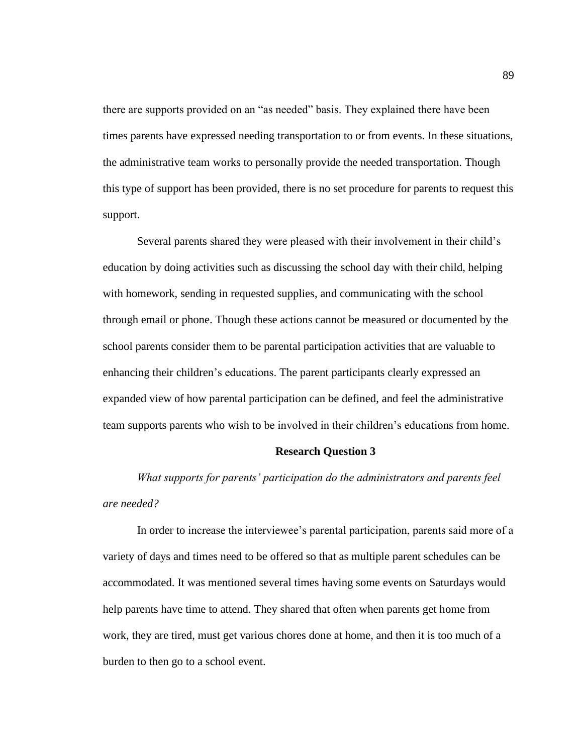there are supports provided on an "as needed" basis. They explained there have been times parents have expressed needing transportation to or from events. In these situations, the administrative team works to personally provide the needed transportation. Though this type of support has been provided, there is no set procedure for parents to request this support.

Several parents shared they were pleased with their involvement in their child's education by doing activities such as discussing the school day with their child, helping with homework, sending in requested supplies, and communicating with the school through email or phone. Though these actions cannot be measured or documented by the school parents consider them to be parental participation activities that are valuable to enhancing their children's educations. The parent participants clearly expressed an expanded view of how parental participation can be defined, and feel the administrative team supports parents who wish to be involved in their children's educations from home.

### **Research Question 3**

*What supports for parents' participation do the administrators and parents feel are needed?*

In order to increase the interviewee's parental participation, parents said more of a variety of days and times need to be offered so that as multiple parent schedules can be accommodated. It was mentioned several times having some events on Saturdays would help parents have time to attend. They shared that often when parents get home from work, they are tired, must get various chores done at home, and then it is too much of a burden to then go to a school event.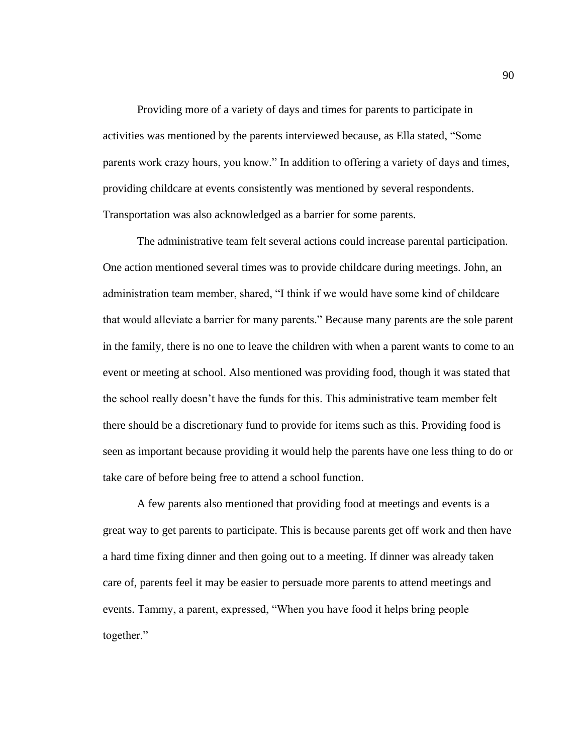Providing more of a variety of days and times for parents to participate in activities was mentioned by the parents interviewed because, as Ella stated, "Some parents work crazy hours, you know." In addition to offering a variety of days and times, providing childcare at events consistently was mentioned by several respondents. Transportation was also acknowledged as a barrier for some parents.

The administrative team felt several actions could increase parental participation. One action mentioned several times was to provide childcare during meetings. John, an administration team member, shared, "I think if we would have some kind of childcare that would alleviate a barrier for many parents." Because many parents are the sole parent in the family, there is no one to leave the children with when a parent wants to come to an event or meeting at school. Also mentioned was providing food, though it was stated that the school really doesn't have the funds for this. This administrative team member felt there should be a discretionary fund to provide for items such as this. Providing food is seen as important because providing it would help the parents have one less thing to do or take care of before being free to attend a school function.

A few parents also mentioned that providing food at meetings and events is a great way to get parents to participate. This is because parents get off work and then have a hard time fixing dinner and then going out to a meeting. If dinner was already taken care of, parents feel it may be easier to persuade more parents to attend meetings and events. Tammy, a parent, expressed, "When you have food it helps bring people together."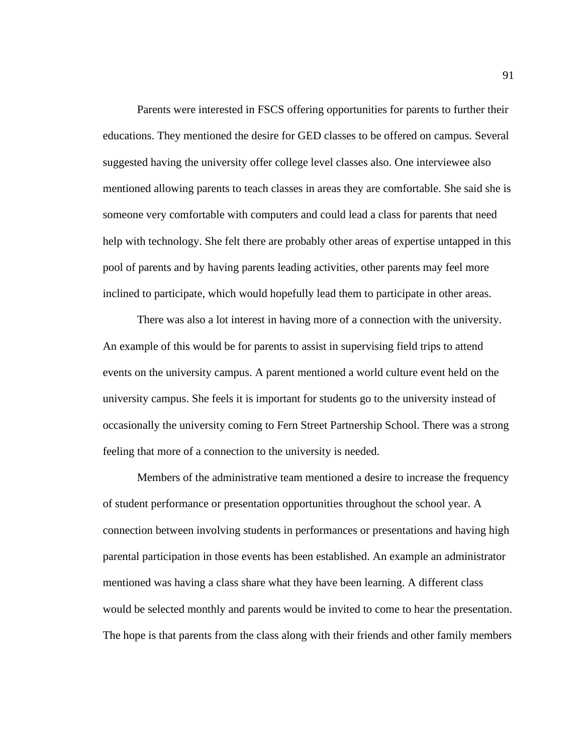Parents were interested in FSCS offering opportunities for parents to further their educations. They mentioned the desire for GED classes to be offered on campus. Several suggested having the university offer college level classes also. One interviewee also mentioned allowing parents to teach classes in areas they are comfortable. She said she is someone very comfortable with computers and could lead a class for parents that need help with technology. She felt there are probably other areas of expertise untapped in this pool of parents and by having parents leading activities, other parents may feel more inclined to participate, which would hopefully lead them to participate in other areas.

There was also a lot interest in having more of a connection with the university. An example of this would be for parents to assist in supervising field trips to attend events on the university campus. A parent mentioned a world culture event held on the university campus. She feels it is important for students go to the university instead of occasionally the university coming to Fern Street Partnership School. There was a strong feeling that more of a connection to the university is needed.

Members of the administrative team mentioned a desire to increase the frequency of student performance or presentation opportunities throughout the school year. A connection between involving students in performances or presentations and having high parental participation in those events has been established. An example an administrator mentioned was having a class share what they have been learning. A different class would be selected monthly and parents would be invited to come to hear the presentation. The hope is that parents from the class along with their friends and other family members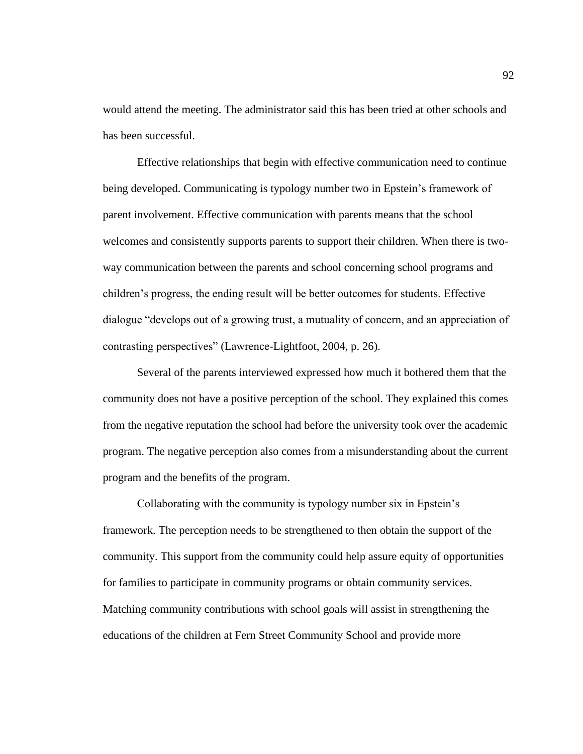would attend the meeting. The administrator said this has been tried at other schools and has been successful.

Effective relationships that begin with effective communication need to continue being developed. Communicating is typology number two in Epstein's framework of parent involvement. Effective communication with parents means that the school welcomes and consistently supports parents to support their children. When there is twoway communication between the parents and school concerning school programs and children's progress, the ending result will be better outcomes for students. Effective dialogue "develops out of a growing trust, a mutuality of concern, and an appreciation of contrasting perspectives" (Lawrence-Lightfoot, 2004, p. 26).

Several of the parents interviewed expressed how much it bothered them that the community does not have a positive perception of the school. They explained this comes from the negative reputation the school had before the university took over the academic program. The negative perception also comes from a misunderstanding about the current program and the benefits of the program.

Collaborating with the community is typology number six in Epstein's framework. The perception needs to be strengthened to then obtain the support of the community. This support from the community could help assure equity of opportunities for families to participate in community programs or obtain community services. Matching community contributions with school goals will assist in strengthening the educations of the children at Fern Street Community School and provide more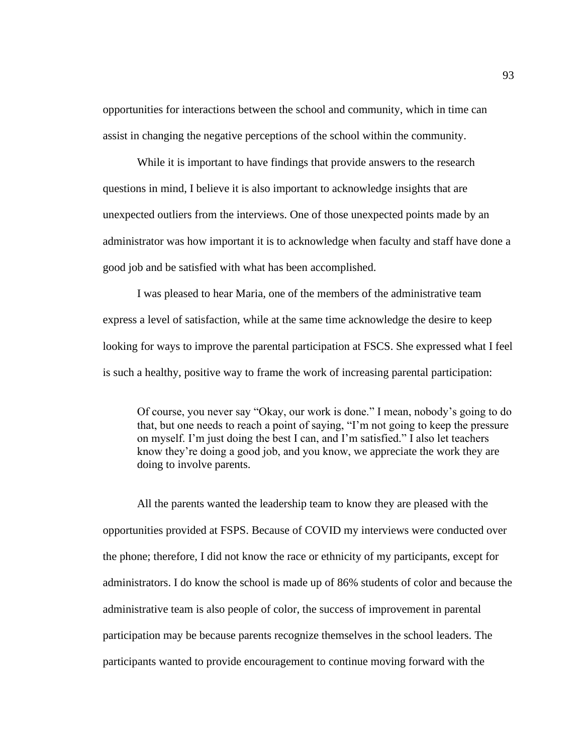opportunities for interactions between the school and community, which in time can assist in changing the negative perceptions of the school within the community.

While it is important to have findings that provide answers to the research questions in mind, I believe it is also important to acknowledge insights that are unexpected outliers from the interviews. One of those unexpected points made by an administrator was how important it is to acknowledge when faculty and staff have done a good job and be satisfied with what has been accomplished.

I was pleased to hear Maria, one of the members of the administrative team express a level of satisfaction, while at the same time acknowledge the desire to keep looking for ways to improve the parental participation at FSCS. She expressed what I feel is such a healthy, positive way to frame the work of increasing parental participation:

Of course, you never say "Okay, our work is done." I mean, nobody's going to do that, but one needs to reach a point of saying, "I'm not going to keep the pressure on myself. I'm just doing the best I can, and I'm satisfied." I also let teachers know they're doing a good job, and you know, we appreciate the work they are doing to involve parents.

All the parents wanted the leadership team to know they are pleased with the opportunities provided at FSPS. Because of COVID my interviews were conducted over the phone; therefore, I did not know the race or ethnicity of my participants, except for administrators. I do know the school is made up of 86% students of color and because the administrative team is also people of color, the success of improvement in parental participation may be because parents recognize themselves in the school leaders. The participants wanted to provide encouragement to continue moving forward with the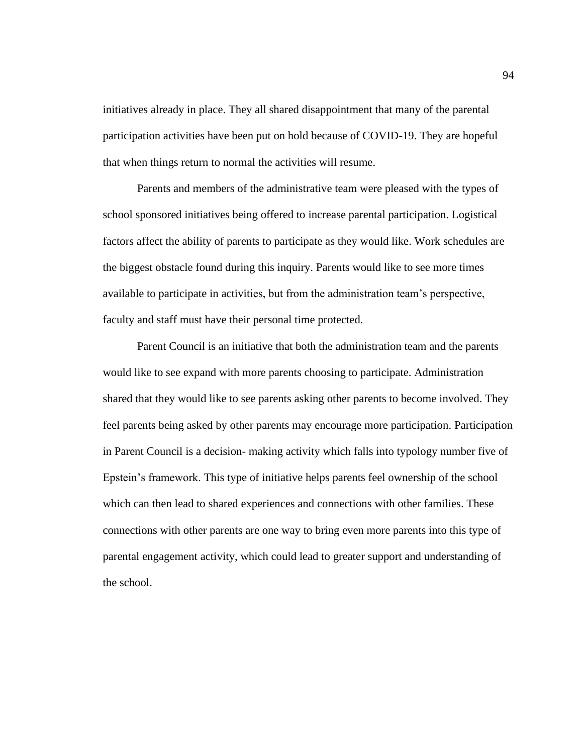initiatives already in place. They all shared disappointment that many of the parental participation activities have been put on hold because of COVID-19. They are hopeful that when things return to normal the activities will resume.

Parents and members of the administrative team were pleased with the types of school sponsored initiatives being offered to increase parental participation. Logistical factors affect the ability of parents to participate as they would like. Work schedules are the biggest obstacle found during this inquiry. Parents would like to see more times available to participate in activities, but from the administration team's perspective, faculty and staff must have their personal time protected.

Parent Council is an initiative that both the administration team and the parents would like to see expand with more parents choosing to participate. Administration shared that they would like to see parents asking other parents to become involved. They feel parents being asked by other parents may encourage more participation. Participation in Parent Council is a decision- making activity which falls into typology number five of Epstein's framework. This type of initiative helps parents feel ownership of the school which can then lead to shared experiences and connections with other families. These connections with other parents are one way to bring even more parents into this type of parental engagement activity, which could lead to greater support and understanding of the school.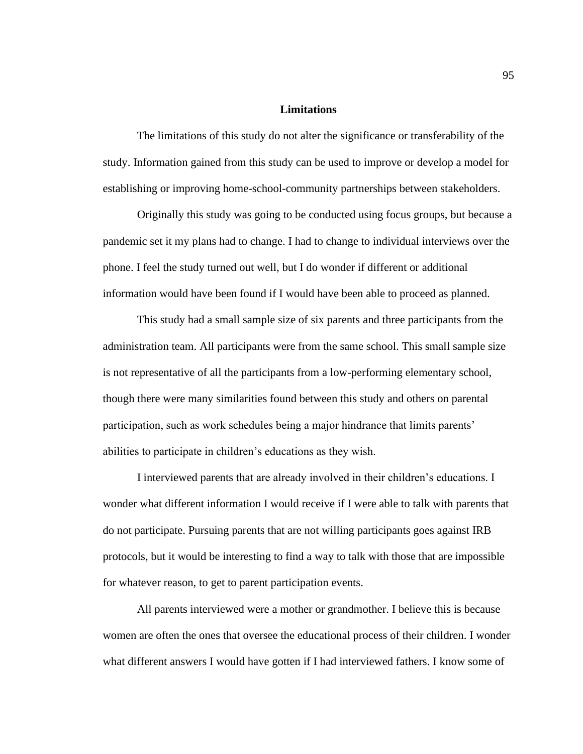# **Limitations**

The limitations of this study do not alter the significance or transferability of the study. Information gained from this study can be used to improve or develop a model for establishing or improving home-school-community partnerships between stakeholders.

Originally this study was going to be conducted using focus groups, but because a pandemic set it my plans had to change. I had to change to individual interviews over the phone. I feel the study turned out well, but I do wonder if different or additional information would have been found if I would have been able to proceed as planned.

This study had a small sample size of six parents and three participants from the administration team. All participants were from the same school. This small sample size is not representative of all the participants from a low-performing elementary school, though there were many similarities found between this study and others on parental participation, such as work schedules being a major hindrance that limits parents' abilities to participate in children's educations as they wish.

I interviewed parents that are already involved in their children's educations. I wonder what different information I would receive if I were able to talk with parents that do not participate. Pursuing parents that are not willing participants goes against IRB protocols, but it would be interesting to find a way to talk with those that are impossible for whatever reason, to get to parent participation events.

All parents interviewed were a mother or grandmother. I believe this is because women are often the ones that oversee the educational process of their children. I wonder what different answers I would have gotten if I had interviewed fathers. I know some of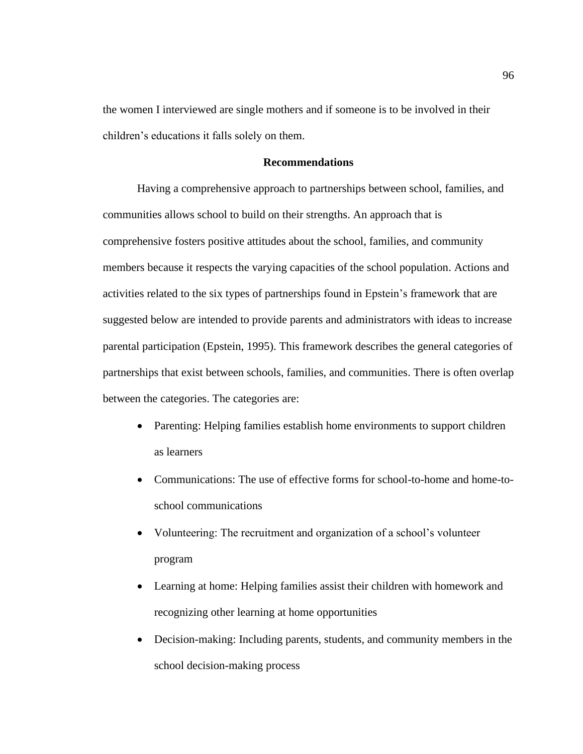the women I interviewed are single mothers and if someone is to be involved in their children's educations it falls solely on them.

# **Recommendations**

Having a comprehensive approach to partnerships between school, families, and communities allows school to build on their strengths. An approach that is comprehensive fosters positive attitudes about the school, families, and community members because it respects the varying capacities of the school population. Actions and activities related to the six types of partnerships found in Epstein's framework that are suggested below are intended to provide parents and administrators with ideas to increase parental participation (Epstein, 1995). This framework describes the general categories of partnerships that exist between schools, families, and communities. There is often overlap between the categories. The categories are:

- Parenting: Helping families establish home environments to support children as learners
- Communications: The use of effective forms for school-to-home and home-toschool communications
- Volunteering: The recruitment and organization of a school's volunteer program
- Learning at home: Helping families assist their children with homework and recognizing other learning at home opportunities
- Decision-making: Including parents, students, and community members in the school decision-making process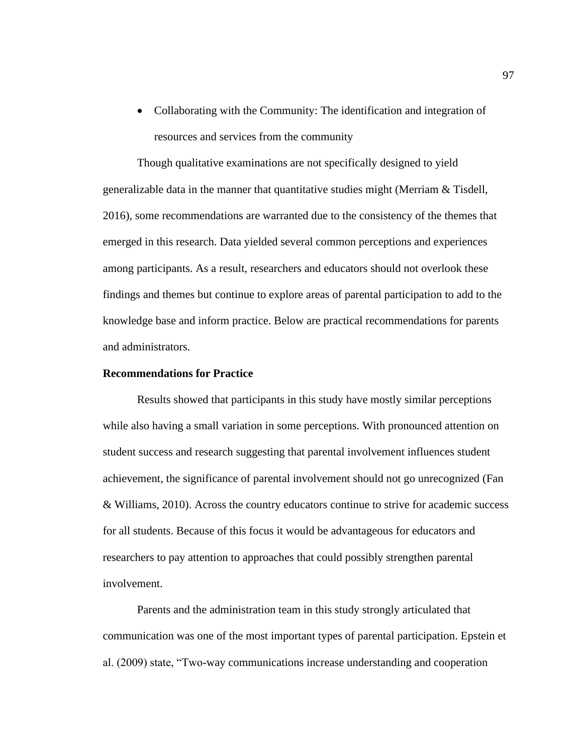• Collaborating with the Community: The identification and integration of resources and services from the community

Though qualitative examinations are not specifically designed to yield generalizable data in the manner that quantitative studies might (Merriam & Tisdell, 2016), some recommendations are warranted due to the consistency of the themes that emerged in this research. Data yielded several common perceptions and experiences among participants. As a result, researchers and educators should not overlook these findings and themes but continue to explore areas of parental participation to add to the knowledge base and inform practice. Below are practical recommendations for parents and administrators.

# **Recommendations for Practice**

Results showed that participants in this study have mostly similar perceptions while also having a small variation in some perceptions. With pronounced attention on student success and research suggesting that parental involvement influences student achievement, the significance of parental involvement should not go unrecognized (Fan & Williams, 2010). Across the country educators continue to strive for academic success for all students. Because of this focus it would be advantageous for educators and researchers to pay attention to approaches that could possibly strengthen parental involvement.

Parents and the administration team in this study strongly articulated that communication was one of the most important types of parental participation. Epstein et al. (2009) state, "Two-way communications increase understanding and cooperation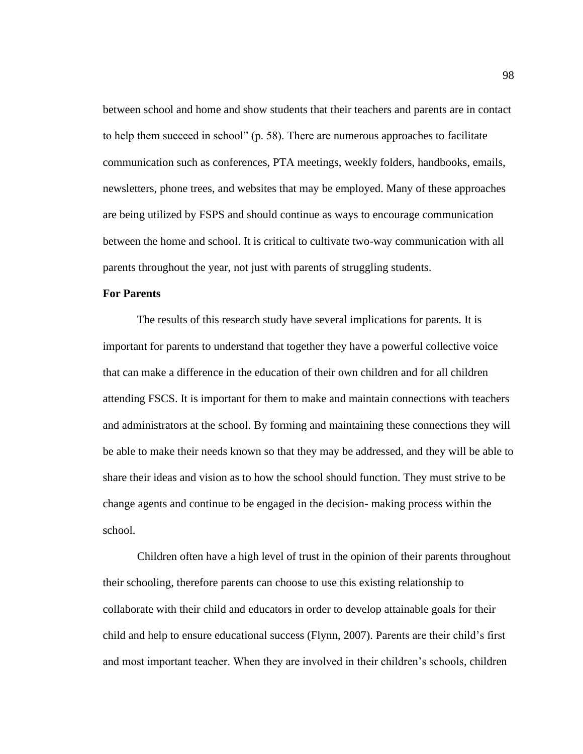between school and home and show students that their teachers and parents are in contact to help them succeed in school" (p. 58). There are numerous approaches to facilitate communication such as conferences, PTA meetings, weekly folders, handbooks, emails, newsletters, phone trees, and websites that may be employed. Many of these approaches are being utilized by FSPS and should continue as ways to encourage communication between the home and school. It is critical to cultivate two-way communication with all parents throughout the year, not just with parents of struggling students.

# **For Parents**

The results of this research study have several implications for parents. It is important for parents to understand that together they have a powerful collective voice that can make a difference in the education of their own children and for all children attending FSCS. It is important for them to make and maintain connections with teachers and administrators at the school. By forming and maintaining these connections they will be able to make their needs known so that they may be addressed, and they will be able to share their ideas and vision as to how the school should function. They must strive to be change agents and continue to be engaged in the decision- making process within the school.

Children often have a high level of trust in the opinion of their parents throughout their schooling, therefore parents can choose to use this existing relationship to collaborate with their child and educators in order to develop attainable goals for their child and help to ensure educational success (Flynn, 2007). Parents are their child's first and most important teacher. When they are involved in their children's schools, children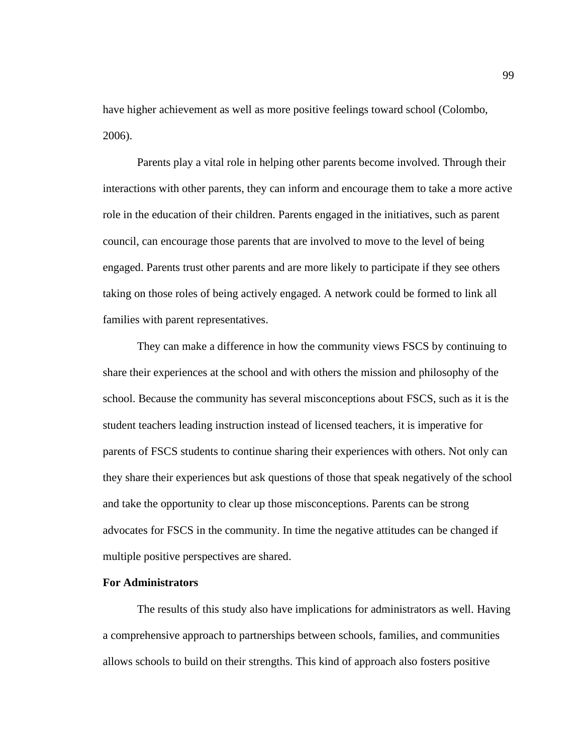have higher achievement as well as more positive feelings toward school (Colombo, 2006).

Parents play a vital role in helping other parents become involved. Through their interactions with other parents, they can inform and encourage them to take a more active role in the education of their children. Parents engaged in the initiatives, such as parent council, can encourage those parents that are involved to move to the level of being engaged. Parents trust other parents and are more likely to participate if they see others taking on those roles of being actively engaged. A network could be formed to link all families with parent representatives.

They can make a difference in how the community views FSCS by continuing to share their experiences at the school and with others the mission and philosophy of the school. Because the community has several misconceptions about FSCS, such as it is the student teachers leading instruction instead of licensed teachers, it is imperative for parents of FSCS students to continue sharing their experiences with others. Not only can they share their experiences but ask questions of those that speak negatively of the school and take the opportunity to clear up those misconceptions. Parents can be strong advocates for FSCS in the community. In time the negative attitudes can be changed if multiple positive perspectives are shared.

#### **For Administrators**

The results of this study also have implications for administrators as well. Having a comprehensive approach to partnerships between schools, families, and communities allows schools to build on their strengths. This kind of approach also fosters positive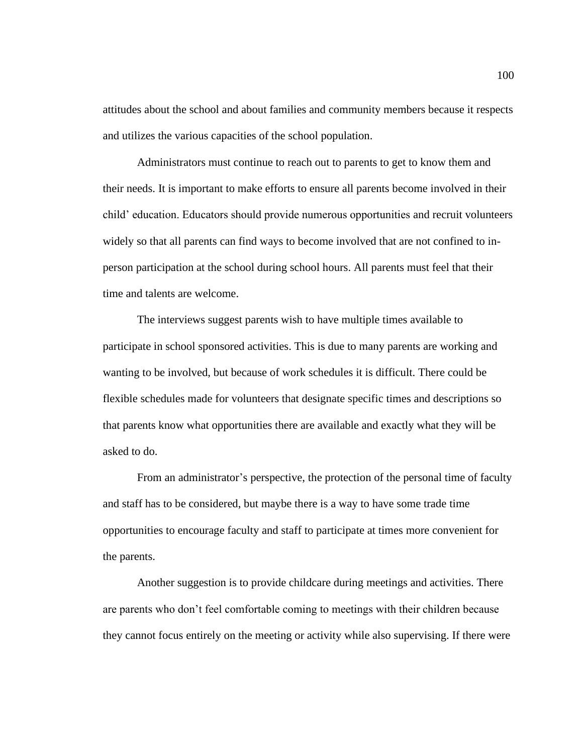attitudes about the school and about families and community members because it respects and utilizes the various capacities of the school population.

Administrators must continue to reach out to parents to get to know them and their needs. It is important to make efforts to ensure all parents become involved in their child' education. Educators should provide numerous opportunities and recruit volunteers widely so that all parents can find ways to become involved that are not confined to inperson participation at the school during school hours. All parents must feel that their time and talents are welcome.

The interviews suggest parents wish to have multiple times available to participate in school sponsored activities. This is due to many parents are working and wanting to be involved, but because of work schedules it is difficult. There could be flexible schedules made for volunteers that designate specific times and descriptions so that parents know what opportunities there are available and exactly what they will be asked to do.

From an administrator's perspective, the protection of the personal time of faculty and staff has to be considered, but maybe there is a way to have some trade time opportunities to encourage faculty and staff to participate at times more convenient for the parents.

Another suggestion is to provide childcare during meetings and activities. There are parents who don't feel comfortable coming to meetings with their children because they cannot focus entirely on the meeting or activity while also supervising. If there were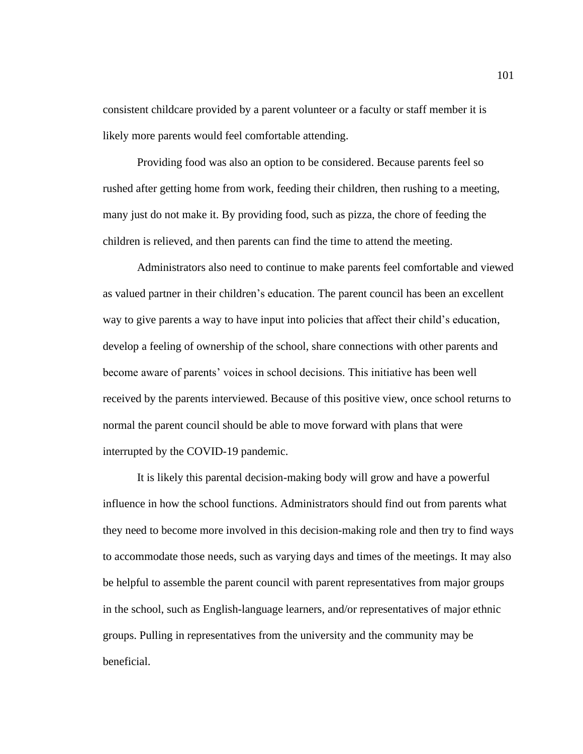consistent childcare provided by a parent volunteer or a faculty or staff member it is likely more parents would feel comfortable attending.

Providing food was also an option to be considered. Because parents feel so rushed after getting home from work, feeding their children, then rushing to a meeting, many just do not make it. By providing food, such as pizza, the chore of feeding the children is relieved, and then parents can find the time to attend the meeting.

Administrators also need to continue to make parents feel comfortable and viewed as valued partner in their children's education. The parent council has been an excellent way to give parents a way to have input into policies that affect their child's education, develop a feeling of ownership of the school, share connections with other parents and become aware of parents' voices in school decisions. This initiative has been well received by the parents interviewed. Because of this positive view, once school returns to normal the parent council should be able to move forward with plans that were interrupted by the COVID-19 pandemic.

It is likely this parental decision-making body will grow and have a powerful influence in how the school functions. Administrators should find out from parents what they need to become more involved in this decision-making role and then try to find ways to accommodate those needs, such as varying days and times of the meetings. It may also be helpful to assemble the parent council with parent representatives from major groups in the school, such as English-language learners, and/or representatives of major ethnic groups. Pulling in representatives from the university and the community may be beneficial.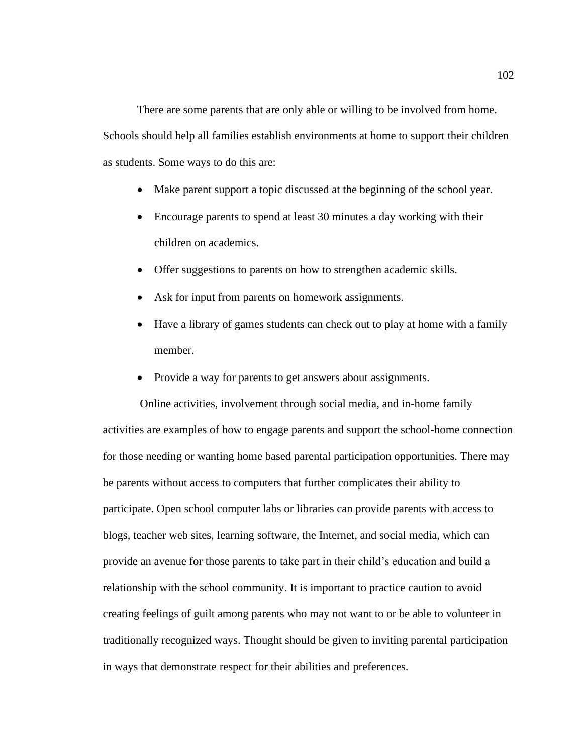There are some parents that are only able or willing to be involved from home. Schools should help all families establish environments at home to support their children as students. Some ways to do this are:

- Make parent support a topic discussed at the beginning of the school year.
- Encourage parents to spend at least 30 minutes a day working with their children on academics.
- Offer suggestions to parents on how to strengthen academic skills.
- Ask for input from parents on homework assignments.
- Have a library of games students can check out to play at home with a family member.
- Provide a way for parents to get answers about assignments.

Online activities, involvement through social media, and in-home family activities are examples of how to engage parents and support the school-home connection for those needing or wanting home based parental participation opportunities. There may be parents without access to computers that further complicates their ability to participate. Open school computer labs or libraries can provide parents with access to blogs, teacher web sites, learning software, the Internet, and social media, which can provide an avenue for those parents to take part in their child's education and build a relationship with the school community. It is important to practice caution to avoid creating feelings of guilt among parents who may not want to or be able to volunteer in traditionally recognized ways. Thought should be given to inviting parental participation in ways that demonstrate respect for their abilities and preferences.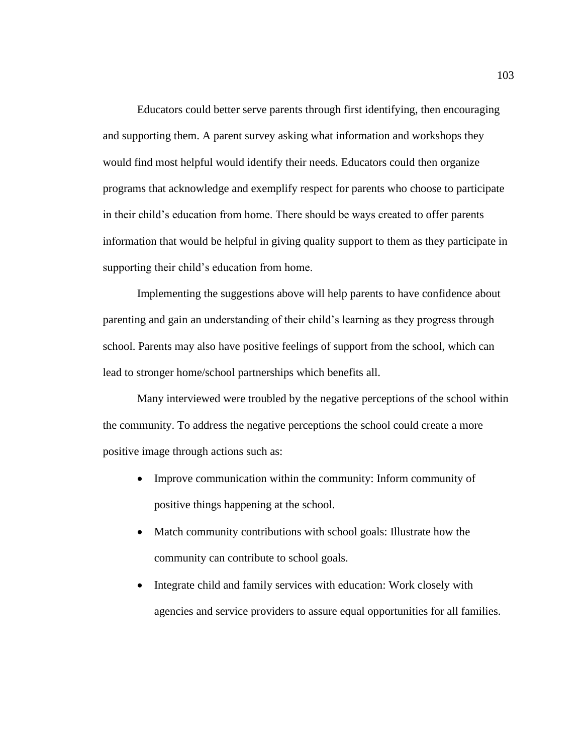Educators could better serve parents through first identifying, then encouraging and supporting them. A parent survey asking what information and workshops they would find most helpful would identify their needs. Educators could then organize programs that acknowledge and exemplify respect for parents who choose to participate in their child's education from home. There should be ways created to offer parents information that would be helpful in giving quality support to them as they participate in supporting their child's education from home.

Implementing the suggestions above will help parents to have confidence about parenting and gain an understanding of their child's learning as they progress through school. Parents may also have positive feelings of support from the school, which can lead to stronger home/school partnerships which benefits all.

Many interviewed were troubled by the negative perceptions of the school within the community. To address the negative perceptions the school could create a more positive image through actions such as:

- Improve communication within the community: Inform community of positive things happening at the school.
- Match community contributions with school goals: Illustrate how the community can contribute to school goals.
- Integrate child and family services with education: Work closely with agencies and service providers to assure equal opportunities for all families.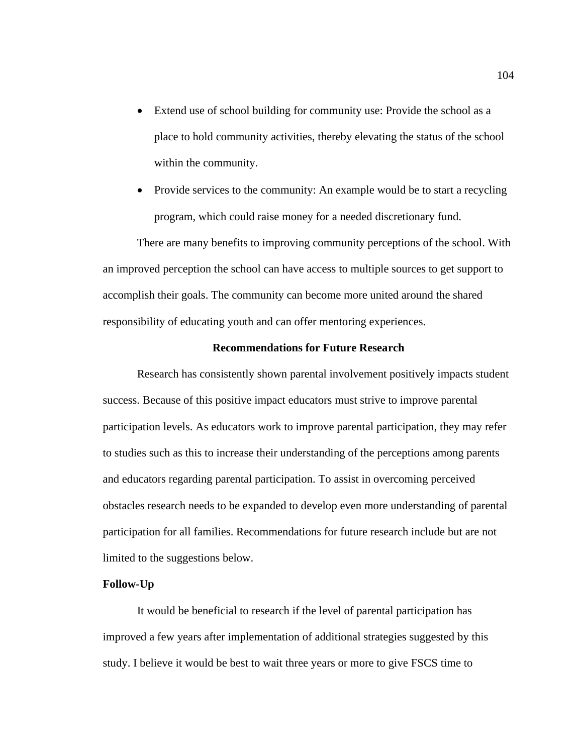- Extend use of school building for community use: Provide the school as a place to hold community activities, thereby elevating the status of the school within the community.
- Provide services to the community: An example would be to start a recycling program, which could raise money for a needed discretionary fund.

There are many benefits to improving community perceptions of the school. With an improved perception the school can have access to multiple sources to get support to accomplish their goals. The community can become more united around the shared responsibility of educating youth and can offer mentoring experiences.

#### **Recommendations for Future Research**

Research has consistently shown parental involvement positively impacts student success. Because of this positive impact educators must strive to improve parental participation levels. As educators work to improve parental participation, they may refer to studies such as this to increase their understanding of the perceptions among parents and educators regarding parental participation. To assist in overcoming perceived obstacles research needs to be expanded to develop even more understanding of parental participation for all families. Recommendations for future research include but are not limited to the suggestions below.

#### **Follow-Up**

It would be beneficial to research if the level of parental participation has improved a few years after implementation of additional strategies suggested by this study. I believe it would be best to wait three years or more to give FSCS time to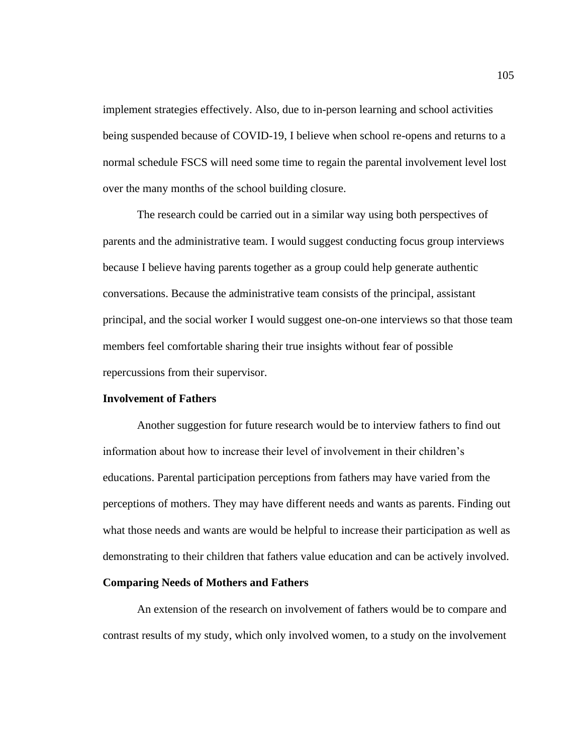implement strategies effectively. Also, due to in-person learning and school activities being suspended because of COVID-19, I believe when school re-opens and returns to a normal schedule FSCS will need some time to regain the parental involvement level lost over the many months of the school building closure.

The research could be carried out in a similar way using both perspectives of parents and the administrative team. I would suggest conducting focus group interviews because I believe having parents together as a group could help generate authentic conversations. Because the administrative team consists of the principal, assistant principal, and the social worker I would suggest one-on-one interviews so that those team members feel comfortable sharing their true insights without fear of possible repercussions from their supervisor.

#### **Involvement of Fathers**

Another suggestion for future research would be to interview fathers to find out information about how to increase their level of involvement in their children's educations. Parental participation perceptions from fathers may have varied from the perceptions of mothers. They may have different needs and wants as parents. Finding out what those needs and wants are would be helpful to increase their participation as well as demonstrating to their children that fathers value education and can be actively involved.

#### **Comparing Needs of Mothers and Fathers**

An extension of the research on involvement of fathers would be to compare and contrast results of my study, which only involved women, to a study on the involvement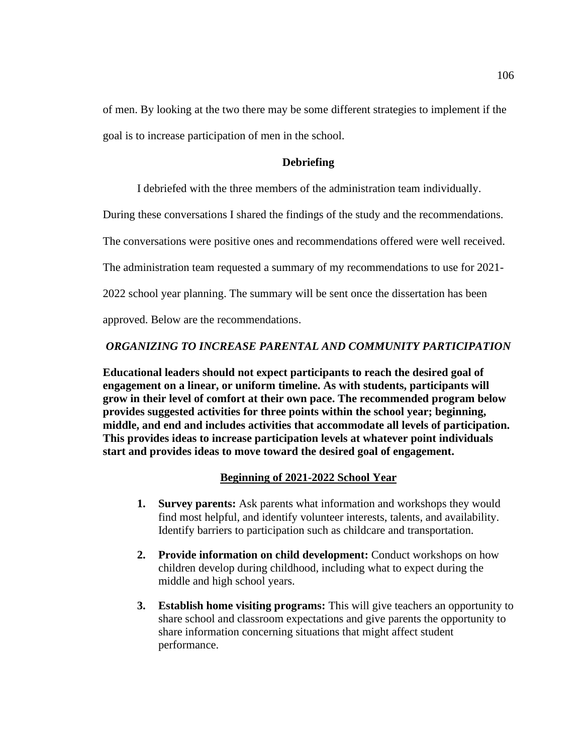of men. By looking at the two there may be some different strategies to implement if the goal is to increase participation of men in the school.

### **Debriefing**

I debriefed with the three members of the administration team individually.

During these conversations I shared the findings of the study and the recommendations.

The conversations were positive ones and recommendations offered were well received.

The administration team requested a summary of my recommendations to use for 2021-

2022 school year planning. The summary will be sent once the dissertation has been

approved. Below are the recommendations.

#### *ORGANIZING TO INCREASE PARENTAL AND COMMUNITY PARTICIPATION*

**Educational leaders should not expect participants to reach the desired goal of engagement on a linear, or uniform timeline. As with students, participants will grow in their level of comfort at their own pace. The recommended program below provides suggested activities for three points within the school year; beginning, middle, and end and includes activities that accommodate all levels of participation. This provides ideas to increase participation levels at whatever point individuals start and provides ideas to move toward the desired goal of engagement.**

### **Beginning of 2021-2022 School Year**

- **1. Survey parents:** Ask parents what information and workshops they would find most helpful, and identify volunteer interests, talents, and availability. Identify barriers to participation such as childcare and transportation.
- **2. Provide information on child development:** Conduct workshops on how children develop during childhood, including what to expect during the middle and high school years.
- **3. Establish home visiting programs:** This will give teachers an opportunity to share school and classroom expectations and give parents the opportunity to share information concerning situations that might affect student performance.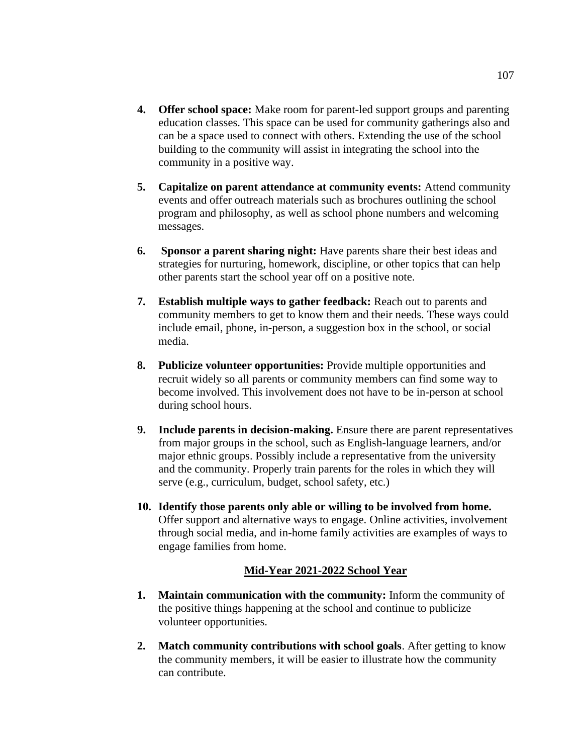- **4. Offer school space:** Make room for parent-led support groups and parenting education classes. This space can be used for community gatherings also and can be a space used to connect with others. Extending the use of the school building to the community will assist in integrating the school into the community in a positive way.
- **5. Capitalize on parent attendance at community events:** Attend community events and offer outreach materials such as brochures outlining the school program and philosophy, as well as school phone numbers and welcoming messages.
- **6. Sponsor a parent sharing night:** Have parents share their best ideas and strategies for nurturing, homework, discipline, or other topics that can help other parents start the school year off on a positive note.
- **7. Establish multiple ways to gather feedback:** Reach out to parents and community members to get to know them and their needs. These ways could include email, phone, in-person, a suggestion box in the school, or social media.
- **8. Publicize volunteer opportunities:** Provide multiple opportunities and recruit widely so all parents or community members can find some way to become involved. This involvement does not have to be in-person at school during school hours.
- **9. Include parents in decision-making.** Ensure there are parent representatives from major groups in the school, such as English-language learners, and/or major ethnic groups. Possibly include a representative from the university and the community. Properly train parents for the roles in which they will serve (e.g., curriculum, budget, school safety, etc.)
- **10. Identify those parents only able or willing to be involved from home.** Offer support and alternative ways to engage. Online activities, involvement through social media, and in-home family activities are examples of ways to engage families from home.

### **Mid-Year 2021-2022 School Year**

- **1. Maintain communication with the community:** Inform the community of the positive things happening at the school and continue to publicize volunteer opportunities.
- **2. Match community contributions with school goals**. After getting to know the community members, it will be easier to illustrate how the community can contribute.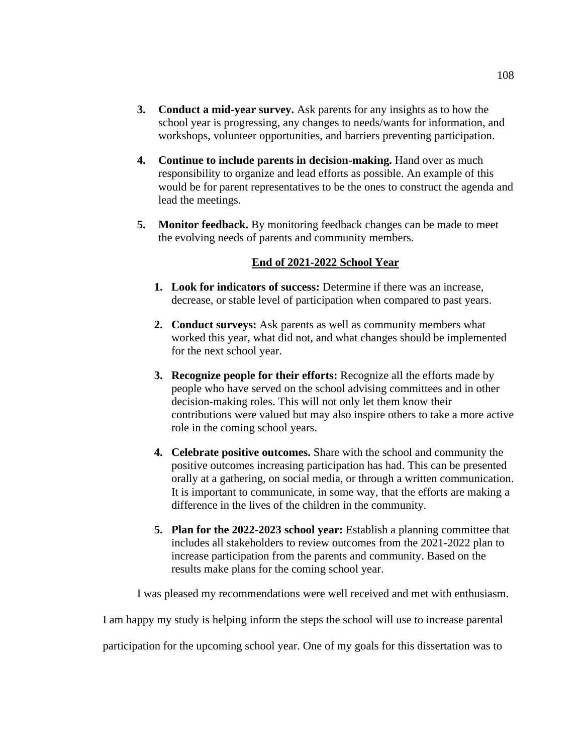- **3. Conduct a mid-year survey.** Ask parents for any insights as to how the school year is progressing, any changes to needs/wants for information, and workshops, volunteer opportunities, and barriers preventing participation.
- **4. Continue to include parents in decision-making.** Hand over as much responsibility to organize and lead efforts as possible. An example of this would be for parent representatives to be the ones to construct the agenda and lead the meetings.
- **5. Monitor feedback.** By monitoring feedback changes can be made to meet the evolving needs of parents and community members.

#### **End of 2021-2022 School Year**

- **1. Look for indicators of success:** Determine if there was an increase, decrease, or stable level of participation when compared to past years.
- **2. Conduct surveys:** Ask parents as well as community members what worked this year, what did not, and what changes should be implemented for the next school year.
- **3. Recognize people for their efforts:** Recognize all the efforts made by people who have served on the school advising committees and in other decision-making roles. This will not only let them know their contributions were valued but may also inspire others to take a more active role in the coming school years.
- **4. Celebrate positive outcomes.** Share with the school and community the positive outcomes increasing participation has had. This can be presented orally at a gathering, on social media, or through a written communication. It is important to communicate, in some way, that the efforts are making a difference in the lives of the children in the community.
- **5. Plan for the 2022-2023 school year:** Establish a planning committee that includes all stakeholders to review outcomes from the 2021-2022 plan to increase participation from the parents and community. Based on the results make plans for the coming school year.

I was pleased my recommendations were well received and met with enthusiasm.

I am happy my study is helping inform the steps the school will use to increase parental

participation for the upcoming school year. One of my goals for this dissertation was to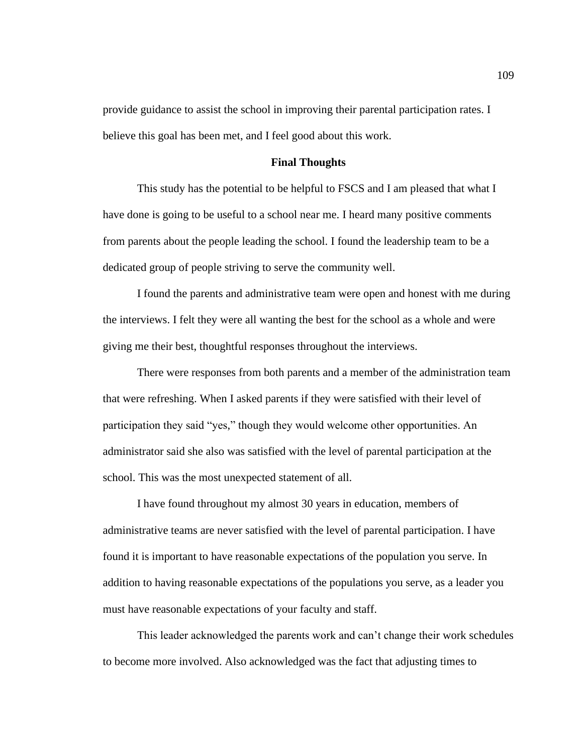provide guidance to assist the school in improving their parental participation rates. I believe this goal has been met, and I feel good about this work.

#### **Final Thoughts**

This study has the potential to be helpful to FSCS and I am pleased that what I have done is going to be useful to a school near me. I heard many positive comments from parents about the people leading the school. I found the leadership team to be a dedicated group of people striving to serve the community well.

I found the parents and administrative team were open and honest with me during the interviews. I felt they were all wanting the best for the school as a whole and were giving me their best, thoughtful responses throughout the interviews.

There were responses from both parents and a member of the administration team that were refreshing. When I asked parents if they were satisfied with their level of participation they said "yes," though they would welcome other opportunities. An administrator said she also was satisfied with the level of parental participation at the school. This was the most unexpected statement of all.

I have found throughout my almost 30 years in education, members of administrative teams are never satisfied with the level of parental participation. I have found it is important to have reasonable expectations of the population you serve. In addition to having reasonable expectations of the populations you serve, as a leader you must have reasonable expectations of your faculty and staff.

This leader acknowledged the parents work and can't change their work schedules to become more involved. Also acknowledged was the fact that adjusting times to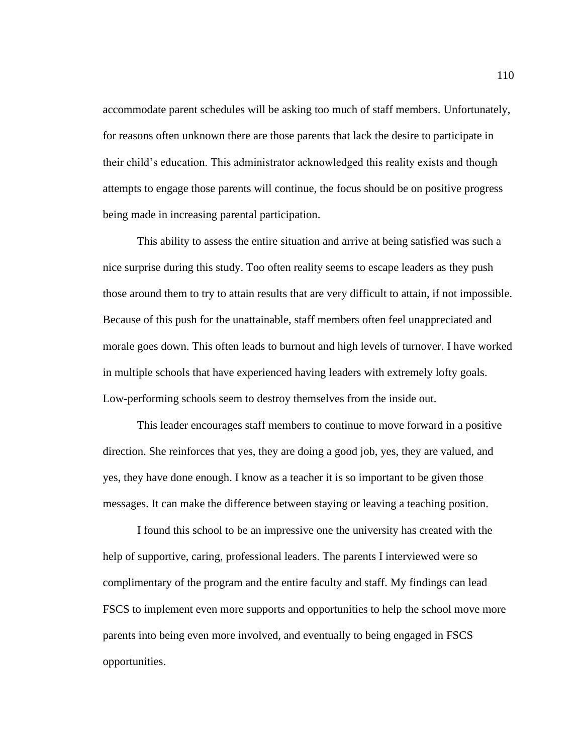accommodate parent schedules will be asking too much of staff members. Unfortunately, for reasons often unknown there are those parents that lack the desire to participate in their child's education. This administrator acknowledged this reality exists and though attempts to engage those parents will continue, the focus should be on positive progress being made in increasing parental participation.

This ability to assess the entire situation and arrive at being satisfied was such a nice surprise during this study. Too often reality seems to escape leaders as they push those around them to try to attain results that are very difficult to attain, if not impossible. Because of this push for the unattainable, staff members often feel unappreciated and morale goes down. This often leads to burnout and high levels of turnover. I have worked in multiple schools that have experienced having leaders with extremely lofty goals. Low-performing schools seem to destroy themselves from the inside out.

This leader encourages staff members to continue to move forward in a positive direction. She reinforces that yes, they are doing a good job, yes, they are valued, and yes, they have done enough. I know as a teacher it is so important to be given those messages. It can make the difference between staying or leaving a teaching position.

I found this school to be an impressive one the university has created with the help of supportive, caring, professional leaders. The parents I interviewed were so complimentary of the program and the entire faculty and staff. My findings can lead FSCS to implement even more supports and opportunities to help the school move more parents into being even more involved, and eventually to being engaged in FSCS opportunities.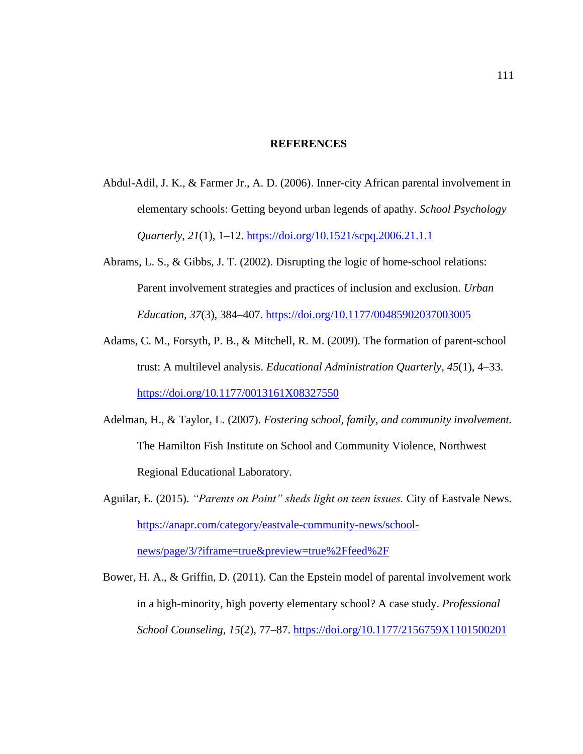#### **REFERENCES**

- Abdul-Adil, J. K., & Farmer Jr., A. D. (2006). Inner-city African parental involvement in elementary schools: Getting beyond urban legends of apathy. *School Psychology Quarterly*, *21*(1), 1–12. <https://doi.org/10.1521/scpq.2006.21.1.1>
- Abrams, L. S., & Gibbs, J. T. (2002). Disrupting the logic of home-school relations: Parent involvement strategies and practices of inclusion and exclusion. *Urban Education*, *37*(3), 384–407. <https://doi.org/10.1177/00485902037003005>
- Adams, C. M., Forsyth, P. B., & Mitchell, R. M. (2009). The formation of parent-school trust: A multilevel analysis. *Educational Administration Quarterly*, *45*(1), 4–33. <https://doi.org/10.1177/0013161X08327550>
- Adelman, H., & Taylor, L. (2007). *Fostering school, family, and community involvement.* The Hamilton Fish Institute on School and Community Violence, Northwest Regional Educational Laboratory.
- Aguilar, E. (2015). *"Parents on Point" sheds light on teen issues.* City of Eastvale News. [https://anapr.com/category/eastvale-community-news/school](https://anapr.com/category/eastvale-community-news/school-news/page/3/?iframe=true&preview=true%2Ffeed%2F)[news/page/3/?iframe=true&preview=true%2Ffeed%2F](https://anapr.com/category/eastvale-community-news/school-news/page/3/?iframe=true&preview=true%2Ffeed%2F)
- Bower, H. A., & Griffin, D. (2011). Can the Epstein model of parental involvement work in a high-minority, high poverty elementary school? A case study. *Professional School Counseling*, *15*(2), 77–87. <https://doi.org/10.1177/2156759X1101500201>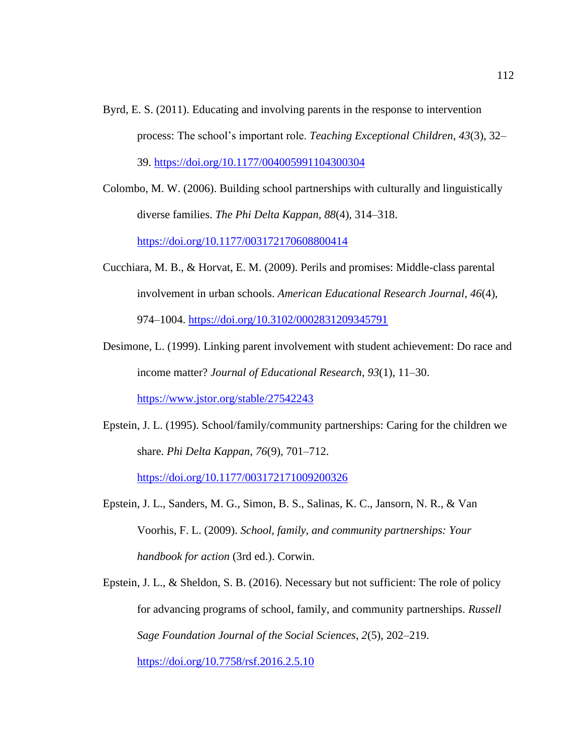- Byrd, E. S. (2011). Educating and involving parents in the response to intervention process: The school's important role. *Teaching Exceptional Children*, *43*(3), 32– 39. <https://doi.org/10.1177/004005991104300304>
- Colombo, M. W. (2006). Building school partnerships with culturally and linguistically diverse families. *The Phi Delta Kappan*, *88*(4), 314–318. <https://doi.org/10.1177/003172170608800414>
- Cucchiara, M. B., & Horvat, E. M. (2009). Perils and promises: Middle-class parental involvement in urban schools. *American Educational Research Journal*, *46*(4), 974–1004. <https://doi.org/10.3102/0002831209345791>
- Desimone, L. (1999). Linking parent involvement with student achievement: Do race and income matter? *Journal of Educational Research*, *93*(1), 11–30.

<https://www.jstor.org/stable/27542243>

Epstein, J. L. (1995). School/family/community partnerships: Caring for the children we share. *Phi Delta Kappan*, *76*(9), 701–712.

<https://doi.org/10.1177/003172171009200326>

- Epstein, J. L., Sanders, M. G., Simon, B. S., Salinas, K. C., Jansorn, N. R., & Van Voorhis, F. L. (2009). *School, family, and community partnerships: Your handbook for action* (3rd ed.). Corwin.
- Epstein, J. L., & Sheldon, S. B. (2016). Necessary but not sufficient: The role of policy for advancing programs of school, family, and community partnerships. *Russell Sage Foundation Journal of the Social Sciences*, *2*(5), 202–219.

<https://doi.org/10.7758/rsf.2016.2.5.10>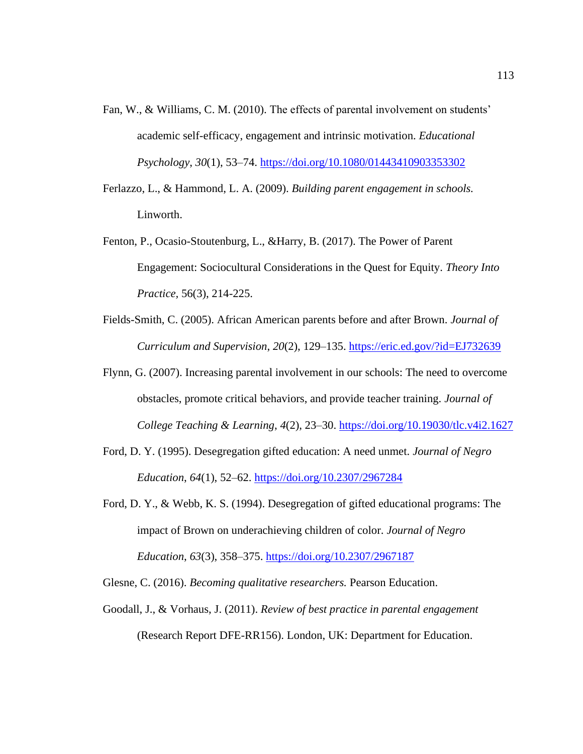- Fan, W., & Williams, C. M. (2010). The effects of parental involvement on students' academic self-efficacy, engagement and intrinsic motivation. *Educational Psychology*, *30*(1), 53–74. <https://doi.org/10.1080/01443410903353302>
- Ferlazzo, L., & Hammond, L. A. (2009). *Building parent engagement in schools.* Linworth.
- Fenton, P., Ocasio-Stoutenburg, L., &Harry, B. (2017). The Power of Parent Engagement: Sociocultural Considerations in the Quest for Equity. *Theory Into Practice,* 56(3), 214-225.
- Fields-Smith, C. (2005). African American parents before and after Brown. *Journal of Curriculum and Supervision*, *20*(2), 129–135. <https://eric.ed.gov/?id=EJ732639>
- Flynn, G. (2007). Increasing parental involvement in our schools: The need to overcome obstacles, promote critical behaviors, and provide teacher training. *Journal of College Teaching & Learning*, *4*(2), 23–30. <https://doi.org/10.19030/tlc.v4i2.1627>
- Ford, D. Y. (1995). Desegregation gifted education: A need unmet. *Journal of Negro Education*, *64*(1), 52–62. <https://doi.org/10.2307/2967284>
- Ford, D. Y., & Webb, K. S. (1994). Desegregation of gifted educational programs: The impact of Brown on underachieving children of color. *Journal of Negro Education*, *63*(3), 358–375. <https://doi.org/10.2307/2967187>

Glesne, C. (2016). *Becoming qualitative researchers.* Pearson Education.

Goodall, J., & Vorhaus, J. (2011). *Review of best practice in parental engagement* (Research Report DFE-RR156). London, UK: Department for Education.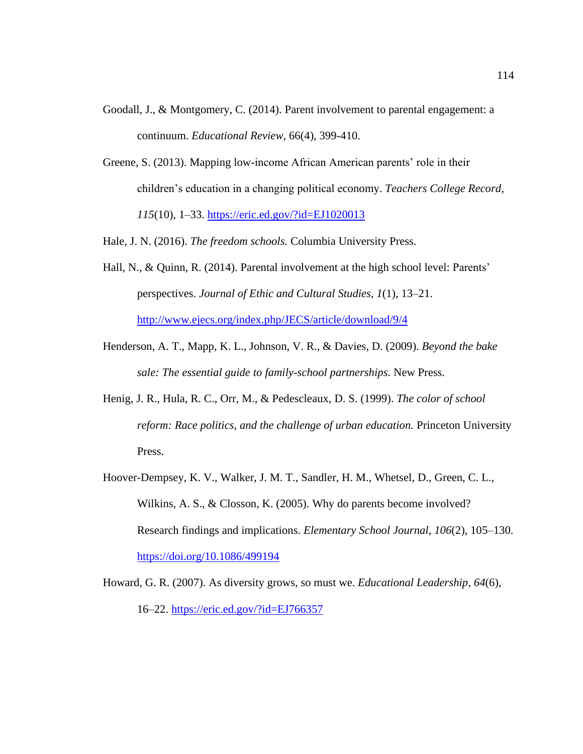- Goodall, J., & Montgomery, C. (2014). Parent involvement to parental engagement: a continuum. *Educational Review,* 66(4), 399-410.
- Greene, S. (2013). Mapping low-income African American parents' role in their children's education in a changing political economy. *Teachers College Record*, *115*(10), 1–33. <https://eric.ed.gov/?id=EJ1020013>

Hale, J. N. (2016). *The freedom schools.* Columbia University Press.

- Hall, N., & Quinn, R. (2014). Parental involvement at the high school level: Parents' perspectives. *Journal of Ethic and Cultural Studies*, *1*(1), 13–21. <http://www.ejecs.org/index.php/JECS/article/download/9/4>
- Henderson, A. T., Mapp, K. L., Johnson, V. R., & Davies, D. (2009). *Beyond the bake sale: The essential guide to family-school partnerships.* New Press.
- Henig, J. R., Hula, R. C., Orr, M., & Pedescleaux, D. S. (1999). *The color of school reform: Race politics, and the challenge of urban education.* Princeton University Press.
- Hoover-Dempsey, K. V., Walker, J. M. T., Sandler, H. M., Whetsel, D., Green, C. L., Wilkins, A. S., & Closson, K. (2005). Why do parents become involved? Research findings and implications. *Elementary School Journal*, *106*(2), 105–130. <https://doi.org/10.1086/499194>
- Howard, G. R. (2007). As diversity grows, so must we. *Educational Leadership*, *64*(6), 16–22. <https://eric.ed.gov/?id=EJ766357>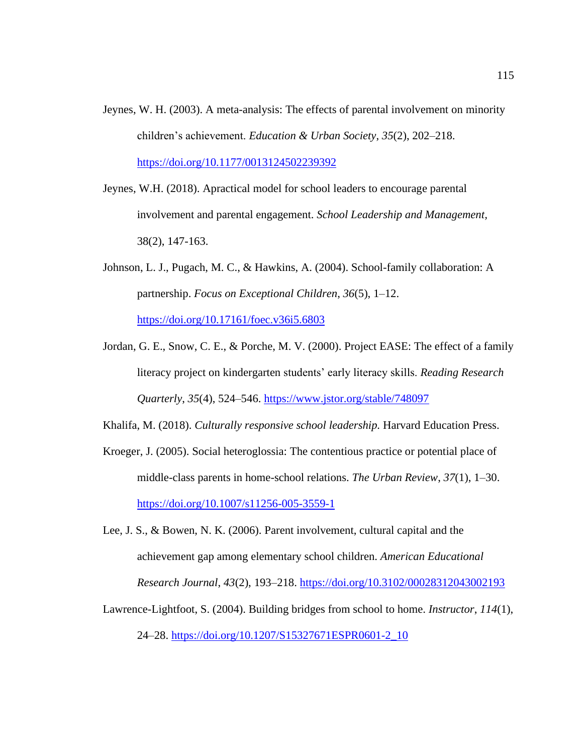- Jeynes, W. H. (2003). A meta-analysis: The effects of parental involvement on minority children's achievement. *Education & Urban Society*, *35*(2), 202–218. <https://doi.org/10.1177/0013124502239392>
- Jeynes, W.H. (2018). Apractical model for school leaders to encourage parental involvement and parental engagement. *School Leadership and Management,*  38(2), 147-163.
- Johnson, L. J., Pugach, M. C., & Hawkins, A. (2004). School-family collaboration: A partnership. *Focus on Exceptional Children*, *36*(5), 1–12. <https://doi.org/10.17161/foec.v36i5.6803>
- Jordan, G. E., Snow, C. E., & Porche, M. V. (2000). Project EASE: The effect of a family literacy project on kindergarten students' early literacy skills. *Reading Research Quarterly*, *35*(4), 524–546. <https://www.jstor.org/stable/748097>

Khalifa, M. (2018). *Culturally responsive school leadership.* Harvard Education Press.

- Kroeger, J. (2005). Social heteroglossia: The contentious practice or potential place of middle-class parents in home-school relations. *The Urban Review*, *37*(1), 1–30. <https://doi.org/10.1007/s11256-005-3559-1>
- Lee, J. S., & Bowen, N. K. (2006). Parent involvement, cultural capital and the achievement gap among elementary school children. *American Educational Research Journal*, *43*(2), 193–218. <https://doi.org/10.3102/00028312043002193>
- Lawrence-Lightfoot, S. (2004). Building bridges from school to home. *Instructor*, *114*(1), 24–28. [https://doi.org/10.1207/S15327671ESPR0601-2\\_10](https://doi.org/10.1207/S15327671ESPR0601-2_10)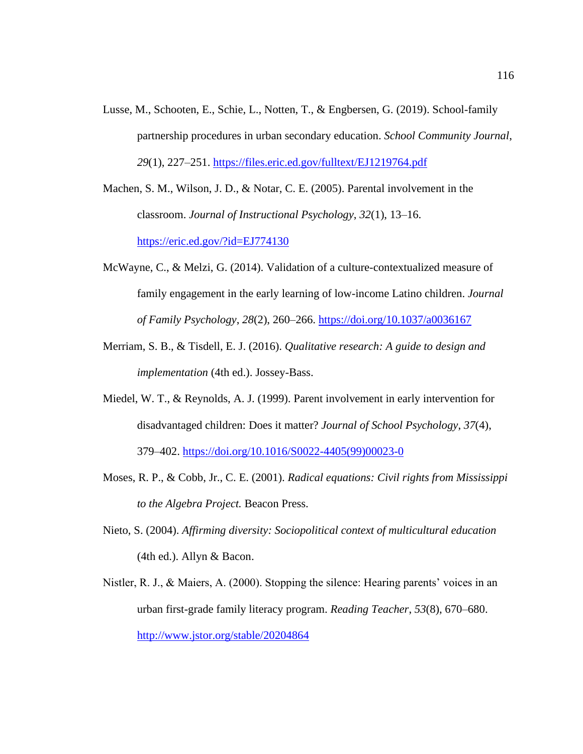Lusse, M., Schooten, E., Schie, L., Notten, T., & Engbersen, G. (2019). School-family partnership procedures in urban secondary education. *School Community Journal*, *29*(1), 227–251. <https://files.eric.ed.gov/fulltext/EJ1219764.pdf>

Machen, S. M., Wilson, J. D., & Notar, C. E. (2005). Parental involvement in the classroom. *Journal of Instructional Psychology*, *32*(1), 13–16. <https://eric.ed.gov/?id=EJ774130>

- McWayne, C., & Melzi, G. (2014). Validation of a culture-contextualized measure of family engagement in the early learning of low-income Latino children. *Journal of Family Psychology*, *28*(2), 260–266. <https://doi.org/10.1037/a0036167>
- Merriam, S. B., & Tisdell, E. J. (2016). *Qualitative research: A guide to design and implementation* (4th ed.). Jossey-Bass.
- Miedel, W. T., & Reynolds, A. J. (1999). Parent involvement in early intervention for disadvantaged children: Does it matter? *Journal of School Psychology*, *37*(4), 379–402. [https://doi.org/10.1016/S0022-4405\(99\)00023-0](https://doi.org/10.1016/S0022-4405(99)00023-0)
- Moses, R. P., & Cobb, Jr., C. E. (2001). *Radical equations: Civil rights from Mississippi to the Algebra Project.* Beacon Press.
- Nieto, S. (2004). *Affirming diversity: Sociopolitical context of multicultural education* (4th ed.). Allyn & Bacon.
- Nistler, R. J., & Maiers, A. (2000). Stopping the silence: Hearing parents' voices in an urban first-grade family literacy program. *Reading Teacher*, *53*(8), 670–680. <http://www.jstor.org/stable/20204864>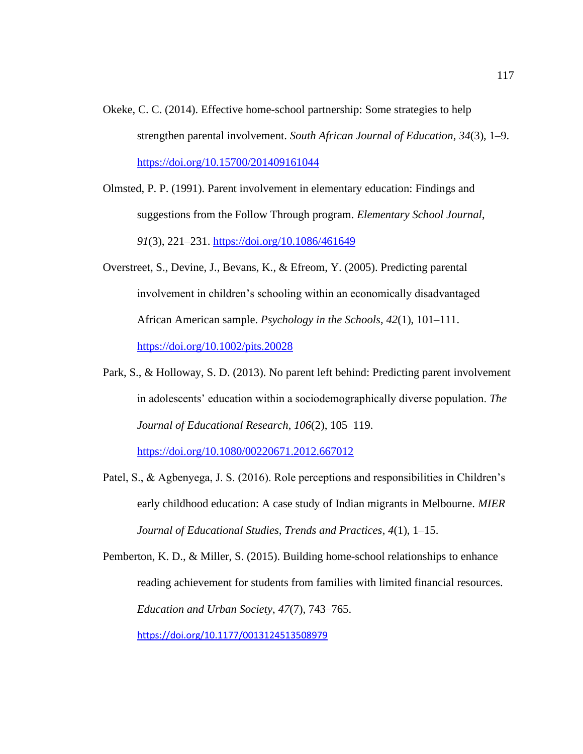- Okeke, C. C. (2014). Effective home-school partnership: Some strategies to help strengthen parental involvement. *South African Journal of Education*, *34*(3), 1–9. <https://doi.org/10.15700/201409161044>
- Olmsted, P. P. (1991). Parent involvement in elementary education: Findings and suggestions from the Follow Through program. *Elementary School Journal*, *91*(3), 221–231. <https://doi.org/10.1086/461649>
- Overstreet, S., Devine, J., Bevans, K., & Efreom, Y. (2005). Predicting parental involvement in children's schooling within an economically disadvantaged African American sample. *Psychology in the Schools*, *42*(1), 101–111. <https://doi.org/10.1002/pits.20028>
- Park, S., & Holloway, S. D. (2013). No parent left behind: Predicting parent involvement in adolescents' education within a sociodemographically diverse population. *The Journal of Educational Research*, *106*(2), 105–119. <https://doi.org/10.1080/00220671.2012.667012>
- Patel, S., & Agbenyega, J. S. (2016). Role perceptions and responsibilities in Children's early childhood education: A case study of Indian migrants in Melbourne. *MIER*

*Journal of Educational Studies, Trends and Practices*, *4*(1), 1–15.

Pemberton, K. D., & Miller, S. (2015). Building home-school relationships to enhance reading achievement for students from families with limited financial resources. *Education and Urban Society*, *47*(7), 743–765. <https://doi.org/10.1177/0013124513508979>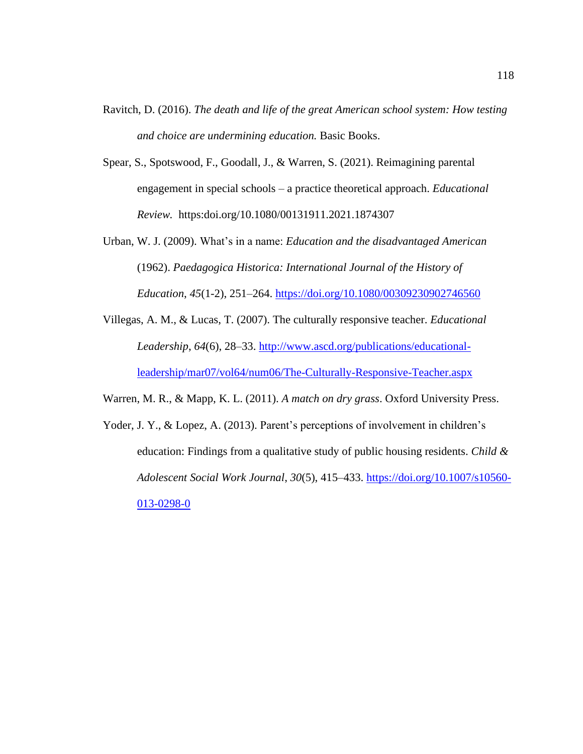- Ravitch, D. (2016). *The death and life of the great American school system: How testing and choice are undermining education.* Basic Books.
- Spear, S., Spotswood, F., Goodall, J., & Warren, S. (2021). Reimagining parental engagement in special schools – a practice theoretical approach. *Educational Review.* https:doi.org/10.1080/00131911.2021.1874307
- Urban, W. J. (2009). What's in a name: *Education and the disadvantaged American* (1962). *Paedagogica Historica: International Journal of the History of Education*, *45*(1-2), 251–264. <https://doi.org/10.1080/00309230902746560>
- Villegas, A. M., & Lucas, T. (2007). The culturally responsive teacher. *Educational Leadership*, *64*(6), 28–33. [http://www.ascd.org/publications/educational](http://www.ascd.org/publications/educational-leadership/mar07/vol64/num06/The-Culturally-Responsive-Teacher.aspx)[leadership/mar07/vol64/num06/The-Culturally-Responsive-Teacher.aspx](http://www.ascd.org/publications/educational-leadership/mar07/vol64/num06/The-Culturally-Responsive-Teacher.aspx)
- Warren, M. R., & Mapp, K. L. (2011). *A match on dry grass*. Oxford University Press.
- Yoder, J. Y., & Lopez, A. (2013). Parent's perceptions of involvement in children's education: Findings from a qualitative study of public housing residents. *Child & Adolescent Social Work Journal*, *30*(5), 415–433. [https://doi.org/10.1007/s10560-](https://doi.org/10.1007/s10560-013-0298-0) [013-0298-0](https://doi.org/10.1007/s10560-013-0298-0)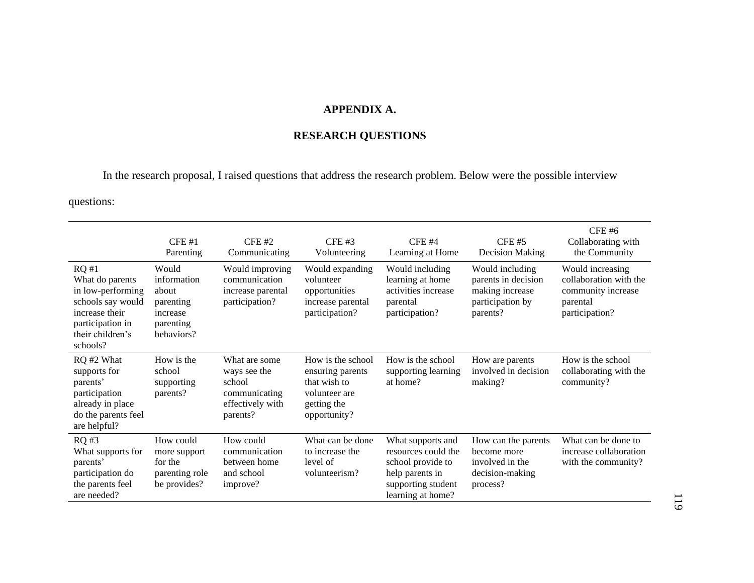## **APPENDIX A.**

# **RESEARCH QUESTIONS**

In the research proposal, I raised questions that address the research problem. Below were the possible interview

questions:

|                                                                                                                                         | CFE#1<br>Parenting                                                                | $CFE$ #2<br>Communicating                                                                | $CFE$ #3<br>Volunteering                                                                              | $CFE$ #4<br>Learning at Home                                                                                                | $CFE$ #5<br><b>Decision Making</b>                                                        | <b>CFE #6</b><br>Collaborating with<br>the Community                                           |
|-----------------------------------------------------------------------------------------------------------------------------------------|-----------------------------------------------------------------------------------|------------------------------------------------------------------------------------------|-------------------------------------------------------------------------------------------------------|-----------------------------------------------------------------------------------------------------------------------------|-------------------------------------------------------------------------------------------|------------------------------------------------------------------------------------------------|
| RQ#1<br>What do parents<br>in low-performing<br>schools say would<br>increase their<br>participation in<br>their children's<br>schools? | Would<br>information<br>about<br>parenting<br>increase<br>parenting<br>behaviors? | Would improving<br>communication<br>increase parental<br>participation?                  | Would expanding<br>volunteer<br>opportunities<br>increase parental<br>participation?                  | Would including<br>learning at home<br>activities increase<br>parental<br>participation?                                    | Would including<br>parents in decision<br>making increase<br>participation by<br>parents? | Would increasing<br>collaboration with the<br>community increase<br>parental<br>participation? |
| RQ #2 What<br>supports for<br>parents'<br>participation<br>already in place<br>do the parents feel<br>are helpful?                      | How is the<br>school<br>supporting<br>parents?                                    | What are some<br>ways see the<br>school<br>communicating<br>effectively with<br>parents? | How is the school<br>ensuring parents<br>that wish to<br>volunteer are<br>getting the<br>opportunity? | How is the school<br>supporting learning<br>at home?                                                                        | How are parents<br>involved in decision<br>making?                                        | How is the school<br>collaborating with the<br>community?                                      |
| RQ #3<br>What supports for<br>parents'<br>participation do<br>the parents feel<br>are needed?                                           | How could<br>more support<br>for the<br>parenting role<br>be provides?            | How could<br>communication<br>between home<br>and school<br>improve?                     | What can be done<br>to increase the<br>level of<br>volunteerism?                                      | What supports and<br>resources could the<br>school provide to<br>help parents in<br>supporting student<br>learning at home? | How can the parents<br>become more<br>involved in the<br>decision-making<br>process?      | What can be done to<br>increase collaboration<br>with the community?                           |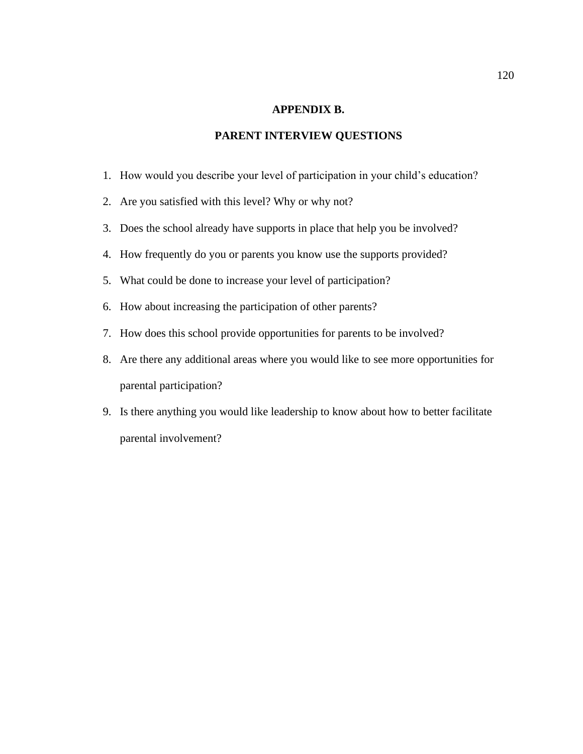#### **APPENDIX B.**

### **PARENT INTERVIEW QUESTIONS**

- 1. How would you describe your level of participation in your child's education?
- 2. Are you satisfied with this level? Why or why not?
- 3. Does the school already have supports in place that help you be involved?
- 4. How frequently do you or parents you know use the supports provided?
- 5. What could be done to increase your level of participation?
- 6. How about increasing the participation of other parents?
- 7. How does this school provide opportunities for parents to be involved?
- 8. Are there any additional areas where you would like to see more opportunities for parental participation?
- 9. Is there anything you would like leadership to know about how to better facilitate parental involvement?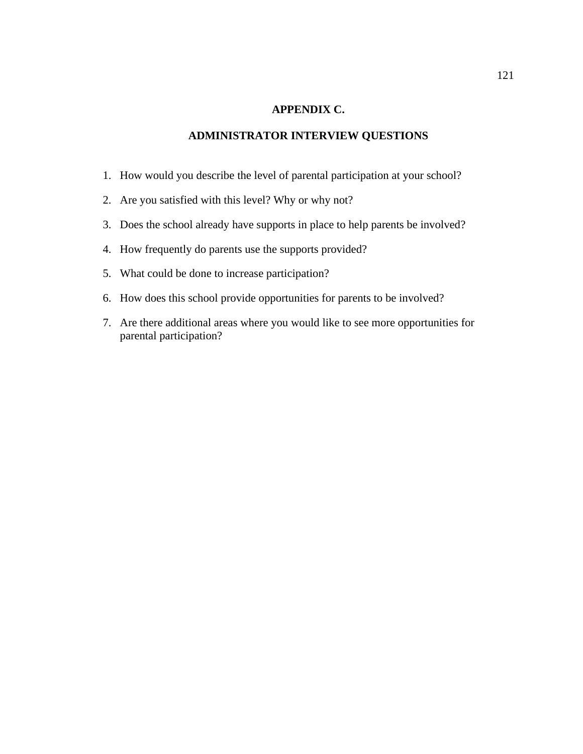#### **APPENDIX C.**

### **ADMINISTRATOR INTERVIEW QUESTIONS**

- 1. How would you describe the level of parental participation at your school?
- 2. Are you satisfied with this level? Why or why not?
- 3. Does the school already have supports in place to help parents be involved?
- 4. How frequently do parents use the supports provided?
- 5. What could be done to increase participation?
- 6. How does this school provide opportunities for parents to be involved?
- 7. Are there additional areas where you would like to see more opportunities for parental participation?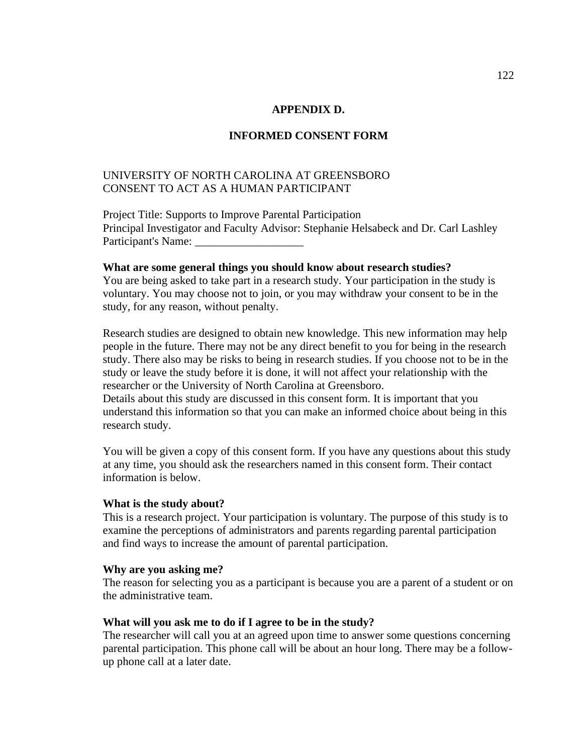#### **APPENDIX D.**

#### **INFORMED CONSENT FORM**

### UNIVERSITY OF NORTH CAROLINA AT GREENSBORO CONSENT TO ACT AS A HUMAN PARTICIPANT

Project Title: Supports to Improve Parental Participation Principal Investigator and Faculty Advisor: Stephanie Helsabeck and Dr. Carl Lashley Participant's Name:

#### **What are some general things you should know about research studies?**

You are being asked to take part in a research study. Your participation in the study is voluntary. You may choose not to join, or you may withdraw your consent to be in the study, for any reason, without penalty.

Research studies are designed to obtain new knowledge. This new information may help people in the future. There may not be any direct benefit to you for being in the research study. There also may be risks to being in research studies. If you choose not to be in the study or leave the study before it is done, it will not affect your relationship with the researcher or the University of North Carolina at Greensboro.

Details about this study are discussed in this consent form. It is important that you understand this information so that you can make an informed choice about being in this research study.

You will be given a copy of this consent form. If you have any questions about this study at any time, you should ask the researchers named in this consent form. Their contact information is below.

#### **What is the study about?**

This is a research project. Your participation is voluntary. The purpose of this study is to examine the perceptions of administrators and parents regarding parental participation and find ways to increase the amount of parental participation.

#### **Why are you asking me?**

The reason for selecting you as a participant is because you are a parent of a student or on the administrative team.

#### **What will you ask me to do if I agree to be in the study?**

The researcher will call you at an agreed upon time to answer some questions concerning parental participation. This phone call will be about an hour long. There may be a followup phone call at a later date.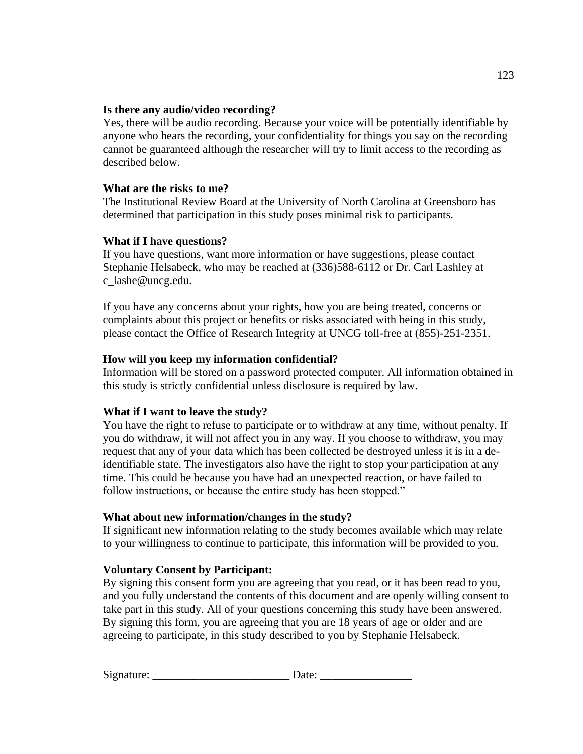### **Is there any audio/video recording?**

Yes, there will be audio recording. Because your voice will be potentially identifiable by anyone who hears the recording, your confidentiality for things you say on the recording cannot be guaranteed although the researcher will try to limit access to the recording as described below.

### **What are the risks to me?**

The Institutional Review Board at the University of North Carolina at Greensboro has determined that participation in this study poses minimal risk to participants.

### **What if I have questions?**

If you have questions, want more information or have suggestions, please contact Stephanie Helsabeck, who may be reached at (336)588-6112 or Dr. Carl Lashley at c\_lashe@uncg.edu.

If you have any concerns about your rights, how you are being treated, concerns or complaints about this project or benefits or risks associated with being in this study, please contact the Office of Research Integrity at UNCG toll-free at (855)-251-2351.

### **How will you keep my information confidential?**

Information will be stored on a password protected computer. All information obtained in this study is strictly confidential unless disclosure is required by law.

### **What if I want to leave the study?**

You have the right to refuse to participate or to withdraw at any time, without penalty. If you do withdraw, it will not affect you in any way. If you choose to withdraw, you may request that any of your data which has been collected be destroyed unless it is in a deidentifiable state. The investigators also have the right to stop your participation at any time. This could be because you have had an unexpected reaction, or have failed to follow instructions, or because the entire study has been stopped."

### **What about new information/changes in the study?**

If significant new information relating to the study becomes available which may relate to your willingness to continue to participate, this information will be provided to you.

### **Voluntary Consent by Participant:**

By signing this consent form you are agreeing that you read, or it has been read to you, and you fully understand the contents of this document and are openly willing consent to take part in this study. All of your questions concerning this study have been answered. By signing this form, you are agreeing that you are 18 years of age or older and are agreeing to participate, in this study described to you by Stephanie Helsabeck.

| Signature: |  |  |
|------------|--|--|
|            |  |  |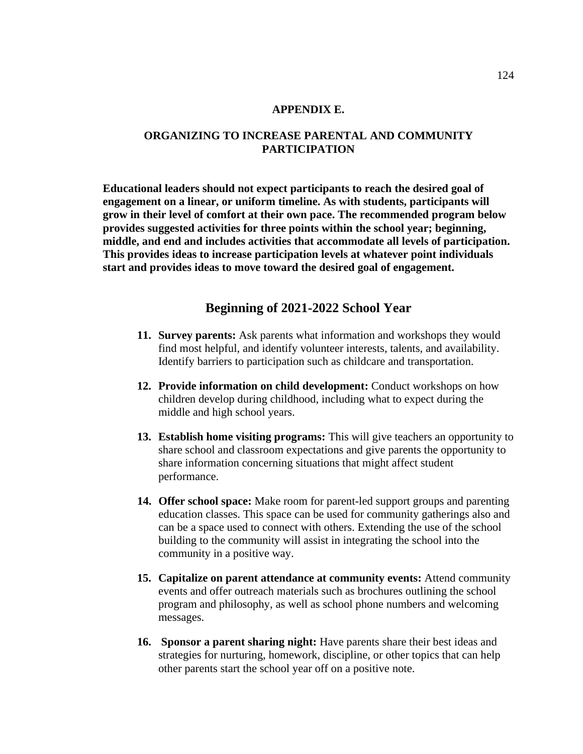#### **APPENDIX E.**

### **ORGANIZING TO INCREASE PARENTAL AND COMMUNITY PARTICIPATION**

**Educational leaders should not expect participants to reach the desired goal of engagement on a linear, or uniform timeline. As with students, participants will grow in their level of comfort at their own pace. The recommended program below provides suggested activities for three points within the school year; beginning, middle, and end and includes activities that accommodate all levels of participation. This provides ideas to increase participation levels at whatever point individuals start and provides ideas to move toward the desired goal of engagement.**

### **Beginning of 2021-2022 School Year**

- **11. Survey parents:** Ask parents what information and workshops they would find most helpful, and identify volunteer interests, talents, and availability. Identify barriers to participation such as childcare and transportation.
- **12. Provide information on child development:** Conduct workshops on how children develop during childhood, including what to expect during the middle and high school years.
- **13. Establish home visiting programs:** This will give teachers an opportunity to share school and classroom expectations and give parents the opportunity to share information concerning situations that might affect student performance.
- **14. Offer school space:** Make room for parent-led support groups and parenting education classes. This space can be used for community gatherings also and can be a space used to connect with others. Extending the use of the school building to the community will assist in integrating the school into the community in a positive way.
- **15. Capitalize on parent attendance at community events:** Attend community events and offer outreach materials such as brochures outlining the school program and philosophy, as well as school phone numbers and welcoming messages.
- **16. Sponsor a parent sharing night:** Have parents share their best ideas and strategies for nurturing, homework, discipline, or other topics that can help other parents start the school year off on a positive note.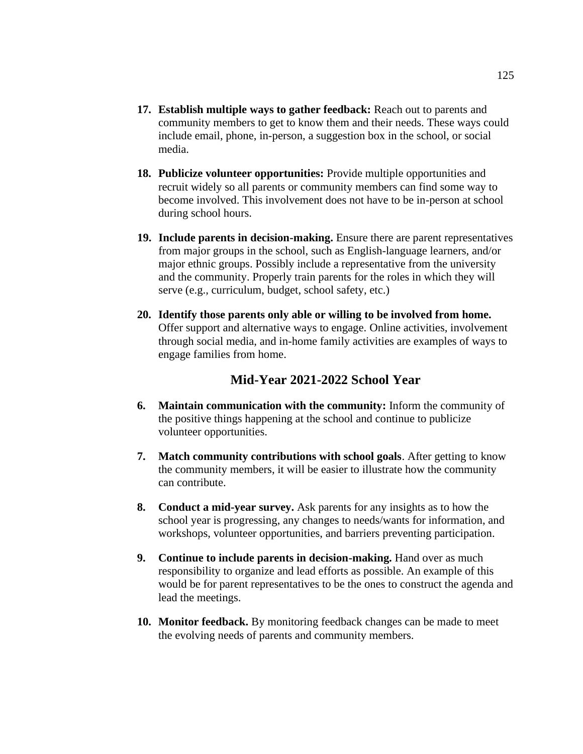- **17. Establish multiple ways to gather feedback:** Reach out to parents and community members to get to know them and their needs. These ways could include email, phone, in-person, a suggestion box in the school, or social media.
- **18. Publicize volunteer opportunities:** Provide multiple opportunities and recruit widely so all parents or community members can find some way to become involved. This involvement does not have to be in-person at school during school hours.
- **19. Include parents in decision-making.** Ensure there are parent representatives from major groups in the school, such as English-language learners, and/or major ethnic groups. Possibly include a representative from the university and the community. Properly train parents for the roles in which they will serve (e.g., curriculum, budget, school safety, etc.)
- **20. Identify those parents only able or willing to be involved from home.** Offer support and alternative ways to engage. Online activities, involvement through social media, and in-home family activities are examples of ways to engage families from home.

### **Mid-Year 2021-2022 School Year**

- **6. Maintain communication with the community:** Inform the community of the positive things happening at the school and continue to publicize volunteer opportunities.
- **7. Match community contributions with school goals**. After getting to know the community members, it will be easier to illustrate how the community can contribute.
- **8. Conduct a mid-year survey.** Ask parents for any insights as to how the school year is progressing, any changes to needs/wants for information, and workshops, volunteer opportunities, and barriers preventing participation.
- **9. Continue to include parents in decision-making.** Hand over as much responsibility to organize and lead efforts as possible. An example of this would be for parent representatives to be the ones to construct the agenda and lead the meetings.
- **10. Monitor feedback.** By monitoring feedback changes can be made to meet the evolving needs of parents and community members.